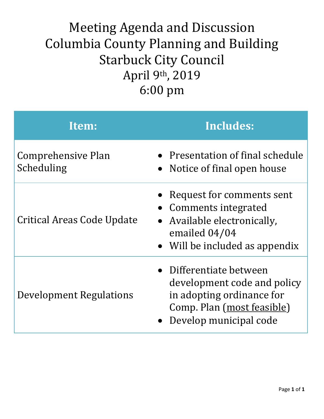### Meeting Agenda and Discussion Columbia County Planning and Building Starbuck City Council April 9th , 2019 6:00 pm

| Item:                            | <b>Includes:</b>                                                                                                                            |
|----------------------------------|---------------------------------------------------------------------------------------------------------------------------------------------|
| Comprehensive Plan<br>Scheduling | • Presentation of final schedule<br>• Notice of final open house                                                                            |
| Critical Areas Code Update       | • Request for comments sent<br>• Comments integrated<br>• Available electronically,<br>emailed 04/04<br>• Will be included as appendix      |
| Development Regulations          | • Differentiate between<br>development code and policy<br>in adopting ordinance for<br>Comp. Plan (most feasible)<br>Develop municipal code |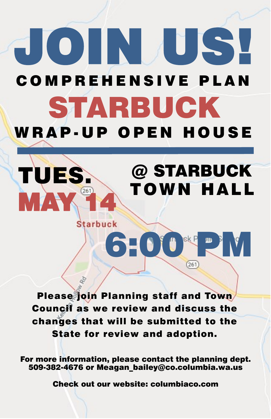# JOIN US! C O M P R E H E N S I V E P L A N STARBUCK WRAP-UP OPEN HOUSE

# @ STARBUCK TOWN HALL

**Starbuck** 

TUES.

MAY, 14

Please join Planning staff and Town Council as we review and discuss the

6 PM PM PM

## changes that will be submitted to the State for review and adoption.

### For more information, please contact the planning dept. 509-382-4676 or Meagan\_bailey@co.columbia.wa.us

Check out our website: columbiaco.com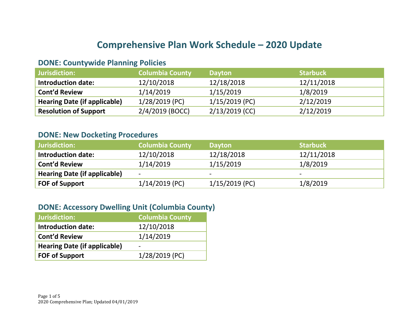#### **Comprehensive Plan Work Schedule – 2020 Update**

#### **DONE: Countywide Planning Policies**

| Jurisdiction:                       | <b>Columbia County</b> | <b>Dayton</b>    | <b>Starbuck</b> |
|-------------------------------------|------------------------|------------------|-----------------|
| <b>Introduction date:</b>           | 12/10/2018             | 12/18/2018       | 12/11/2018      |
| <b>Cont'd Review</b>                | 1/14/2019              | 1/15/2019        | 1/8/2019        |
| <b>Hearing Date (if applicable)</b> | 1/28/2019 (PC)         | 1/15/2019 (PC)   | 2/12/2019       |
| <b>Resolution of Support</b>        | $2/4/2019$ (BOCC)      | $2/13/2019$ (CC) | 2/12/2019       |

#### **DONE: New Docketing Procedures**

| Jurisdiction:                       | <b>Columbia County</b>       | <b>Dayton</b>            | <b>Starbuck</b>          |
|-------------------------------------|------------------------------|--------------------------|--------------------------|
| <b>Introduction date:</b>           | 12/10/2018                   | 12/18/2018               | 12/11/2018               |
| <b>Cont'd Review</b>                | 1/14/2019                    | 1/15/2019                | 1/8/2019                 |
| <b>Hearing Date (if applicable)</b> | $\qquad \qquad \blacksquare$ | $\overline{\phantom{0}}$ | $\overline{\phantom{0}}$ |
| <b>FOF of Support</b>               | $1/14/2019$ (PC)             | 1/15/2019 (PC)           | 1/8/2019                 |

#### **DONE: Accessory Dwelling Unit (Columbia County)**

| <b>Jurisdiction:</b>                | <b>Columbia County</b> |
|-------------------------------------|------------------------|
| <b>Introduction date:</b>           | 12/10/2018             |
| <b>Cont'd Review</b>                | 1/14/2019              |
| <b>Hearing Date (if applicable)</b> |                        |
| <b>FOF of Support</b>               | 1/28/2019 (PC)         |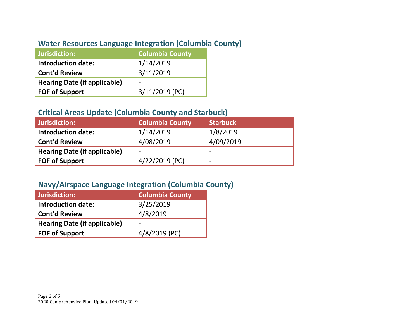#### **Water Resources Language Integration (Columbia County)**

| Jurisdiction:                       | <b>Columbia County</b> |
|-------------------------------------|------------------------|
| <b>Introduction date:</b>           | 1/14/2019              |
| <b>Cont'd Review</b>                | 3/11/2019              |
| <b>Hearing Date (if applicable)</b> |                        |
| <b>FOF of Support</b>               | $3/11/2019$ (PC)       |

#### **Critical Areas Update (Columbia County and Starbuck)**

| Jurisdiction:                       | <b>Columbia County</b> | <b>Starbuck</b> |
|-------------------------------------|------------------------|-----------------|
| <b>Introduction date:</b>           | 1/14/2019              | 1/8/2019        |
| <b>Cont'd Review</b>                | 4/08/2019              | 4/09/2019       |
| <b>Hearing Date (if applicable)</b> | -                      | -               |
| <b>FOF of Support</b>               | 4/22/2019 (PC)         | -               |

#### **Navy/Airspace Language Integration (Columbia County)**

| Jurisdiction:                       | <b>Columbia County</b> |
|-------------------------------------|------------------------|
| <b>Introduction date:</b>           | 3/25/2019              |
| <b>Cont'd Review</b>                | 4/8/2019               |
| <b>Hearing Date (if applicable)</b> |                        |
| <b>FOF of Support</b>               | 4/8/2019 (PC)          |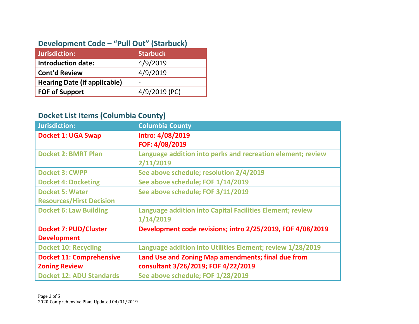#### **Development Code – "Pull Out" (Starbuck)**

| Jurisdiction:                       | <b>Starbuck</b> |
|-------------------------------------|-----------------|
| <b>Introduction date:</b>           | 4/9/2019        |
| <b>Cont'd Review</b>                | 4/9/2019        |
| <b>Hearing Date (if applicable)</b> | -               |
| <b>FOF of Support</b>               | 4/9/2019 (PC)   |

#### **Docket List Items (Columbia County)**

| <b>Jurisdiction:</b>            | <b>Columbia County</b>                                           |
|---------------------------------|------------------------------------------------------------------|
| <b>Docket 1: UGA Swap</b>       | Intro: 4/08/2019                                                 |
|                                 | FOF: 4/08/2019                                                   |
| <b>Docket 2: BMRT Plan</b>      | Language addition into parks and recreation element; review      |
|                                 | 2/11/2019                                                        |
| <b>Docket 3: CWPP</b>           | See above schedule; resolution 2/4/2019                          |
| <b>Docket 4: Docketing</b>      | See above schedule; FOF 1/14/2019                                |
| <b>Docket 5: Water</b>          | See above schedule; FOF 3/11/2019                                |
| <b>Resources/Hirst Decision</b> |                                                                  |
| <b>Docket 6: Law Building</b>   | <b>Language addition into Capital Facilities Element; review</b> |
|                                 | 1/14/2019                                                        |
| <b>Docket 7: PUD/Cluster</b>    | Development code revisions; intro 2/25/2019, FOF 4/08/2019       |
| <b>Development</b>              |                                                                  |
| <b>Docket 10: Recycling</b>     | Language addition into Utilities Element; review 1/28/2019       |
| <b>Docket 11: Comprehensive</b> | Land Use and Zoning Map amendments; final due from               |
| <b>Zoning Review</b>            | consultant 3/26/2019; FOF 4/22/2019                              |
| <b>Docket 12: ADU Standards</b> | See above schedule; FOF 1/28/2019                                |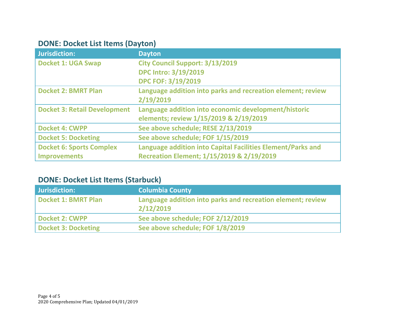#### **DONE: Docket List Items (Dayton)**

| <b>Jurisdiction:</b>                | <b>Dayton</b>                                               |
|-------------------------------------|-------------------------------------------------------------|
| <b>Docket 1: UGA Swap</b>           | <b>City Council Support: 3/13/2019</b>                      |
|                                     | <b>DPC Intro: 3/19/2019</b>                                 |
|                                     | <b>DPC FOF: 3/19/2019</b>                                   |
| <b>Docket 2: BMRT Plan</b>          | Language addition into parks and recreation element; review |
|                                     | 2/19/2019                                                   |
| <b>Docket 3: Retail Development</b> | Language addition into economic development/historic        |
|                                     | elements; review 1/15/2019 & 2/19/2019                      |
| <b>Docket 4: CWPP</b>               | See above schedule; RESE 2/13/2019                          |
| <b>Docket 5: Docketing</b>          | See above schedule; FOF 1/15/2019                           |
| <b>Docket 6: Sports Complex</b>     | Language addition into Capital Facilities Element/Parks and |
| <b>Improvements</b>                 | Recreation Element; 1/15/2019 & 2/19/2019                   |

#### **DONE: Docket List Items (Starbuck)**

| Jurisdiction:              | <b>Columbia County</b>                                                   |
|----------------------------|--------------------------------------------------------------------------|
| Docket 1: BMRT Plan        | Language addition into parks and recreation element; review<br>2/12/2019 |
| <b>Docket 2: CWPP</b>      | See above schedule; FOF 2/12/2019                                        |
| <b>Docket 3: Docketing</b> | See above schedule; FOF 1/8/2019                                         |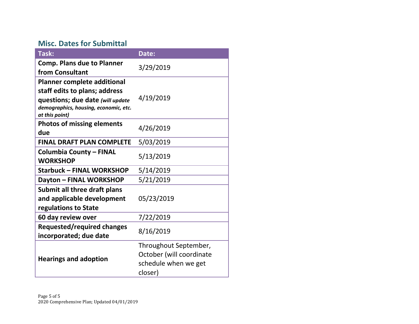#### **Misc. Dates for Submittal**

| Task:                                                                                                                                                              | Date:                                                                                |
|--------------------------------------------------------------------------------------------------------------------------------------------------------------------|--------------------------------------------------------------------------------------|
| <b>Comp. Plans due to Planner</b><br>from Consultant                                                                                                               | 3/29/2019                                                                            |
| <b>Planner complete additional</b><br>staff edits to plans; address<br>questions; due date (will update<br>demographics, housing, economic, etc.<br>at this point) | 4/19/2019                                                                            |
| <b>Photos of missing elements</b><br>due                                                                                                                           | 4/26/2019                                                                            |
| <b>FINAL DRAFT PLAN COMPLETE</b>                                                                                                                                   | 5/03/2019                                                                            |
| <b>Columbia County - FINAL</b><br><b>WORKSHOP</b>                                                                                                                  | 5/13/2019                                                                            |
| <b>Starbuck - FINAL WORKSHOP</b>                                                                                                                                   | 5/14/2019                                                                            |
| Dayton - FINAL WORKSHOP                                                                                                                                            | 5/21/2019                                                                            |
| Submit all three draft plans<br>and applicable development<br>regulations to State                                                                                 | 05/23/2019                                                                           |
| 60 day review over                                                                                                                                                 | 7/22/2019                                                                            |
| <b>Requested/required changes</b><br>incorporated; due date                                                                                                        | 8/16/2019                                                                            |
| <b>Hearings and adoption</b>                                                                                                                                       | Throughout September,<br>October (will coordinate<br>schedule when we get<br>closer) |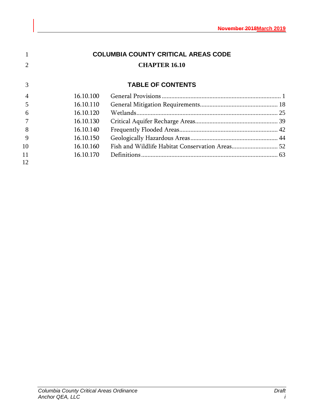|    |           | <b>COLUMBIA COUNTY CRITICAL AREAS CODE</b> |  |
|----|-----------|--------------------------------------------|--|
|    |           | <b>CHAPTER 16.10</b>                       |  |
| 3  |           | <b>TABLE OF CONTENTS</b>                   |  |
|    | 16.10.100 |                                            |  |
| 5  | 16.10.110 |                                            |  |
| 6  | 16.10.120 |                                            |  |
|    | 16.10.130 |                                            |  |
| 8  | 16.10.140 |                                            |  |
| 9  | 16.10.150 |                                            |  |
| 10 | 16.10.160 |                                            |  |
| 11 | 16.10.170 |                                            |  |
| 12 |           |                                            |  |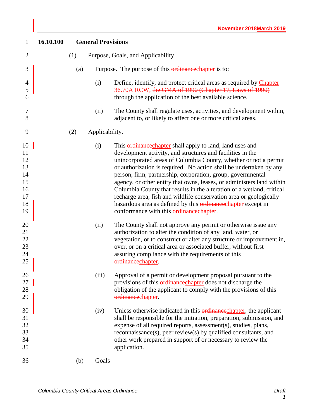<span id="page-8-0"></span>

| $\mathbf{1}$                                             | 16.10.100 |     | <b>General Provisions</b> |                                                                                                                                                                                                                                                                                                                                                                                                                                                                                                                                                                                                                                                                                            |
|----------------------------------------------------------|-----------|-----|---------------------------|--------------------------------------------------------------------------------------------------------------------------------------------------------------------------------------------------------------------------------------------------------------------------------------------------------------------------------------------------------------------------------------------------------------------------------------------------------------------------------------------------------------------------------------------------------------------------------------------------------------------------------------------------------------------------------------------|
| $\overline{2}$                                           |           | (1) |                           | Purpose, Goals, and Applicability                                                                                                                                                                                                                                                                                                                                                                                                                                                                                                                                                                                                                                                          |
| 3                                                        |           | (a) |                           | Purpose. The purpose of this <b>ordinance</b> chapter is to:                                                                                                                                                                                                                                                                                                                                                                                                                                                                                                                                                                                                                               |
| 4<br>5<br>6                                              |           |     | (i)                       | Define, identify, and protect critical areas as required by Chapter<br>36.70A RCW, the GMA of 1990 (Chapter 17, Laws of 1990)<br>through the application of the best available science.                                                                                                                                                                                                                                                                                                                                                                                                                                                                                                    |
| 7<br>8                                                   |           |     | (ii)                      | The County shall regulate uses, activities, and development within,<br>adjacent to, or likely to affect one or more critical areas.                                                                                                                                                                                                                                                                                                                                                                                                                                                                                                                                                        |
| 9                                                        |           | (2) | Applicability.            |                                                                                                                                                                                                                                                                                                                                                                                                                                                                                                                                                                                                                                                                                            |
| 10<br>11<br>12<br>13<br>14<br>15<br>16<br>17<br>18<br>19 |           |     | (i)                       | This <b>ordinance</b> chapter shall apply to land, land uses and<br>development activity, and structures and facilities in the<br>unincorporated areas of Columbia County, whether or not a permit<br>or authorization is required. No action shall be undertaken by any<br>person, firm, partnership, corporation, group, governmental<br>agency, or other entity that owns, leases, or administers land within<br>Columbia County that results in the alteration of a wetland, critical<br>recharge area, fish and wildlife conservation area or geologically<br>hazardous area as defined by this <b>ordinance</b> chapter except in<br>conformance with this <b>ordinance</b> chapter. |
| 20<br>21<br>22<br>23<br>24<br>25                         |           |     | (ii)                      | The County shall not approve any permit or otherwise issue any<br>authorization to alter the condition of any land, water, or<br>vegetation, or to construct or alter any structure or improvement in,<br>over, or on a critical area or associated buffer, without first<br>assuring compliance with the requirements of this<br>ordinancechapter.                                                                                                                                                                                                                                                                                                                                        |
| 26<br>27<br>28<br>29                                     |           |     | (iii)                     | Approval of a permit or development proposal pursuant to the<br>provisions of this <i>ordinance</i> chapter does not discharge the<br>obligation of the applicant to comply with the provisions of this<br>ordinancechapter.                                                                                                                                                                                                                                                                                                                                                                                                                                                               |
| 30<br>31<br>32<br>33<br>34<br>35                         |           |     | (iv)                      | Unless otherwise indicated in this ordinance chapter, the applicant<br>shall be responsible for the initiation, preparation, submission, and<br>expense of all required reports, assessment(s), studies, plans,<br>reconnaissance(s), peer review(s) by qualified consultants, and<br>other work prepared in support of or necessary to review the<br>application.                                                                                                                                                                                                                                                                                                                         |
| 36                                                       |           | (b) | Goals                     |                                                                                                                                                                                                                                                                                                                                                                                                                                                                                                                                                                                                                                                                                            |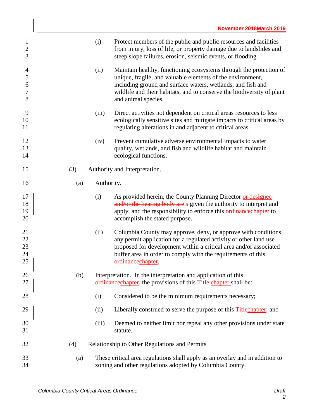| 1<br>$\overline{2}$<br>3                       |     | (i)        | Protect members of the public and public resources and facilities<br>from injury, loss of life, or property damage due to landslides and<br>steep slope failures, erosion, seismic events, or flooding.                                                                                          |
|------------------------------------------------|-----|------------|--------------------------------------------------------------------------------------------------------------------------------------------------------------------------------------------------------------------------------------------------------------------------------------------------|
| $\overline{4}$<br>$\mathfrak s$<br>6<br>7<br>8 |     | (ii)       | Maintain healthy, functioning ecosystems through the protection of<br>unique, fragile, and valuable elements of the environment,<br>including ground and surface waters, wetlands, and fish and<br>wildlife and their habitats, and to conserve the biodiversity of plant<br>and animal species. |
| 9<br>10<br>11                                  |     | (iii)      | Direct activities not dependent on critical areas resources to less<br>ecologically sensitive sites and mitigate impacts to critical areas by<br>regulating alterations in and adjacent to critical areas.                                                                                       |
| 12<br>13<br>14                                 |     | (iv)       | Prevent cumulative adverse environmental impacts to water<br>quality, wetlands, and fish and wildlife habitat and maintain<br>ecological functions.                                                                                                                                              |
| 15                                             | (3) |            | Authority and Interpretation.                                                                                                                                                                                                                                                                    |
| 16                                             | (a) | Authority. |                                                                                                                                                                                                                                                                                                  |
| 17<br>18<br>19<br>20                           |     | (i)        | As provided herein, the County Planning Director or designee<br>and/or the hearing body areis given the authority to interpret and<br>apply, and the responsibility to enforce this <b>ordinance</b> chapter to<br>accomplish the stated purpose.                                                |
| 21<br>$22\,$<br>23<br>24<br>25                 |     | (ii)       | Columbia County may approve, deny, or approve with conditions<br>any permit application for a regulated activity or other land use<br>proposed for development within a critical area and/or associated<br>buffer area in order to comply with the requirements of this<br>ordinancechapter.     |
| 26<br>27                                       | (b) |            | Interpretation. In the interpretation and application of this<br>ordinance chapter, the provisions of this <b>Title</b> chapter shall be:                                                                                                                                                        |
| 28                                             |     | (i)        | Considered to be the minimum requirements necessary;                                                                                                                                                                                                                                             |
| 29                                             |     | (ii)       | Liberally construed to serve the purpose of this <b>Title</b> chapter; and                                                                                                                                                                                                                       |
| 30<br>31                                       |     | (iii)      | Deemed to neither limit nor repeal any other provisions under state<br>statute.                                                                                                                                                                                                                  |
| 32                                             | (4) |            | Relationship to Other Regulations and Permits                                                                                                                                                                                                                                                    |
| 33<br>34                                       | (a) |            | These critical area regulations shall apply as an overlay and in addition to<br>zoning and other regulations adopted by Columbia County.                                                                                                                                                         |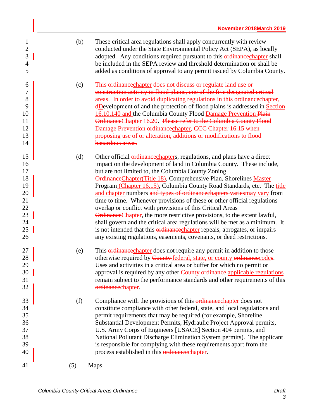| 1<br>$\overline{c}$<br>3<br>$\overline{4}$<br>5                      | (b) | These critical area regulations shall apply concurrently with review<br>conducted under the State Environmental Policy Act (SEPA), as locally<br>adopted. Any conditions required pursuant to this ordinancechapter shall<br>be included in the SEPA review and threshold determination or shall be<br>added as conditions of approval to any permit issued by Columbia County.                                                                                                                                                                                                                                                                                                                                                                                                                                                                                                                                    |
|----------------------------------------------------------------------|-----|--------------------------------------------------------------------------------------------------------------------------------------------------------------------------------------------------------------------------------------------------------------------------------------------------------------------------------------------------------------------------------------------------------------------------------------------------------------------------------------------------------------------------------------------------------------------------------------------------------------------------------------------------------------------------------------------------------------------------------------------------------------------------------------------------------------------------------------------------------------------------------------------------------------------|
| 6<br>7<br>8<br>9<br>10<br>11<br>12<br>13<br>14                       | (c) | This ordinance chapter does not discuss or regulate land use or<br>construction activity in flood plains, one of the five designated critical<br>areas. In order to avoid duplicating regulations in this ordinancechapter,<br><b>dDevelopment</b> of and the protection of flood plains is addressed in <b>Section</b><br>16.10.140 and the Columbia County Flood Damage Prevention Plain<br>OrdinanceChapter 16.20. Please refer to the Columbia County Flood<br>Damage Prevention ordinancechapter, CCC Chapter 16.15 when<br>proposing use of or alteration, additions or modifications to flood<br>hazardous areas.                                                                                                                                                                                                                                                                                           |
| 15<br>16<br>17<br>18<br>19<br>20<br>21<br>22<br>23<br>24<br>25<br>26 | (d) | Other official <i>ordinance</i> chapters, regulations, and plans have a direct<br>impact on the development of land in Columbia County. These include,<br>but are not limited to, the Columbia County Zoning<br>OrdinanceChapter(Title 18), Comprehensive Plan, Shorelines Master<br>Program (Chapter 16.15), Columbia County Road Standards, etc. The title<br>and chapter numbers and types of ordinancechapters variesmay vary from<br>time to time. Whenever provisions of these or other official regulations<br>overlap or conflict with provisions of this Critical Areas<br><b>Ordinance Chapter</b> , the more restrictive provisions, to the extent lawful,<br>shall govern and the critical area regulations will be met as a minimum. It<br>is not intended that this <i>erdinance</i> chapter repeals, abrogates, or impairs<br>any existing regulations, easements, covenants, or deed restrictions. |
| 27<br>28<br>29<br>30<br>31<br>32                                     | (e) | This <b>ordinance</b> chapter does not require any permit in addition to those<br>otherwise required by County federal, state, or county ordinancecodes.<br>Uses and activities in a critical area or buffer for which no permit or<br>approval is required by any other County ordinance applicable regulations<br>remain subject to the performance standards and other requirements of this<br>ordinancechapter.                                                                                                                                                                                                                                                                                                                                                                                                                                                                                                |
| 33<br>34<br>35<br>36<br>37<br>38<br>39<br>40                         | (f) | Compliance with the provisions of this ordinance chapter does not<br>constitute compliance with other federal, state, and local regulations and<br>permit requirements that may be required (for example, Shoreline<br>Substantial Development Permits, Hydraulic Project Approval permits,<br>U.S. Army Corps of Engineers [USACE] Section 404 permits, and<br>National Pollutant Discharge Elimination System permits). The applicant<br>is responsible for complying with these requirements apart from the<br>process established in this ordinance chapter.                                                                                                                                                                                                                                                                                                                                                   |
| 41                                                                   | (5) | Maps.                                                                                                                                                                                                                                                                                                                                                                                                                                                                                                                                                                                                                                                                                                                                                                                                                                                                                                              |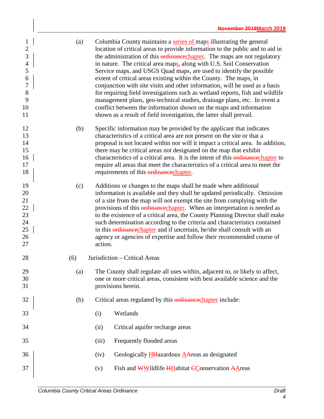| $\mathbf{1}$<br>$\mathbf{2}$<br>$\overline{3}$<br>$\overline{4}$<br>5<br>6<br>$\overline{7}$<br>8<br>9<br>10<br>11 | (a) |         | Columbia County maintains a series of maps illustrating the general<br>location of critical areas to provide information to the public and to aid in<br>the administration of this ordinance chapter. The maps are not regulatory<br>in nature. The critical area maps, along with U.S. Soil Conservation<br>Service maps, and USGS Quad maps, are used to identify the possible<br>extent of critical areas existing within the County. The maps, in<br>conjunction with site visits and other information, will be used as a basis<br>for requiring field investigations such as wetland reports, fish and wildlife<br>management plans, geo-technical studies, drainage plans, etc. In event a<br>conflict between the information shown on the maps and information<br>shown as a result of field investigation, the latter shall prevail. |  |  |  |  |  |
|--------------------------------------------------------------------------------------------------------------------|-----|---------|------------------------------------------------------------------------------------------------------------------------------------------------------------------------------------------------------------------------------------------------------------------------------------------------------------------------------------------------------------------------------------------------------------------------------------------------------------------------------------------------------------------------------------------------------------------------------------------------------------------------------------------------------------------------------------------------------------------------------------------------------------------------------------------------------------------------------------------------|--|--|--|--|--|
| 12<br>13<br>14<br>15<br>16<br>17<br>18                                                                             | (b) |         | Specific information may be provided by the applicant that indicates<br>characteristics of a critical area are not present on the site or that a<br>proposal is not located within nor will it impact a critical area. In addition,<br>there may be critical areas not designated on the map that exhibit<br>characteristics of a critical area. It is the intent of this ordinance chapter to<br>require all areas that meet the characteristics of a critical area to meet the<br>requirements of this ordinance chapter.                                                                                                                                                                                                                                                                                                                    |  |  |  |  |  |
| 19<br>20<br>21<br>22<br>23<br>24<br>25<br>26<br>27                                                                 | (c) | action. | Additions or changes to the maps shall be made when additional<br>information is available and they shall be updated periodically. Omission<br>of a site from the map will not exempt the site from complying with the<br>provisions of this ordinance chapter. When an interpretation is needed as<br>to the existence of a critical area, the County Planning Director shall make<br>such determination according to the criteria and characteristics contained<br>in this <b>ordinance</b> chapter and if uncertain, he/she shall consult with an<br>agency or agencies of expertise and follow their recommended course of                                                                                                                                                                                                                 |  |  |  |  |  |
| 28                                                                                                                 | (6) |         | Jurisdiction - Critical Areas                                                                                                                                                                                                                                                                                                                                                                                                                                                                                                                                                                                                                                                                                                                                                                                                                  |  |  |  |  |  |
| 29<br>30<br>31                                                                                                     | (a) |         | The County shall regulate all uses within, adjacent to, or likely to affect,<br>one or more critical areas, consistent with best available science and the<br>provisions herein.                                                                                                                                                                                                                                                                                                                                                                                                                                                                                                                                                                                                                                                               |  |  |  |  |  |
| 32                                                                                                                 | (b) |         | Critical areas regulated by this ordinance chapter include:                                                                                                                                                                                                                                                                                                                                                                                                                                                                                                                                                                                                                                                                                                                                                                                    |  |  |  |  |  |
| 33                                                                                                                 |     | (i)     | Wetlands                                                                                                                                                                                                                                                                                                                                                                                                                                                                                                                                                                                                                                                                                                                                                                                                                                       |  |  |  |  |  |
| 34                                                                                                                 |     | (ii)    | Critical aquifer recharge areas                                                                                                                                                                                                                                                                                                                                                                                                                                                                                                                                                                                                                                                                                                                                                                                                                |  |  |  |  |  |
| 35                                                                                                                 |     | (iii)   | Frequently flooded areas                                                                                                                                                                                                                                                                                                                                                                                                                                                                                                                                                                                                                                                                                                                                                                                                                       |  |  |  |  |  |
| 36                                                                                                                 |     | (iv)    | Geologically $H_{\text{H}}$ azardous $A_{\text{A}}$ reas as designated                                                                                                                                                                                                                                                                                                                                                                                                                                                                                                                                                                                                                                                                                                                                                                         |  |  |  |  |  |
| 37                                                                                                                 |     | (v)     | Fish and WWildlife HHabitat CConservation AAreas                                                                                                                                                                                                                                                                                                                                                                                                                                                                                                                                                                                                                                                                                                                                                                                               |  |  |  |  |  |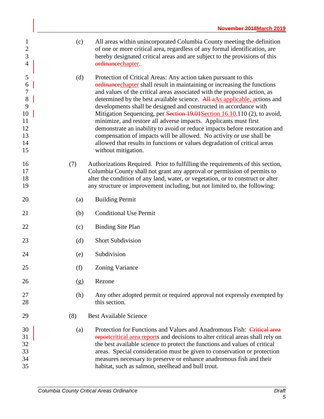| $\mathbf{1}$<br>$\overline{2}$<br>$\overline{3}$<br>$\overline{4}$ | (c) | All areas within unincorporated Columbia County meeting the definition<br>of one or more critical area, regardless of any formal identification, are<br>hereby designated critical areas and are subject to the provisions of this<br>ordinancechapter.                                                                                                                                                                                          |
|--------------------------------------------------------------------|-----|--------------------------------------------------------------------------------------------------------------------------------------------------------------------------------------------------------------------------------------------------------------------------------------------------------------------------------------------------------------------------------------------------------------------------------------------------|
| 5<br>6<br>$\boldsymbol{7}$<br>8<br>9                               | (d) | Protection of Critical Areas: Any action taken pursuant to this<br>ordinance chapter shall result in maintaining or increasing the functions<br>and values of the critical areas associated with the proposed action, as<br>determined by the best available science. All aAs applicable, actions and<br>developments shall be designed and constructed in accordance with                                                                       |
| 10<br>11<br>12<br>13<br>14<br>15                                   |     | Mitigation Sequencing, per Section 19.01 Section 16.10.110 (2), to avoid,<br>minimize, and restore all adverse impacts. Applicants must first<br>demonstrate an inability to avoid or reduce impacts before restoration and<br>compensation of impacts will be allowed. No activity or use shall be<br>allowed that results in functions or values degradation of critical areas<br>without mitigation.                                          |
| 16<br>17<br>18<br>19                                               | (7) | Authorizations Required. Prior to fulfilling the requirements of this section,<br>Columbia County shall not grant any approval or permission of permits to<br>alter the condition of any land, water, or vegetation, or to construct or alter<br>any structure or improvement including, but not limited to, the following:                                                                                                                      |
| 20                                                                 | (a) | <b>Building Permit</b>                                                                                                                                                                                                                                                                                                                                                                                                                           |
| 21                                                                 | (b) | <b>Conditional Use Permit</b>                                                                                                                                                                                                                                                                                                                                                                                                                    |
| 22                                                                 | (c) | <b>Binding Site Plan</b>                                                                                                                                                                                                                                                                                                                                                                                                                         |
| 23                                                                 | (d) | <b>Short Subdivision</b>                                                                                                                                                                                                                                                                                                                                                                                                                         |
| 24                                                                 | (e) | Subdivision                                                                                                                                                                                                                                                                                                                                                                                                                                      |
| 25                                                                 | (f) | <b>Zoning Variance</b>                                                                                                                                                                                                                                                                                                                                                                                                                           |
| 26                                                                 | (g) | Rezone                                                                                                                                                                                                                                                                                                                                                                                                                                           |
| 27<br>28                                                           | (h) | Any other adopted permit or required approval not expressly exempted by<br>this section.                                                                                                                                                                                                                                                                                                                                                         |
| 29                                                                 | (8) | <b>Best Available Science</b>                                                                                                                                                                                                                                                                                                                                                                                                                    |
| 30<br>31<br>32<br>33<br>34<br>35                                   | (a) | Protection for Functions and Values and Anadromous Fish: Critical area<br>reporteritical area reports and decisions to alter critical areas shall rely on<br>the best available science to protect the functions and values of critical<br>areas. Special consideration must be given to conservation or protection<br>measures necessary to preserve or enhance anadromous fish and their<br>habitat, such as salmon, steelhead and bull trout. |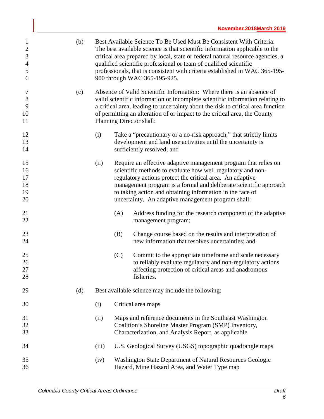| $\mathbf{1}$<br>$\boldsymbol{2}$<br>$\mathfrak{Z}$<br>$\overline{4}$<br>$\mathfrak{S}$<br>6 | (b) |       |     | Best Available Science To Be Used Must Be Consistent With Criteria:<br>The best available science is that scientific information applicable to the<br>critical area prepared by local, state or federal natural resource agencies, a<br>qualified scientific professional or team of qualified scientific<br>professionals, that is consistent with criteria established in WAC 365-195-<br>900 through WAC 365-195-925. |
|---------------------------------------------------------------------------------------------|-----|-------|-----|--------------------------------------------------------------------------------------------------------------------------------------------------------------------------------------------------------------------------------------------------------------------------------------------------------------------------------------------------------------------------------------------------------------------------|
| 7<br>$8\,$<br>9<br>10<br>11                                                                 | (c) |       |     | Absence of Valid Scientific Information: Where there is an absence of<br>valid scientific information or incomplete scientific information relating to<br>a critical area, leading to uncertainty about the risk to critical area function<br>of permitting an alteration of or impact to the critical area, the County<br>Planning Director shall:                                                                      |
| 12<br>13<br>14                                                                              |     | (i)   |     | Take a "precautionary or a no-risk approach," that strictly limits<br>development and land use activities until the uncertainty is<br>sufficiently resolved; and                                                                                                                                                                                                                                                         |
| 15<br>16<br>17<br>18<br>19<br>20                                                            |     | (ii)  |     | Require an effective adaptive management program that relies on<br>scientific methods to evaluate how well regulatory and non-<br>regulatory actions protect the critical area. An adaptive<br>management program is a formal and deliberate scientific approach<br>to taking action and obtaining information in the face of<br>uncertainty. An adaptive management program shall:                                      |
| 21<br>22                                                                                    |     |       | (A) | Address funding for the research component of the adaptive<br>management program;                                                                                                                                                                                                                                                                                                                                        |
| 23<br>24                                                                                    |     |       | (B) | Change course based on the results and interpretation of<br>new information that resolves uncertainties; and                                                                                                                                                                                                                                                                                                             |
| 25<br>26<br>27<br>28                                                                        |     |       | (C) | Commit to the appropriate timeframe and scale necessary<br>to reliably evaluate regulatory and non-regulatory actions<br>affecting protection of critical areas and anadromous<br>fisheries.                                                                                                                                                                                                                             |
| 29                                                                                          | (d) |       |     | Best available science may include the following:                                                                                                                                                                                                                                                                                                                                                                        |
| 30                                                                                          |     | (i)   |     | Critical area maps                                                                                                                                                                                                                                                                                                                                                                                                       |
| 31<br>32<br>33                                                                              |     | (ii)  |     | Maps and reference documents in the Southeast Washington<br>Coalition's Shoreline Master Program (SMP) Inventory,<br>Characterization, and Analysis Report, as applicable                                                                                                                                                                                                                                                |
| 34                                                                                          |     | (iii) |     | U.S. Geological Survey (USGS) topographic quadrangle maps                                                                                                                                                                                                                                                                                                                                                                |
| 35<br>36                                                                                    |     | (iv)  |     | Washington State Department of Natural Resources Geologic<br>Hazard, Mine Hazard Area, and Water Type map                                                                                                                                                                                                                                                                                                                |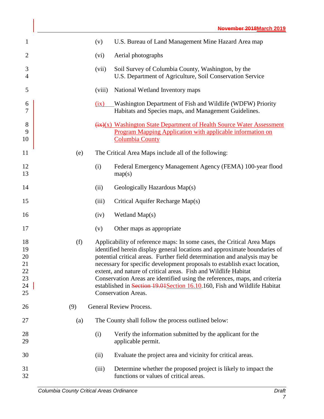| $\mathbf{1}$                                 | (v)            |        | U.S. Bureau of Land Management Mine Hazard Area map                                                                                                                                                                                                                                                                                                                                                                                                                                                                                                                       |
|----------------------------------------------|----------------|--------|---------------------------------------------------------------------------------------------------------------------------------------------------------------------------------------------------------------------------------------------------------------------------------------------------------------------------------------------------------------------------------------------------------------------------------------------------------------------------------------------------------------------------------------------------------------------------|
| $\overline{2}$                               | (vi)           |        | Aerial photographs                                                                                                                                                                                                                                                                                                                                                                                                                                                                                                                                                        |
| 3<br>$\overline{4}$                          |                | (vii)  | Soil Survey of Columbia County, Washington, by the<br>U.S. Department of Agriculture, Soil Conservation Service                                                                                                                                                                                                                                                                                                                                                                                                                                                           |
| 5                                            |                | (viii) | National Wetland Inventory maps                                                                                                                                                                                                                                                                                                                                                                                                                                                                                                                                           |
| 6<br>$\overline{7}$                          | $\frac{d}{dx}$ |        | Washington Department of Fish and Wildlife (WDFW) Priority<br>Habitats and Species maps, and Management Guidelines.                                                                                                                                                                                                                                                                                                                                                                                                                                                       |
| 8<br>9<br>10                                 |                |        | $\frac{f(x)}{x}$ Washington State Department of Health Source Water Assessment<br>Program Mapping Application with applicable information on<br><b>Columbia County</b>                                                                                                                                                                                                                                                                                                                                                                                                    |
| 11                                           | (e)            |        | The Critical Area Maps include all of the following:                                                                                                                                                                                                                                                                                                                                                                                                                                                                                                                      |
| 12<br>13                                     | (i)            |        | Federal Emergency Management Agency (FEMA) 100-year flood<br>map(s)                                                                                                                                                                                                                                                                                                                                                                                                                                                                                                       |
| 14                                           | (ii)           |        | Geologically Hazardous Map(s)                                                                                                                                                                                                                                                                                                                                                                                                                                                                                                                                             |
| 15                                           | (iii)          |        | Critical Aquifer Recharge Map(s)                                                                                                                                                                                                                                                                                                                                                                                                                                                                                                                                          |
| 16                                           | (iv)           |        | Wetland Map(s)                                                                                                                                                                                                                                                                                                                                                                                                                                                                                                                                                            |
| 17                                           | (v)            |        | Other maps as appropriate                                                                                                                                                                                                                                                                                                                                                                                                                                                                                                                                                 |
| 18<br>19<br>20<br>21<br>22<br>23<br>24<br>25 | (f)            |        | Applicability of reference maps: In some cases, the Critical Area Maps<br>identified herein display general locations and approximate boundaries of<br>potential critical areas. Further field determination and analysis may be<br>necessary for specific development proposals to establish exact location,<br>extent, and nature of critical areas. Fish and Wildlife Habitat<br>Conservation Areas are identified using the references, maps, and criteria<br>established in Section 19.01 Section 16.10.160, Fish and Wildlife Habitat<br><b>Conservation Areas.</b> |
| 26                                           | (9)            |        | <b>General Review Process.</b>                                                                                                                                                                                                                                                                                                                                                                                                                                                                                                                                            |
| 27                                           | (a)            |        | The County shall follow the process outlined below:                                                                                                                                                                                                                                                                                                                                                                                                                                                                                                                       |
| 28<br>29                                     | (i)            |        | Verify the information submitted by the applicant for the<br>applicable permit.                                                                                                                                                                                                                                                                                                                                                                                                                                                                                           |
| 30                                           | (ii)           |        | Evaluate the project area and vicinity for critical areas.                                                                                                                                                                                                                                                                                                                                                                                                                                                                                                                |
| 31<br>32                                     | (iii)          |        | Determine whether the proposed project is likely to impact the<br>functions or values of critical areas.                                                                                                                                                                                                                                                                                                                                                                                                                                                                  |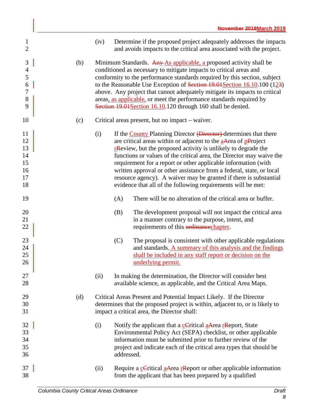| $\mathbf{1}$<br>$\overline{2}$               |     | (iv) |            | Determine if the proposed project adequately addresses the impacts<br>and avoids impacts to the critical area associated with the project.                                                                                                                                                                                                                                                                                                                                                                                                                                                 |
|----------------------------------------------|-----|------|------------|--------------------------------------------------------------------------------------------------------------------------------------------------------------------------------------------------------------------------------------------------------------------------------------------------------------------------------------------------------------------------------------------------------------------------------------------------------------------------------------------------------------------------------------------------------------------------------------------|
| 3<br>$\overline{4}$<br>5<br>6<br>7<br>8<br>9 | (b) |      |            | Minimum Standards. Any As applicable, a proposed activity shall be<br>conditioned as necessary to mitigate impacts to critical areas and<br>conformity to the performance standards required by this section, subject<br>to the Reasonable Use Exception of Section 19.01 Section 16.10.100 (123)<br>above. Any project that cannot adequately mitigate its impacts to critical<br>areas, as applicable, or meet the performance standards required by<br>Section 19.01 Section 16.10.120 through 160 shall be denied.                                                                     |
| 10                                           | (c) |      |            | Critical areas present, but no impact – waiver.                                                                                                                                                                                                                                                                                                                                                                                                                                                                                                                                            |
| 11<br>12<br>13<br>14<br>15<br>16<br>17<br>18 |     | (i)  |            | If the <b>County Planning Director</b> (Director) determines that there<br>are critical areas within or adjacent to the <b>aArea</b> of <b>pProject</b><br>$r$ <b>R</b> eview, but the proposed activity is unlikely to degrade the<br>functions or values of the critical area, the Director may waive the<br>requirement for a report or other applicable information (with<br>written approval or other assistance from a federal, state, or local<br>resource agency). A waiver may be granted if there is substantial<br>evidence that all of the following requirements will be met: |
| 19                                           |     |      | (A)        | There will be no alteration of the critical area or buffer.                                                                                                                                                                                                                                                                                                                                                                                                                                                                                                                                |
| 20<br>21<br>22                               |     |      | (B)        | The development proposal will not impact the critical area<br>in a manner contrary to the purpose, intent, and<br>requirements of this ordinance chapter.                                                                                                                                                                                                                                                                                                                                                                                                                                  |
| 23<br>24<br>25<br>26                         |     |      | (C)        | The proposal is consistent with other applicable regulations<br>and standards. A summary of this analysis and the findings<br>shall be included in any staff report or decision on the<br>underlying permit.                                                                                                                                                                                                                                                                                                                                                                               |
| 27<br>28                                     |     | (ii) |            | In making the determination, the Director will consider best<br>available science, as applicable, and the Critical Area Maps.                                                                                                                                                                                                                                                                                                                                                                                                                                                              |
| 29<br>30<br>31                               | (d) |      |            | Critical Areas Present and Potential Impact Likely. If the Director<br>determines that the proposed project is within, adjacent to, or is likely to<br>impact a critical area, the Director shall:                                                                                                                                                                                                                                                                                                                                                                                         |
| 32<br>33<br>34<br>35<br>36                   |     | (i)  | addressed. | Notify the applicant that a cCritical aArea rReport, State<br>Environmental Policy Act (SEPA) checklist, or other applicable<br>information must be submitted prior to further review of the<br>project and indicate each of the critical area types that should be                                                                                                                                                                                                                                                                                                                        |
| 37<br>38                                     |     | (ii) |            | Require a cCritical a Area rReport or other applicable information<br>from the applicant that has been prepared by a qualified                                                                                                                                                                                                                                                                                                                                                                                                                                                             |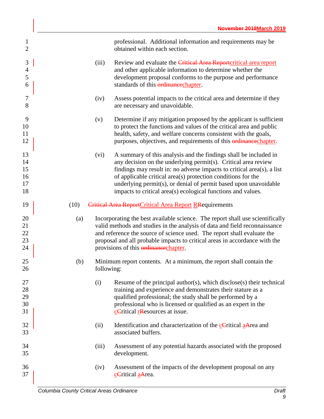| $\mathbf{1}$<br>$\overline{2}$   |      |            | professional. Additional information and requirements may be<br>obtained within each section.                                                                                                                                                                                                                                                                                                                    |
|----------------------------------|------|------------|------------------------------------------------------------------------------------------------------------------------------------------------------------------------------------------------------------------------------------------------------------------------------------------------------------------------------------------------------------------------------------------------------------------|
| 3<br>$\overline{4}$<br>5<br>6    |      | (iii)      | Review and evaluate the Critical Area Report critical area report<br>and other applicable information to determine whether the<br>development proposal conforms to the purpose and performance<br>standards of this ordinance chapter.                                                                                                                                                                           |
| 7<br>8                           |      | (iv)       | Assess potential impacts to the critical area and determine if they<br>are necessary and unavoidable.                                                                                                                                                                                                                                                                                                            |
| 9<br>10<br>11<br>12              |      | (v)        | Determine if any mitigation proposed by the applicant is sufficient<br>to protect the functions and values of the critical area and public<br>health, safety, and welfare concerns consistent with the goals,<br>purposes, objectives, and requirements of this <b>ordinance</b> chapter.                                                                                                                        |
| 13<br>14<br>15<br>16<br>17<br>18 |      | (vi)       | A summary of this analysis and the findings shall be included in<br>any decision on the underlying permit(s). Critical area review<br>findings may result in: no adverse impacts to critical area(s), a list<br>of applicable critical area(s) protection conditions for the<br>underlying permit(s), or denial of permit based upon unavoidable<br>impacts to critical area(s) ecological functions and values. |
| 19                               | (10) |            | Critical Area ReportCritical Area Report RRequirements                                                                                                                                                                                                                                                                                                                                                           |
| 20<br>21<br>22<br>23<br>24       | (a)  |            | Incorporating the best available science. The report shall use scientifically<br>valid methods and studies in the analysis of data and field reconnaissance<br>and reference the source of science used. The report shall evaluate the<br>proposal and all probable impacts to critical areas in accordance with the<br>provisions of this ordinance chapter.                                                    |
| 25<br>26                         | (b)  | following: | Minimum report contents. At a minimum, the report shall contain the                                                                                                                                                                                                                                                                                                                                              |
| 27<br>28<br>29<br>30<br>31       |      | (i)        | Resume of the principal author(s), which disclose(s) their technical<br>training and experience and demonstrates their stature as a<br>qualified professional; the study shall be performed by a<br>professional who is licensed or qualified as an expert in the<br>ceritical resources at issue.                                                                                                               |
| 32<br>33                         |      | (ii)       | Identification and characterization of the <b>cC</b> ritical <b>aArea</b> and<br>associated buffers.                                                                                                                                                                                                                                                                                                             |
| 34<br>35                         |      | (iii)      | Assessment of any potential hazards associated with the proposed<br>development.                                                                                                                                                                                                                                                                                                                                 |
| 36<br>37                         |      | (iv)       | Assessment of the impacts of the development proposal on any<br>cCritical aArea.                                                                                                                                                                                                                                                                                                                                 |
|                                  |      |            |                                                                                                                                                                                                                                                                                                                                                                                                                  |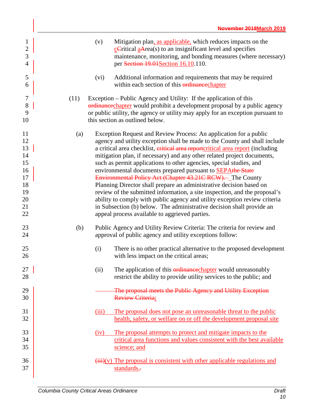| $\mathbf{1}$<br>$\overline{c}$<br>$\overline{3}$<br>$\overline{4}$   |      | (v)   | Mitigation plan, as applicable, which reduces impacts on the<br>$c$ Critical $a$ Area(s) to an insignificant level and specifies<br>maintenance, monitoring, and bonding measures (where necessary)<br>per Section 19.01 Section 16.10.110.                                                                                                                                                                                                                                                                                                                                                                                                                                                                                                                                                                                                                                         |
|----------------------------------------------------------------------|------|-------|-------------------------------------------------------------------------------------------------------------------------------------------------------------------------------------------------------------------------------------------------------------------------------------------------------------------------------------------------------------------------------------------------------------------------------------------------------------------------------------------------------------------------------------------------------------------------------------------------------------------------------------------------------------------------------------------------------------------------------------------------------------------------------------------------------------------------------------------------------------------------------------|
| 5<br>6                                                               |      | (vi)  | Additional information and requirements that may be required<br>within each section of this ordinance chapter                                                                                                                                                                                                                                                                                                                                                                                                                                                                                                                                                                                                                                                                                                                                                                       |
| 7<br>$8\,$<br>9<br>10                                                | (11) |       | Exception – Public Agency and Utility: If the application of this<br>ordinance chapter would prohibit a development proposal by a public agency<br>or public utility, the agency or utility may apply for an exception pursuant to<br>this section as outlined below.                                                                                                                                                                                                                                                                                                                                                                                                                                                                                                                                                                                                               |
| 11<br>12<br>13<br>14<br>15<br>16<br>17<br>18<br>19<br>20<br>21<br>22 | (a)  |       | Exception Request and Review Process: An application for a public<br>agency and utility exception shall be made to the County and shall include<br>a critical area checklist, eritical area reportcritical area report (including<br>mitigation plan, if necessary) and any other related project documents,<br>such as permit applications to other agencies, special studies, and<br>environmental documents prepared pursuant to <b>SEPAthe State</b><br>Environmental Policy Act (Chapter 43.21C RCW). The County<br>Planning Director shall prepare an administrative decision based on<br>review of the submitted information, a site inspection, and the proposal's<br>ability to comply with public agency and utility exception review criteria<br>in Subsection (b) below. The administrative decision shall provide an<br>appeal process available to aggrieved parties. |
| 23<br>24                                                             | (b)  |       | Public Agency and Utility Review Criteria: The criteria for review and<br>approval of public agency and utility exceptions follow:                                                                                                                                                                                                                                                                                                                                                                                                                                                                                                                                                                                                                                                                                                                                                  |
| 25<br>26                                                             |      | (i)   | There is no other practical alternative to the proposed development<br>with less impact on the critical areas;                                                                                                                                                                                                                                                                                                                                                                                                                                                                                                                                                                                                                                                                                                                                                                      |
| 27<br>28                                                             |      | (ii)  | The application of this <b>ordinance</b> chapter would unreasonably<br>restrict the ability to provide utility services to the public; and                                                                                                                                                                                                                                                                                                                                                                                                                                                                                                                                                                                                                                                                                                                                          |
| 29<br>30                                                             |      |       | The proposal meets the Public Agency and Utility Exception<br><b>Review Criteria:</b>                                                                                                                                                                                                                                                                                                                                                                                                                                                                                                                                                                                                                                                                                                                                                                                               |
| 31<br>32                                                             |      | (iii) | The proposal does not pose an unreasonable threat to the public<br>health, safety, or welfare on or off the development proposal site                                                                                                                                                                                                                                                                                                                                                                                                                                                                                                                                                                                                                                                                                                                                               |
| 33<br>34<br>35                                                       |      | (iv)  | The proposal attempts to protect and mitigate impacts to the<br>critical area functions and values consistent with the best available<br>science; and                                                                                                                                                                                                                                                                                                                                                                                                                                                                                                                                                                                                                                                                                                                               |
| 36<br>37                                                             |      |       | $(iii)(v)$ The proposal is consistent with other applicable regulations and<br>standards.-                                                                                                                                                                                                                                                                                                                                                                                                                                                                                                                                                                                                                                                                                                                                                                                          |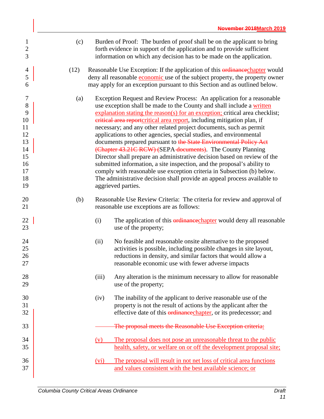| $\mathbf{1}$<br>$\overline{2}$<br>3                                         | (c)  |       | Burden of Proof: The burden of proof shall be on the applicant to bring<br>forth evidence in support of the application and to provide sufficient<br>information on which any decision has to be made on the application.                                                                                                                                                                                                                                                                                                                                                                                                                                                                                                                                                                                                                                                                                                   |
|-----------------------------------------------------------------------------|------|-------|-----------------------------------------------------------------------------------------------------------------------------------------------------------------------------------------------------------------------------------------------------------------------------------------------------------------------------------------------------------------------------------------------------------------------------------------------------------------------------------------------------------------------------------------------------------------------------------------------------------------------------------------------------------------------------------------------------------------------------------------------------------------------------------------------------------------------------------------------------------------------------------------------------------------------------|
| 4<br>5<br>6                                                                 | (12) |       | Reasonable Use Exception: If the application of this ordinance chapter would<br>deny all reasonable <b>economic</b> use of the subject property, the property owner<br>may apply for an exception pursuant to this Section and as outlined below.                                                                                                                                                                                                                                                                                                                                                                                                                                                                                                                                                                                                                                                                           |
| 7<br>$8\,$<br>9<br>10<br>11<br>12<br>13<br>14<br>15<br>16<br>17<br>18<br>19 | (a)  |       | Exception Request and Review Process: An application for a reasonable<br>use exception shall be made to the County and shall include a written<br>explanation stating the reason(s) for an exception; critical area checklist;<br>eritical area reportcritical area report, including mitigation plan, if<br>necessary; and any other related project documents, such as permit<br>applications to other agencies, special studies, and environmental<br>documents prepared pursuant to the State Environmental Policy Act<br>(Chapter 43.21C RCW) (SEPA documents). The County Planning<br>Director shall prepare an administrative decision based on review of the<br>submitted information, a site inspection, and the proposal's ability to<br>comply with reasonable use exception criteria in Subsection (b) below.<br>The administrative decision shall provide an appeal process available to<br>aggrieved parties. |
| 20<br>21                                                                    | (b)  |       | Reasonable Use Review Criteria: The criteria for review and approval of<br>reasonable use exceptions are as follows:                                                                                                                                                                                                                                                                                                                                                                                                                                                                                                                                                                                                                                                                                                                                                                                                        |
| 22<br>23                                                                    |      | (i)   | The application of this <b>ordinance</b> chapter would deny all reasonable<br>use of the property;                                                                                                                                                                                                                                                                                                                                                                                                                                                                                                                                                                                                                                                                                                                                                                                                                          |
| 24<br>25<br>26<br>27                                                        |      | (ii)  | No feasible and reasonable onsite alternative to the proposed<br>activities is possible, including possible changes in site layout,<br>reductions in density, and similar factors that would allow a<br>reasonable economic use with fewer adverse impacts                                                                                                                                                                                                                                                                                                                                                                                                                                                                                                                                                                                                                                                                  |
| 28<br>29                                                                    |      | (iii) | Any alteration is the minimum necessary to allow for reasonable<br>use of the property;                                                                                                                                                                                                                                                                                                                                                                                                                                                                                                                                                                                                                                                                                                                                                                                                                                     |
| 30<br>31<br>32                                                              |      | (iv)  | The inability of the applicant to derive reasonable use of the<br>property is not the result of actions by the applicant after the<br>effective date of this erdinance chapter, or its predecessor; and                                                                                                                                                                                                                                                                                                                                                                                                                                                                                                                                                                                                                                                                                                                     |
| 33                                                                          |      |       | The proposal meets the Reasonable Use Exception criteria:                                                                                                                                                                                                                                                                                                                                                                                                                                                                                                                                                                                                                                                                                                                                                                                                                                                                   |
| 34<br>35                                                                    |      | (v)   | The proposal does not pose an unreasonable threat to the public<br>health, safety, or welfare on or off the development proposal site;                                                                                                                                                                                                                                                                                                                                                                                                                                                                                                                                                                                                                                                                                                                                                                                      |
| 36<br>37                                                                    |      | (vi)  | The proposal will result in not net loss of critical area functions<br>and values consistent with the best available science; or                                                                                                                                                                                                                                                                                                                                                                                                                                                                                                                                                                                                                                                                                                                                                                                            |
|                                                                             |      |       |                                                                                                                                                                                                                                                                                                                                                                                                                                                                                                                                                                                                                                                                                                                                                                                                                                                                                                                             |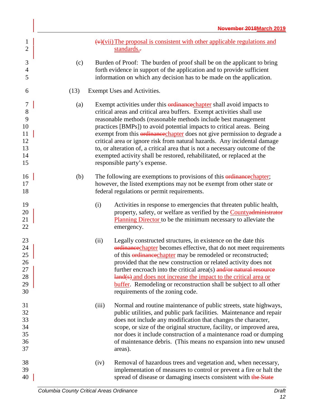| $\mathbf{1}$<br>$\overline{2}$                      |      |       | $(v)(vii)$ The proposal is consistent with other applicable regulations and<br>standards.-                                                                                                                                                                                                                                                                                                                                                                                                                                                                                                                                                        |
|-----------------------------------------------------|------|-------|---------------------------------------------------------------------------------------------------------------------------------------------------------------------------------------------------------------------------------------------------------------------------------------------------------------------------------------------------------------------------------------------------------------------------------------------------------------------------------------------------------------------------------------------------------------------------------------------------------------------------------------------------|
| $\mathfrak{Z}$<br>4<br>5                            | (c)  |       | Burden of Proof: The burden of proof shall be on the applicant to bring<br>forth evidence in support of the application and to provide sufficient<br>information on which any decision has to be made on the application.                                                                                                                                                                                                                                                                                                                                                                                                                         |
| 6                                                   | (13) |       | Exempt Uses and Activities.                                                                                                                                                                                                                                                                                                                                                                                                                                                                                                                                                                                                                       |
| 7<br>$8\,$<br>9<br>10<br>11<br>12<br>13<br>14<br>15 | (a)  |       | Exempt activities under this <b>ordinance</b> chapter shall avoid impacts to<br>critical areas and critical area buffers. Exempt activities shall use<br>reasonable methods (reasonable methods include best management<br>practices [BMPs]) to avoid potential impacts to critical areas. Being<br>exempt from this ordinancechapter does not give permission to degrade a<br>critical area or ignore risk from natural hazards. Any incidental damage<br>to, or alteration of, a critical area that is not a necessary outcome of the<br>exempted activity shall be restored, rehabilitated, or replaced at the<br>responsible party's expense. |
| 16<br>17<br>18                                      | (b)  |       | The following are exemptions to provisions of this ordinance chapter;<br>however, the listed exemptions may not be exempt from other state or<br>federal regulations or permit requirements.                                                                                                                                                                                                                                                                                                                                                                                                                                                      |
| 19<br>20<br>21<br>22                                |      | (i)   | Activities in response to emergencies that threaten public health,<br>property, safety, or welfare as verified by the <b>Countyadministrator</b><br><b>Planning Director</b> to be the minimum necessary to alleviate the<br>emergency.                                                                                                                                                                                                                                                                                                                                                                                                           |
| 23<br>24<br>25<br>26<br>27<br>28<br>29<br>30        |      | (ii)  | Legally constructed structures, in existence on the date this<br>ordinance chapter becomes effective, that do not meet requirements<br>of this <b>ordinance</b> chapter may be remodeled or reconstructed;<br>provided that the new construction or related activity does not<br>further encroach into the critical area(s) $\frac{and}{or}$ natural resource<br>land(s) and does not increase the impact to the critical area or<br><b>buffer</b> . Remodeling or reconstruction shall be subject to all other<br>requirements of the zoning code.                                                                                               |
| 31<br>32<br>33<br>34<br>35<br>36<br>37              |      | (iii) | Normal and routine maintenance of public streets, state highways,<br>public utilities, and public park facilities. Maintenance and repair<br>does not include any modification that changes the character,<br>scope, or size of the original structure, facility, or improved area,<br>nor does it include construction of a maintenance road or dumping<br>of maintenance debris. (This means no expansion into new unused<br>areas).                                                                                                                                                                                                            |
| 38<br>39<br>40                                      |      | (iv)  | Removal of hazardous trees and vegetation and, when necessary,<br>implementation of measures to control or prevent a fire or halt the<br>spread of disease or damaging insects consistent with the State                                                                                                                                                                                                                                                                                                                                                                                                                                          |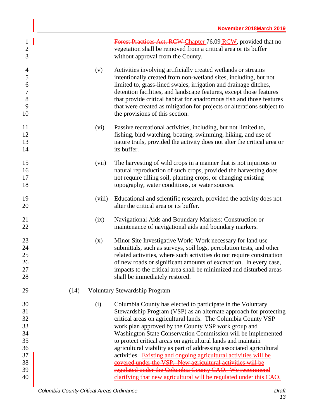| $\mathbf{1}$<br>$\mathbf{2}$<br>3                                            |        | Forest Practices Act, RCW Chapter 76.09 RCW, provided that no<br>vegetation shall be removed from a critical area or its buffer<br>without approval from the County.                                                                                                                                                                                                                                                                                                                                                                                                                                                                                        |
|------------------------------------------------------------------------------|--------|-------------------------------------------------------------------------------------------------------------------------------------------------------------------------------------------------------------------------------------------------------------------------------------------------------------------------------------------------------------------------------------------------------------------------------------------------------------------------------------------------------------------------------------------------------------------------------------------------------------------------------------------------------------|
| $\overline{4}$<br>$\mathfrak s$<br>6<br>$\boldsymbol{7}$<br>$8\,$<br>9<br>10 | (v)    | Activities involving artificially created wetlands or streams<br>intentionally created from non-wetland sites, including, but not<br>limited to, grass-lined swales, irrigation and drainage ditches,<br>detention facilities, and landscape features, except those features<br>that provide critical habitat for anadromous fish and those features<br>that were created as mitigation for projects or alterations subject to<br>the provisions of this section.                                                                                                                                                                                           |
| 11<br>12<br>13<br>14                                                         | (vi)   | Passive recreational activities, including, but not limited to,<br>fishing, bird watching, boating, swimming, hiking, and use of<br>nature trails, provided the activity does not alter the critical area or<br>its buffer.                                                                                                                                                                                                                                                                                                                                                                                                                                 |
| 15<br>16<br>17<br>18                                                         | (vii)  | The harvesting of wild crops in a manner that is not injurious to<br>natural reproduction of such crops, provided the harvesting does<br>not require tilling soil, planting crops, or changing existing<br>topography, water conditions, or water sources.                                                                                                                                                                                                                                                                                                                                                                                                  |
| 19<br>20                                                                     | (viii) | Educational and scientific research, provided the activity does not<br>alter the critical area or its buffer.                                                                                                                                                                                                                                                                                                                                                                                                                                                                                                                                               |
| 21<br>22                                                                     | (ix)   | Navigational Aids and Boundary Markers: Construction or<br>maintenance of navigational aids and boundary markers.                                                                                                                                                                                                                                                                                                                                                                                                                                                                                                                                           |
| 23<br>24<br>25<br>26<br>27<br>28                                             | (x)    | Minor Site Investigative Work: Work necessary for land use<br>submittals, such as surveys, soil logs, percolation tests, and other<br>related activities, where such activities do not require construction<br>of new roads or significant amounts of excavation. In every case,<br>impacts to the critical area shall be minimized and disturbed areas<br>shall be immediately restored.                                                                                                                                                                                                                                                                   |
| 29                                                                           | (14)   | Voluntary Stewardship Program                                                                                                                                                                                                                                                                                                                                                                                                                                                                                                                                                                                                                               |
| 30<br>31<br>32<br>33<br>34<br>35<br>36<br>37<br>38<br>39                     | (i)    | Columbia County has elected to participate in the Voluntary<br>Stewardship Program (VSP) as an alternate approach for protecting<br>critical areas on agricultural lands. The Columbia County VSP<br>work plan approved by the County VSP work group and<br>Washington State Conservation Commission will be implemented<br>to protect critical areas on agricultural lands and maintain<br>agricultural viability as part of addressing associated agricultural<br>activities. Existing and ongoing agricultural activities will be<br>covered under the VSP. New agricultural activities will be<br>regulated under the Columbia County CAO. We recommend |
| 40                                                                           |        | clarifying that new agricultural will be regulated under this CAO.                                                                                                                                                                                                                                                                                                                                                                                                                                                                                                                                                                                          |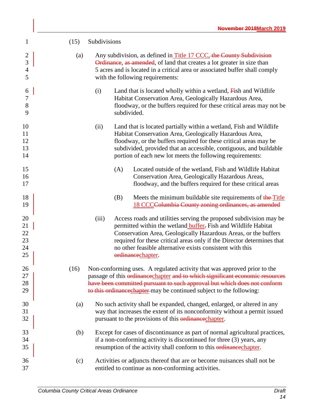| $\mathbf{1}$                               | (15) | Subdivisions |                                                                                                                                                                                                                                                                                                                                                                             |
|--------------------------------------------|------|--------------|-----------------------------------------------------------------------------------------------------------------------------------------------------------------------------------------------------------------------------------------------------------------------------------------------------------------------------------------------------------------------------|
| $\overline{c}$<br>3<br>$\overline{4}$<br>5 | (a)  |              | Any subdivision, as defined in Title 17 CCC, the County Subdivision<br><b>Ordinance</b> , as amended, of land that creates a lot greater in size than<br>5 acres and is located in a critical area or associated buffer shall comply<br>with the following requirements:                                                                                                    |
| 6<br>7<br>8<br>9                           |      | (i)          | Land that is located wholly within a wetland, $\overline{F}$ ish and Wildlife<br>Habitat Conservation Area, Geologically Hazardous Area,<br>floodway, or the buffers required for these critical areas may not be<br>subdivided.                                                                                                                                            |
| 10<br>11<br>12<br>13<br>14                 |      | (ii)         | Land that is located partially within a wetland, Fish and Wildlife<br>Habitat Conservation Area, Geologically Hazardous Area,<br>floodway, or the buffers required for these critical areas may be<br>subdivided, provided that an accessible, contiguous, and buildable<br>portion of each new lot meets the following requirements:                                       |
| 15<br>16<br>17                             |      |              | Located outside of the wetland, Fish and Wildlife Habitat<br>(A)<br>Conservation Area, Geologically Hazardous Areas,<br>floodway, and the buffers required for these critical areas                                                                                                                                                                                         |
| 18<br>19                                   |      |              | (B)<br>Meets the minimum buildable site requirements of the Title<br>18 CCCColumbia County zoning ordinances, as amended                                                                                                                                                                                                                                                    |
| 20<br>21<br>22<br>23<br>24<br>25           |      | (iii)        | Access roads and utilities serving the proposed subdivision may be<br>permitted within the wetland <b>buffer</b> , Fish and Wildlife Habitat<br>Conservation Area, Geologically Hazardous Areas, or the buffers<br>required for these critical areas only if the Director determines that<br>no other feasible alternative exists consistent with this<br>ordinancechapter. |
| 26<br>27<br>28<br>29                       | (16) |              | Non-conforming uses. A regulated activity that was approved prior to the<br>passage of this ordinance chapter and to which significant economic resources<br>have been committed pursuant to such approval but which does not conform<br>to this ordinance chapter may be continued subject to the following:                                                               |
| 30<br>31<br>32                             | (a)  |              | No such activity shall be expanded, changed, enlarged, or altered in any<br>way that increases the extent of its nonconformity without a permit issued<br>pursuant to the provisions of this <b>ordinance</b> chapter.                                                                                                                                                      |
| 33<br>34<br>35                             | (b)  |              | Except for cases of discontinuance as part of normal agricultural practices,<br>if a non-conforming activity is discontinued for three (3) years, any<br>resumption of the activity shall conform to this ordinance chapter.                                                                                                                                                |
| 36<br>37                                   | (c)  |              | Activities or adjuncts thereof that are or become nuisances shall not be<br>entitled to continue as non-conforming activities.                                                                                                                                                                                                                                              |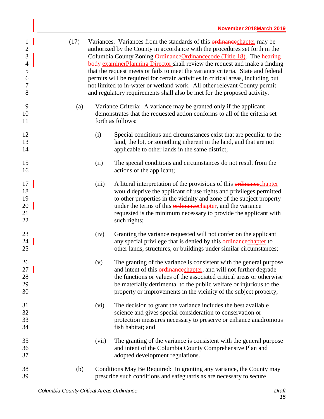| $\mathbf{1}$<br>$\overline{2}$<br>3<br>$\overline{\mathcal{L}}$<br>5<br>6<br>7<br>8 | (17) |       | Variances. Variances from the standards of this <b>ordinance</b> chapter may be<br>authorized by the County in accordance with the procedures set forth in the<br>Columbia County Zoning OrdinanceOrdinancecode (Title 18). The hearing<br><b>body</b> examinerPlanning Director shall review the request and make a finding<br>that the request meets or fails to meet the variance criteria. State and federal<br>permits will be required for certain activities in critical areas, including but<br>not limited to in-water or wetland work. All other relevant County permit<br>and regulatory requirements shall also be met for the proposed activity. |
|-------------------------------------------------------------------------------------|------|-------|---------------------------------------------------------------------------------------------------------------------------------------------------------------------------------------------------------------------------------------------------------------------------------------------------------------------------------------------------------------------------------------------------------------------------------------------------------------------------------------------------------------------------------------------------------------------------------------------------------------------------------------------------------------|
| 9<br>10<br>11                                                                       | (a)  |       | Variance Criteria: A variance may be granted only if the applicant<br>demonstrates that the requested action conforms to all of the criteria set<br>forth as follows:                                                                                                                                                                                                                                                                                                                                                                                                                                                                                         |
| 12<br>13<br>14                                                                      |      | (i)   | Special conditions and circumstances exist that are peculiar to the<br>land, the lot, or something inherent in the land, and that are not<br>applicable to other lands in the same district;                                                                                                                                                                                                                                                                                                                                                                                                                                                                  |
| 15<br>16                                                                            |      | (ii)  | The special conditions and circumstances do not result from the<br>actions of the applicant;                                                                                                                                                                                                                                                                                                                                                                                                                                                                                                                                                                  |
| 17<br>18<br>19<br>20<br>21<br>22                                                    |      | (iii) | A literal interpretation of the provisions of this <i>erdinance</i> chapter<br>would deprive the applicant of use rights and privileges permitted<br>to other properties in the vicinity and zone of the subject property<br>under the terms of this ordinance chapter, and the variance<br>requested is the minimum necessary to provide the applicant with<br>such rights;                                                                                                                                                                                                                                                                                  |
| 23<br>24<br>25                                                                      |      | (iv)  | Granting the variance requested will not confer on the applicant<br>any special privilege that is denied by this <b>ordinance</b> chapter to<br>other lands, structures, or buildings under similar circumstances;                                                                                                                                                                                                                                                                                                                                                                                                                                            |
| 26<br>27<br>28<br>29<br>30                                                          |      | (v)   | The granting of the variance is consistent with the general purpose<br>and intent of this ordinancechapter, and will not further degrade<br>the functions or values of the associated critical areas or otherwise<br>be materially detrimental to the public welfare or injurious to the<br>property or improvements in the vicinity of the subject property;                                                                                                                                                                                                                                                                                                 |
| 31<br>32<br>33<br>34                                                                |      | (vi)  | The decision to grant the variance includes the best available<br>science and gives special consideration to conservation or<br>protection measures necessary to preserve or enhance anadromous<br>fish habitat; and                                                                                                                                                                                                                                                                                                                                                                                                                                          |
| 35<br>36<br>37                                                                      |      | (vii) | The granting of the variance is consistent with the general purpose<br>and intent of the Columbia County Comprehensive Plan and<br>adopted development regulations.                                                                                                                                                                                                                                                                                                                                                                                                                                                                                           |
| 38<br>39                                                                            | (b)  |       | Conditions May Be Required: In granting any variance, the County may<br>prescribe such conditions and safeguards as are necessary to secure                                                                                                                                                                                                                                                                                                                                                                                                                                                                                                                   |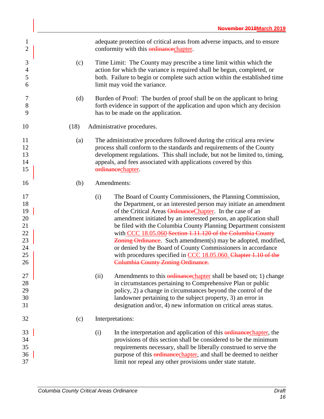| $\mathbf{1}$<br>$\overline{2}$                           | adequate protection of critical areas from adverse impacts, and to ensure<br>conformity with this <b>ordinance</b> chapter.                                                                                                                                                                                                                                                                                                                                                                                                                                                                                                                                          |
|----------------------------------------------------------|----------------------------------------------------------------------------------------------------------------------------------------------------------------------------------------------------------------------------------------------------------------------------------------------------------------------------------------------------------------------------------------------------------------------------------------------------------------------------------------------------------------------------------------------------------------------------------------------------------------------------------------------------------------------|
| 3<br>$\overline{4}$<br>5<br>6                            | Time Limit: The County may prescribe a time limit within which the<br>(c)<br>action for which the variance is required shall be begun, completed, or<br>both. Failure to begin or complete such action within the established time<br>limit may void the variance.                                                                                                                                                                                                                                                                                                                                                                                                   |
| 7<br>8<br>9                                              | (d)<br>Burden of Proof: The burden of proof shall be on the applicant to bring<br>forth evidence in support of the application and upon which any decision<br>has to be made on the application.                                                                                                                                                                                                                                                                                                                                                                                                                                                                     |
| 10                                                       | (18)<br>Administrative procedures.                                                                                                                                                                                                                                                                                                                                                                                                                                                                                                                                                                                                                                   |
| 11<br>12<br>13<br>14<br>15                               | The administrative procedures followed during the critical area review<br>(a)<br>process shall conform to the standards and requirements of the County<br>development regulations. This shall include, but not be limited to, timing,<br>appeals, and fees associated with applications covered by this<br>ordinancechapter.                                                                                                                                                                                                                                                                                                                                         |
| 16                                                       | Amendments:<br>(b)                                                                                                                                                                                                                                                                                                                                                                                                                                                                                                                                                                                                                                                   |
| 17<br>18<br>19<br>20<br>21<br>22<br>23<br>24<br>25<br>26 | The Board of County Commissioners, the Planning Commission,<br>(i)<br>the Department, or an interested person may initiate an amendment<br>of the Critical Areas <i>Ordinance Chapter</i> . In the case of an<br>amendment initiated by an interested person, an application shall<br>be filed with the Columbia County Planning Department consistent<br>with CCC 18.05.060 Section 1.11.120 of the Columbia County<br>Zoning Ordinance. Such amendment(s) may be adopted, modified,<br>or denied by the Board of County Commissioners in accordance<br>with procedures specified in CCC 18.05.060. Chapter 1.10 of the<br><b>Columbia County Zoning Ordinance.</b> |
| 27<br>28<br>29<br>30<br>31                               | (ii)<br>Amendments to this <b>ordinance</b> chapter shall be based on; 1) change<br>in circumstances pertaining to Comprehensive Plan or public<br>policy, 2) a change in circumstances beyond the control of the<br>landowner pertaining to the subject property, 3) an error in<br>designation and/or, 4) new information on critical areas status.                                                                                                                                                                                                                                                                                                                |
| 32                                                       | (c)<br>Interpretations:                                                                                                                                                                                                                                                                                                                                                                                                                                                                                                                                                                                                                                              |
| 33<br>34<br>35<br>36<br>37                               | In the interpretation and application of this <b>ordinance</b> chapter, the<br>(i)<br>provisions of this section shall be considered to be the minimum<br>requirements necessary, shall be liberally construed to serve the<br>purpose of this ordinance chapter, and shall be deemed to neither<br>limit nor repeal any other provisions under state statute.                                                                                                                                                                                                                                                                                                       |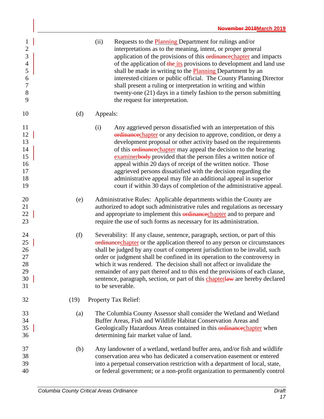| $\mathbf{1}$<br>$\overline{2}$<br>3<br>$\overline{4}$<br>5<br>6<br>$\overline{7}$<br>8<br>9 |      | (ii)<br>Requests to the <b>Planning</b> Department for rulings and/or<br>interpretations as to the meaning, intent, or proper general<br>application of the provisions of this ordinancechapter and impacts<br>of the application of the its provisions to development and land use<br>shall be made in writing to the <b>Planning</b> Department by an<br>interested citizen or public official. The County Planning Director<br>shall present a ruling or interpretation in writing and within<br>twenty-one $(21)$ days in a timely fashion to the person submitting<br>the request for interpretation.                                  |
|---------------------------------------------------------------------------------------------|------|---------------------------------------------------------------------------------------------------------------------------------------------------------------------------------------------------------------------------------------------------------------------------------------------------------------------------------------------------------------------------------------------------------------------------------------------------------------------------------------------------------------------------------------------------------------------------------------------------------------------------------------------|
| 10                                                                                          | (d)  | Appeals:                                                                                                                                                                                                                                                                                                                                                                                                                                                                                                                                                                                                                                    |
| 11<br>12<br>13<br>14<br>15<br>16<br>17<br>18<br>19                                          |      | (i)<br>Any aggrieved person dissatisfied with an interpretation of this<br>erdinancechapter or any decision to approve, condition, or deny a<br>development proposal or other activity based on the requirements<br>of this <b>erdinance</b> chapter may appeal the decision to the hearing<br>examinerbody provided that the person files a written notice of<br>appeal within 20 days of receipt of the written notice. Those<br>aggrieved persons dissatisfied with the decision regarding the<br>administrative appeal may file an additional appeal in superior<br>court if within 30 days of completion of the administrative appeal. |
| 20<br>21<br>22<br>23                                                                        | (e)  | Administrative Rules: Applicable departments within the County are<br>authorized to adopt such administrative rules and regulations as necessary<br>and appropriate to implement this ordinance chapter and to prepare and<br>require the use of such forms as necessary for its administration.                                                                                                                                                                                                                                                                                                                                            |
| 24<br>25<br>26<br>27<br>28<br>29<br>30<br>31                                                | (f)  | Severability: If any clause, sentence, paragraph, section, or part of this<br>ordinance chapter or the application thereof to any person or circumstances<br>shall be judged by any court of competent jurisdiction to be invalid, such<br>order or judgment shall be confined in its operation to the controversy in<br>which it was rendered. The decision shall not affect or invalidate the<br>remainder of any part thereof and to this end the provisions of each clause,<br>sentence, paragraph, section, or part of this chapterlaw are hereby declared<br>to be severable.                                                         |
| 32                                                                                          | (19) | Property Tax Relief:                                                                                                                                                                                                                                                                                                                                                                                                                                                                                                                                                                                                                        |
| 33<br>34<br>35<br>36                                                                        | (a)  | The Columbia County Assessor shall consider the Wetland and Wetland<br>Buffer Areas, Fish and Wildlife Habitat Conservation Areas and<br>Geologically Hazardous Areas contained in this <b>ordinance</b> chapter when<br>determining fair market value of land.                                                                                                                                                                                                                                                                                                                                                                             |
| 37<br>38<br>39<br>40                                                                        | (b)  | Any landowner of a wetland, wetland buffer area, and/or fish and wildlife<br>conservation area who has dedicated a conservation easement or entered<br>into a perpetual conservation restriction with a department of local, state,<br>or federal government; or a non-profit organization to permanently control                                                                                                                                                                                                                                                                                                                           |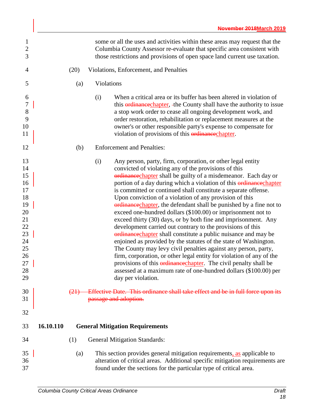<span id="page-25-0"></span>

| 1<br>$\mathbf{2}$<br>3                                                                             |           |      |                       | some or all the uses and activities within these areas may request that the<br>Columbia County Assessor re-evaluate that specific area consistent with<br>those restrictions and provisions of open space land current use taxation.                                                                                                                                                                                                                                                                                                                                                                                                                                                                                                                                                                                                                                                                                                                                                                                                                                                                                   |
|----------------------------------------------------------------------------------------------------|-----------|------|-----------------------|------------------------------------------------------------------------------------------------------------------------------------------------------------------------------------------------------------------------------------------------------------------------------------------------------------------------------------------------------------------------------------------------------------------------------------------------------------------------------------------------------------------------------------------------------------------------------------------------------------------------------------------------------------------------------------------------------------------------------------------------------------------------------------------------------------------------------------------------------------------------------------------------------------------------------------------------------------------------------------------------------------------------------------------------------------------------------------------------------------------------|
| 4                                                                                                  |           | (20) |                       | Violations, Enforcement, and Penalties                                                                                                                                                                                                                                                                                                                                                                                                                                                                                                                                                                                                                                                                                                                                                                                                                                                                                                                                                                                                                                                                                 |
| 5                                                                                                  |           | (a)  | Violations            |                                                                                                                                                                                                                                                                                                                                                                                                                                                                                                                                                                                                                                                                                                                                                                                                                                                                                                                                                                                                                                                                                                                        |
| 6<br>$\boldsymbol{7}$<br>$8\,$<br>9<br>10<br>11                                                    |           |      | (i)                   | When a critical area or its buffer has been altered in violation of<br>this <b>ordinance</b> chapter, the County shall have the authority to issue<br>a stop work order to cease all ongoing development work, and<br>order restoration, rehabilitation or replacement measures at the<br>owner's or other responsible party's expense to compensate for<br>violation of provisions of this ordinance chapter.                                                                                                                                                                                                                                                                                                                                                                                                                                                                                                                                                                                                                                                                                                         |
| 12                                                                                                 |           | (b)  |                       | <b>Enforcement and Penalties:</b>                                                                                                                                                                                                                                                                                                                                                                                                                                                                                                                                                                                                                                                                                                                                                                                                                                                                                                                                                                                                                                                                                      |
| 13<br>14<br>15<br>16<br>17<br>18<br>19<br>20<br>21<br>22<br>23<br>24<br>25<br>26<br>27<br>28<br>29 |           |      | (i)                   | Any person, party, firm, corporation, or other legal entity<br>convicted of violating any of the provisions of this<br>ordinancechapter shall be guilty of a misdemeanor. Each day or<br>portion of a day during which a violation of this <b>ordinance</b> chapter<br>is committed or continued shall constitute a separate offense.<br>Upon conviction of a violation of any provision of this<br>ordinance chapter, the defendant shall be punished by a fine not to<br>exceed one-hundred dollars (\$100.00) or imprisonment not to<br>exceed thirty (30) days, or by both fine and imprisonment. Any<br>development carried out contrary to the provisions of this<br>ordinance chapter shall constitute a public nuisance and may be<br>enjoined as provided by the statutes of the state of Washington.<br>The County may levy civil penalties against any person, party,<br>firm, corporation, or other legal entity for violation of any of the<br>provisions of this ordinance chapter. The civil penalty shall be<br>assessed at a maximum rate of one-hundred dollars (\$100.00) per<br>day per violation. |
| 30<br>31                                                                                           |           |      | passage and adoption. | Effective Date. This ordinance shall take effect and be in full force upon its                                                                                                                                                                                                                                                                                                                                                                                                                                                                                                                                                                                                                                                                                                                                                                                                                                                                                                                                                                                                                                         |
| 32                                                                                                 |           |      |                       |                                                                                                                                                                                                                                                                                                                                                                                                                                                                                                                                                                                                                                                                                                                                                                                                                                                                                                                                                                                                                                                                                                                        |
| 33                                                                                                 | 16.10.110 |      |                       | <b>General Mitigation Requirements</b>                                                                                                                                                                                                                                                                                                                                                                                                                                                                                                                                                                                                                                                                                                                                                                                                                                                                                                                                                                                                                                                                                 |
| 34                                                                                                 |           | (1)  |                       | <b>General Mitigation Standards:</b>                                                                                                                                                                                                                                                                                                                                                                                                                                                                                                                                                                                                                                                                                                                                                                                                                                                                                                                                                                                                                                                                                   |
| 35<br>36<br>37                                                                                     |           | (a)  |                       | This section provides general mitigation requirements, as applicable to<br>alteration of critical areas. Additional specific mitigation requirements are<br>found under the sections for the particular type of critical area.                                                                                                                                                                                                                                                                                                                                                                                                                                                                                                                                                                                                                                                                                                                                                                                                                                                                                         |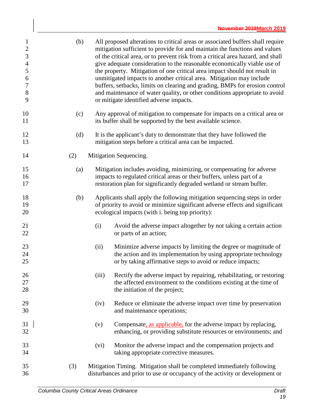| $\mathbf{1}$<br>$\sqrt{2}$<br>$\mathfrak{Z}$<br>$\overline{4}$<br>5<br>6<br>$\boldsymbol{7}$<br>$8\,$<br>9 | (b) |       | All proposed alterations to critical areas or associated buffers shall require<br>mitigation sufficient to provide for and maintain the functions and values<br>of the critical area, or to prevent risk from a critical area hazard, and shall<br>give adequate consideration to the reasonable economically viable use of<br>the property. Mitigation of one critical area impact should not result in<br>unmitigated impacts to another critical area. Mitigation may include<br>buffers, setbacks, limits on clearing and grading, BMPs for erosion control<br>and maintenance of water quality, or other conditions appropriate to avoid<br>or mitigate identified adverse impacts. |
|------------------------------------------------------------------------------------------------------------|-----|-------|------------------------------------------------------------------------------------------------------------------------------------------------------------------------------------------------------------------------------------------------------------------------------------------------------------------------------------------------------------------------------------------------------------------------------------------------------------------------------------------------------------------------------------------------------------------------------------------------------------------------------------------------------------------------------------------|
| 10<br>11                                                                                                   | (c) |       | Any approval of mitigation to compensate for impacts on a critical area or<br>its buffer shall be supported by the best available science.                                                                                                                                                                                                                                                                                                                                                                                                                                                                                                                                               |
| 12<br>13                                                                                                   | (d) |       | It is the applicant's duty to demonstrate that they have followed the<br>mitigation steps before a critical area can be impacted.                                                                                                                                                                                                                                                                                                                                                                                                                                                                                                                                                        |
| 14                                                                                                         | (2) |       | Mitigation Sequencing.                                                                                                                                                                                                                                                                                                                                                                                                                                                                                                                                                                                                                                                                   |
| 15<br>16<br>17                                                                                             | (a) |       | Mitigation includes avoiding, minimizing, or compensating for adverse<br>impacts to regulated critical areas or their buffers, unless part of a<br>restoration plan for significantly degraded wetland or stream buffer.                                                                                                                                                                                                                                                                                                                                                                                                                                                                 |
| 18<br>19<br>20                                                                                             | (b) |       | Applicants shall apply the following mitigation sequencing steps in order<br>of priority to avoid or minimize significant adverse effects and significant<br>ecological impacts (with i. being top priority):                                                                                                                                                                                                                                                                                                                                                                                                                                                                            |
| 21<br>22                                                                                                   |     | (i)   | Avoid the adverse impact altogether by not taking a certain action<br>or parts of an action;                                                                                                                                                                                                                                                                                                                                                                                                                                                                                                                                                                                             |
| 23<br>24<br>25                                                                                             |     | (ii)  | Minimize adverse impacts by limiting the degree or magnitude of<br>the action and its implementation by using appropriate technology<br>or by taking affirmative steps to avoid or reduce impacts;                                                                                                                                                                                                                                                                                                                                                                                                                                                                                       |
| 26<br>27<br>28                                                                                             |     | (iii) | Rectify the adverse impact by repairing, rehabilitating, or restoring<br>the affected environment to the conditions existing at the time of<br>the initiation of the project;                                                                                                                                                                                                                                                                                                                                                                                                                                                                                                            |
| 29<br>30                                                                                                   |     | (iv)  | Reduce or eliminate the adverse impact over time by preservation<br>and maintenance operations;                                                                                                                                                                                                                                                                                                                                                                                                                                                                                                                                                                                          |
| 31<br>32                                                                                                   |     | (v)   | Compensate, as applicable, for the adverse impact by replacing,<br>enhancing, or providing substitute resources or environments; and                                                                                                                                                                                                                                                                                                                                                                                                                                                                                                                                                     |
| 33<br>34                                                                                                   |     | (vi)  | Monitor the adverse impact and the compensation projects and<br>taking appropriate corrective measures.                                                                                                                                                                                                                                                                                                                                                                                                                                                                                                                                                                                  |
| 35<br>36                                                                                                   | (3) |       | Mitigation Timing. Mitigation shall be completed immediately following<br>disturbances and prior to use or occupancy of the activity or development or                                                                                                                                                                                                                                                                                                                                                                                                                                                                                                                                   |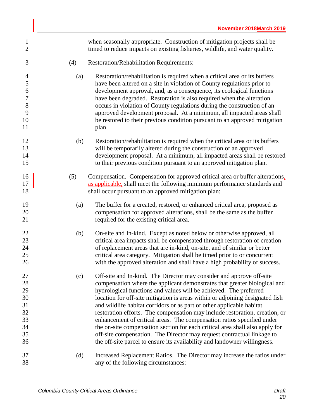| 1<br>$\overline{2}$                                                                |     | when seasonally appropriate. Construction of mitigation projects shall be<br>timed to reduce impacts on existing fisheries, wildlife, and water quality.                                                                                                                                                                                                                                                                                                                                                                                                                                                                                                                                                                                                                         |
|------------------------------------------------------------------------------------|-----|----------------------------------------------------------------------------------------------------------------------------------------------------------------------------------------------------------------------------------------------------------------------------------------------------------------------------------------------------------------------------------------------------------------------------------------------------------------------------------------------------------------------------------------------------------------------------------------------------------------------------------------------------------------------------------------------------------------------------------------------------------------------------------|
| 3                                                                                  | (4) | Restoration/Rehabilitation Requirements:                                                                                                                                                                                                                                                                                                                                                                                                                                                                                                                                                                                                                                                                                                                                         |
| $\overline{4}$<br>$\mathfrak s$<br>6<br>$\boldsymbol{7}$<br>$8\,$<br>9<br>10<br>11 | (a) | Restoration/rehabilitation is required when a critical area or its buffers<br>have been altered on a site in violation of County regulations prior to<br>development approval, and, as a consequence, its ecological functions<br>have been degraded. Restoration is also required when the alteration<br>occurs in violation of County regulations during the construction of an<br>approved development proposal. At a minimum, all impacted areas shall<br>be restored to their previous condition pursuant to an approved mitigation<br>plan.                                                                                                                                                                                                                                |
| 12<br>13<br>14<br>15                                                               | (b) | Restoration/rehabilitation is required when the critical area or its buffers<br>will be temporarily altered during the construction of an approved<br>development proposal. At a minimum, all impacted areas shall be restored<br>to their previous condition pursuant to an approved mitigation plan.                                                                                                                                                                                                                                                                                                                                                                                                                                                                           |
| 16<br>17<br>18                                                                     | (5) | Compensation. Compensation for approved critical area or buffer alterations,<br>as applicable, shall meet the following minimum performance standards and<br>shall occur pursuant to an approved mitigation plan:                                                                                                                                                                                                                                                                                                                                                                                                                                                                                                                                                                |
| 19<br>20<br>21                                                                     | (a) | The buffer for a created, restored, or enhanced critical area, proposed as<br>compensation for approved alterations, shall be the same as the buffer<br>required for the existing critical area.                                                                                                                                                                                                                                                                                                                                                                                                                                                                                                                                                                                 |
| 22<br>23<br>24<br>25<br>26                                                         | (b) | On-site and In-kind. Except as noted below or otherwise approved, all<br>critical area impacts shall be compensated through restoration of creation<br>of replacement areas that are in-kind, on-site, and of similar or better<br>critical area category. Mitigation shall be timed prior to or concurrent<br>with the approved alteration and shall have a high probability of success.                                                                                                                                                                                                                                                                                                                                                                                        |
| 27<br>28<br>29<br>30<br>31<br>32<br>33<br>34<br>35<br>36                           | (c) | Off-site and In-kind. The Director may consider and approve off-site<br>compensation where the applicant demonstrates that greater biological and<br>hydrological functions and values will be achieved. The preferred<br>location for off-site mitigation is areas within or adjoining designated fish<br>and wildlife habitat corridors or as part of other applicable habitat<br>restoration efforts. The compensation may include restoration, creation, or<br>enhancement of critical areas. The compensation ratios specified under<br>the on-site compensation section for each critical area shall also apply for<br>off-site compensation. The Director may request contractual linkage to<br>the off-site parcel to ensure its availability and landowner willingness. |
| 37<br>38                                                                           | (d) | Increased Replacement Ratios. The Director may increase the ratios under<br>any of the following circumstances:                                                                                                                                                                                                                                                                                                                                                                                                                                                                                                                                                                                                                                                                  |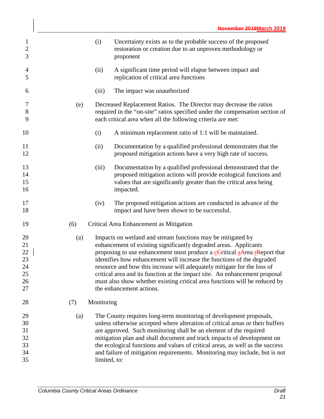| $\mathbf{1}$<br>$\overline{2}$<br>3          |     | (i)          | Uncertainty exists as to the probable success of the proposed<br>restoration or creation due to an unproven methodology or<br>proponent                                                                                                                                                                                                                                                                                                                                                                                                                                                            |
|----------------------------------------------|-----|--------------|----------------------------------------------------------------------------------------------------------------------------------------------------------------------------------------------------------------------------------------------------------------------------------------------------------------------------------------------------------------------------------------------------------------------------------------------------------------------------------------------------------------------------------------------------------------------------------------------------|
| $\overline{4}$<br>5                          |     | (ii)         | A significant time period will elapse between impact and<br>replication of critical area functions                                                                                                                                                                                                                                                                                                                                                                                                                                                                                                 |
| 6                                            |     | (iii)        | The impact was unauthorized                                                                                                                                                                                                                                                                                                                                                                                                                                                                                                                                                                        |
| 7<br>$8\,$<br>9                              | (e) |              | Decreased Replacement Ratios. The Director may decrease the ratios<br>required in the "on-site" ratios specified under the compensation section of<br>each critical area when all the following criteria are met:                                                                                                                                                                                                                                                                                                                                                                                  |
| 10                                           |     | (i)          | A minimum replacement ratio of 1:1 will be maintained.                                                                                                                                                                                                                                                                                                                                                                                                                                                                                                                                             |
| 11<br>12                                     |     | (ii)         | Documentation by a qualified professional demonstrates that the<br>proposed mitigation actions have a very high rate of success.                                                                                                                                                                                                                                                                                                                                                                                                                                                                   |
| 13<br>14<br>15<br>16                         |     | (iii)        | Documentation by a qualified professional demonstrated that the<br>proposed mitigation actions will provide ecological functions and<br>values that are significantly greater than the critical area being<br>impacted.                                                                                                                                                                                                                                                                                                                                                                            |
| 17<br>18                                     |     | (iv)         | The proposed mitigation actions are conducted in advance of the<br>impact and have been shown to be successful.                                                                                                                                                                                                                                                                                                                                                                                                                                                                                    |
| 19                                           | (6) |              | Critical Area Enhancement as Mitigation                                                                                                                                                                                                                                                                                                                                                                                                                                                                                                                                                            |
| 20<br>21<br>22<br>23<br>24<br>25<br>26<br>27 | (a) |              | Impacts on wetland and stream functions may be mitigated by<br>enhancement of existing significantly degraded areas. Applicants<br>proposing to use enhancement must produce a $\frac{c}{c}$ -Critical $\frac{a}{a}$ -Area $\frac{r}{c}$ -Report that<br>identifies how enhancement will increase the functions of the degraded<br>resource and how this increase will adequately mitigate for the loss of<br>critical area and its function at the impact site. An enhancement proposal<br>must also show whether existing critical area functions will be reduced by<br>the enhancement actions. |
| 28                                           | (7) | Monitoring   |                                                                                                                                                                                                                                                                                                                                                                                                                                                                                                                                                                                                    |
| 29<br>30<br>31<br>32<br>33<br>34<br>35       | (a) | limited, to: | The County requires long-term monitoring of development proposals,<br>unless otherwise accepted where alteration of critical areas or their buffers<br>are approved. Such monitoring shall be an element of the required<br>mitigation plan and shall document and track impacts of development on<br>the ecological functions and values of critical areas, as well as the success<br>and failure of mitigation requirements. Monitoring may include, but is not                                                                                                                                  |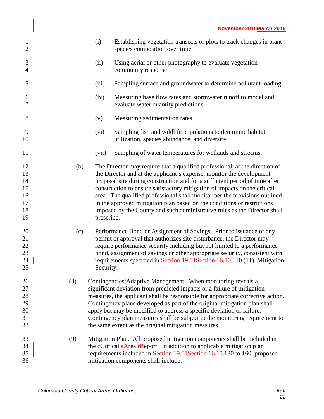| $\mathbf{1}$<br>$\mathbf{2}$                 |     | (i)        | Establishing vegetation transects or plots to track changes in plant<br>species composition over time                                                                                                                                                                                                                                                                                                                                                                                                                                                 |
|----------------------------------------------|-----|------------|-------------------------------------------------------------------------------------------------------------------------------------------------------------------------------------------------------------------------------------------------------------------------------------------------------------------------------------------------------------------------------------------------------------------------------------------------------------------------------------------------------------------------------------------------------|
| 3<br>4                                       |     | (ii)       | Using aerial or other photography to evaluate vegetation<br>community response                                                                                                                                                                                                                                                                                                                                                                                                                                                                        |
| 5                                            |     | (iii)      | Sampling surface and groundwater to determine pollutant loading                                                                                                                                                                                                                                                                                                                                                                                                                                                                                       |
| 6<br>7                                       |     | (iv)       | Measuring base flow rates and stormwater runoff to model and<br>evaluate water quantity predictions                                                                                                                                                                                                                                                                                                                                                                                                                                                   |
| 8                                            |     | (v)        | Measuring sedimentation rates                                                                                                                                                                                                                                                                                                                                                                                                                                                                                                                         |
| 9<br>10                                      |     | (vi)       | Sampling fish and wildlife populations to determine habitat<br>utilization, species abundance, and diversity                                                                                                                                                                                                                                                                                                                                                                                                                                          |
| 11                                           |     | (vii)      | Sampling of water temperatures for wetlands and streams.                                                                                                                                                                                                                                                                                                                                                                                                                                                                                              |
| 12<br>13<br>14<br>15<br>16<br>17<br>18<br>19 | (b) | prescribe. | The Director may require that a qualified professional, at the direction of<br>the Director and at the applicant's expense, monitor the development<br>proposal site during construction and for a sufficient period of time after<br>construction to ensure satisfactory mitigation of impacts on the critical<br>area. The qualified professional shall monitor per the provisions outlined<br>in the approved mitigation plan based on the conditions or restrictions<br>imposed by the County and such administrative rules as the Director shall |
| 20<br>21<br>22<br>23<br>24<br>25             | (c) | Security.  | Performance Bond or Assignment of Savings. Prior to issuance of any<br>permit or approval that authorizes site disturbance, the Director may<br>require performance security including but not limited to a performance<br>bond, assignment of savings or other appropriate security, consistent with<br>requirements specified in Section 19.01 Section 16.10.110 (11), Mitigation                                                                                                                                                                   |
| 26<br>27<br>28<br>29<br>30<br>31<br>32       | (8) |            | Contingencies/Adaptive Management. When monitoring reveals a<br>significant deviation from predicted impacts or a failure of mitigation<br>measures, the applicant shall be responsible for appropriate corrective action.<br>Contingency plans developed as part of the original mitigation plan shall<br>apply but may be modified to address a specific deviation or failure.<br>Contingency plan measures shall be subject to the monitoring requirement to<br>the same extent as the original mitigation measures.                               |
| 33<br>34<br>35<br>36                         | (9) |            | Mitigation Plan. All proposed mitigation components shall be included in<br>the cCritical aArea rReport. In addition to applicable mitigation plan<br>requirements included in Section 19.01 Section 16.10.120 to 160, proposed<br>mitigation components shall include:                                                                                                                                                                                                                                                                               |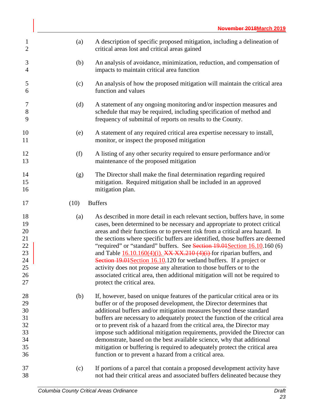| $\mathbf{1}$<br>$\mathbf{2}$                             | (a)  | A description of specific proposed mitigation, including a delineation of<br>critical areas lost and critical areas gained                                                                                                                                                                                                                                                                                                                                                                                                                                                                                                                                                                                                                                  |
|----------------------------------------------------------|------|-------------------------------------------------------------------------------------------------------------------------------------------------------------------------------------------------------------------------------------------------------------------------------------------------------------------------------------------------------------------------------------------------------------------------------------------------------------------------------------------------------------------------------------------------------------------------------------------------------------------------------------------------------------------------------------------------------------------------------------------------------------|
| 3<br>4                                                   | (b)  | An analysis of avoidance, minimization, reduction, and compensation of<br>impacts to maintain critical area function                                                                                                                                                                                                                                                                                                                                                                                                                                                                                                                                                                                                                                        |
| 5<br>6                                                   | (c)  | An analysis of how the proposed mitigation will maintain the critical area<br>function and values                                                                                                                                                                                                                                                                                                                                                                                                                                                                                                                                                                                                                                                           |
| 7<br>$8\,$<br>9                                          | (d)  | A statement of any ongoing monitoring and/or inspection measures and<br>schedule that may be required, including specification of method and<br>frequency of submittal of reports on results to the County.                                                                                                                                                                                                                                                                                                                                                                                                                                                                                                                                                 |
| 10<br>11                                                 | (e)  | A statement of any required critical area expertise necessary to install,<br>monitor, or inspect the proposed mitigation                                                                                                                                                                                                                                                                                                                                                                                                                                                                                                                                                                                                                                    |
| 12<br>13                                                 | (f)  | A listing of any other security required to ensure performance and/or<br>maintenance of the proposed mitigation                                                                                                                                                                                                                                                                                                                                                                                                                                                                                                                                                                                                                                             |
| 14<br>15<br>16                                           | (g)  | The Director shall make the final determination regarding required<br>mitigation. Required mitigation shall be included in an approved<br>mitigation plan.                                                                                                                                                                                                                                                                                                                                                                                                                                                                                                                                                                                                  |
| 17                                                       | (10) | <b>Buffers</b>                                                                                                                                                                                                                                                                                                                                                                                                                                                                                                                                                                                                                                                                                                                                              |
| 18<br>19<br>20<br>21<br>22<br>23<br>24<br>25<br>26<br>27 | (a)  | As described in more detail in each relevant section, buffers have, in some<br>cases, been determined to be necessary and appropriate to protect critical<br>areas and their functions or to prevent risk from a critical area hazard. In<br>the sections where specific buffers are identified, those buffers are deemed<br>"required" or "standard" buffers. See Section 19.01 Section 16.10.160 (6)<br>and Table $\underline{16.10.160(4)(i)}$ . XX XX.210 (4)(i) for riparian buffers, and<br>Section 19.01 Section 16.10.120 for wetland buffers. If a project or<br>activity does not propose any alteration to those buffers or to the<br>associated critical area, then additional mitigation will not be required to<br>protect the critical area. |
| 28<br>29<br>30<br>31<br>32                               | (b)  | If, however, based on unique features of the particular critical area or its<br>buffer or of the proposed development, the Director determines that<br>additional buffers and/or mitigation measures beyond these standard<br>buffers are necessary to adequately protect the function of the critical area                                                                                                                                                                                                                                                                                                                                                                                                                                                 |
| 33<br>34<br>35<br>36                                     |      | or to prevent risk of a hazard from the critical area, the Director may<br>impose such additional mitigation requirements, provided the Director can<br>demonstrate, based on the best available science, why that additional<br>mitigation or buffering is required to adequately protect the critical area<br>function or to prevent a hazard from a critical area.                                                                                                                                                                                                                                                                                                                                                                                       |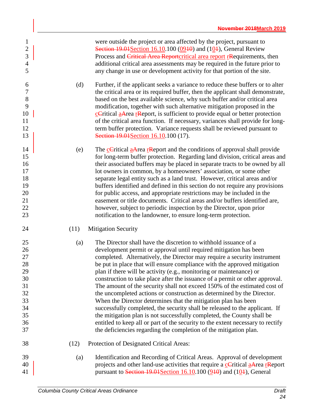| $\mathbf{1}$<br>$\overline{2}$<br>3<br>$\overline{4}$<br>5                 |      | were outside the project or area affected by the project, pursuant to<br>Section $19.01$ Section $16.10.100$ (09 $10$ ) and (10 $\pm$ ), General Review<br>Process and Critical Area Reportcritical area report resequirements, then<br>additional critical area assessments may be required in the future prior to<br>any change in use or development activity for that portion of the site.                                                                                                                                                                                                                                                                                                                                                                                                                                                                                                                                                                                                 |
|----------------------------------------------------------------------------|------|------------------------------------------------------------------------------------------------------------------------------------------------------------------------------------------------------------------------------------------------------------------------------------------------------------------------------------------------------------------------------------------------------------------------------------------------------------------------------------------------------------------------------------------------------------------------------------------------------------------------------------------------------------------------------------------------------------------------------------------------------------------------------------------------------------------------------------------------------------------------------------------------------------------------------------------------------------------------------------------------|
| 6<br>$\tau$<br>8<br>9<br>10<br>11<br>12<br>13                              | (d)  | Further, if the applicant seeks a variance to reduce these buffers or to alter<br>the critical area or its required buffer, then the applicant shall demonstrate,<br>based on the best available science, why such buffer and/or critical area<br>modification, together with such alternative mitigation proposed in the<br><b>c</b> Critical <b>aArea r</b> Report, is sufficient to provide equal or better protection<br>of the critical area function. If necessary, variances shall provide for long-<br>term buffer protection. Variance requests shall be reviewed pursuant to<br>Section 19.01 Section 16.10.100 (17).                                                                                                                                                                                                                                                                                                                                                                |
| 14<br>15<br>16<br>17<br>18<br>19<br>20<br>21<br>22<br>23                   | (e)  | The cCritical aArea resport and the conditions of approval shall provide<br>for long-term buffer protection. Regarding land division, critical areas and<br>their associated buffers may be placed in separate tracts to be owned by all<br>lot owners in common, by a homeowners' association, or some other<br>separate legal entity such as a land trust. However, critical areas and/or<br>buffers identified and defined in this section do not require any provisions<br>for public access, and appropriate restrictions may be included in the<br>easement or title documents. Critical areas and/or buffers identified are,<br>however, subject to periodic inspection by the Director, upon prior<br>notification to the landowner, to ensure long-term protection.                                                                                                                                                                                                                   |
| 24                                                                         | (11) | <b>Mitigation Security</b>                                                                                                                                                                                                                                                                                                                                                                                                                                                                                                                                                                                                                                                                                                                                                                                                                                                                                                                                                                     |
| 25<br>26<br>27<br>28<br>29<br>30<br>31<br>32<br>33<br>34<br>35<br>36<br>37 | (a)  | The Director shall have the discretion to withhold issuance of a<br>development permit or approval until required mitigation has been<br>completed. Alternatively, the Director may require a security instrument<br>be put in place that will ensure compliance with the approved mitigation<br>plan if there will be activity (e.g., monitoring or maintenance) or<br>construction to take place after the issuance of a permit or other approval.<br>The amount of the security shall not exceed 150% of the estimated cost of<br>the uncompleted actions or construction as determined by the Director.<br>When the Director determines that the mitigation plan has been<br>successfully completed, the security shall be released to the applicant. If<br>the mitigation plan is not successfully completed, the County shall be<br>entitled to keep all or part of the security to the extent necessary to rectify<br>the deficiencies regarding the completion of the mitigation plan. |
| 38                                                                         | (12) | Protection of Designated Critical Areas:                                                                                                                                                                                                                                                                                                                                                                                                                                                                                                                                                                                                                                                                                                                                                                                                                                                                                                                                                       |
| 39<br>40<br>41                                                             | (a)  | Identification and Recording of Critical Areas. Approval of development<br>projects and other land-use activities that require a cCritical aArea rReport<br>pursuant to Section 19.01 Section 16.10.100 $(910)$ and $(101)$ , General                                                                                                                                                                                                                                                                                                                                                                                                                                                                                                                                                                                                                                                                                                                                                          |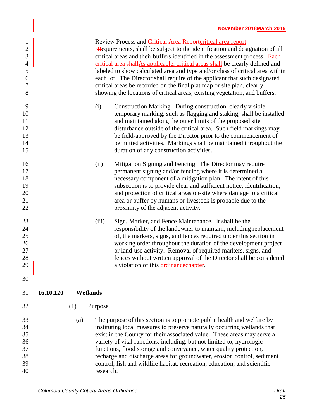<span id="page-32-0"></span>

|           |           | Review Process and Critical Area Reportcritical area report<br>readministerments, shall be subject to the identification and designation of all<br>critical areas and their buffers identified in the assessment process. Each<br>eritical area shallAs applicable, critical areas shall be clearly defined and<br>labeled to show calculated area and type and/or class of critical area within<br>each lot. The Director shall require of the applicant that such designated<br>critical areas be recorded on the final plat map or site plan, clearly<br>showing the locations of critical areas, existing vegetation, and buffers. |
|-----------|-----------|----------------------------------------------------------------------------------------------------------------------------------------------------------------------------------------------------------------------------------------------------------------------------------------------------------------------------------------------------------------------------------------------------------------------------------------------------------------------------------------------------------------------------------------------------------------------------------------------------------------------------------------|
|           | (i)       | Construction Marking. During construction, clearly visible,<br>temporary marking, such as flagging and staking, shall be installed<br>and maintained along the outer limits of the proposed site<br>disturbance outside of the critical area. Such field markings may<br>be field-approved by the Director prior to the commencement of<br>permitted activities. Markings shall be maintained throughout the<br>duration of any construction activities.                                                                                                                                                                               |
|           | (ii)      | Mitigation Signing and Fencing. The Director may require<br>permanent signing and/or fencing where it is determined a<br>necessary component of a mitigation plan. The intent of this<br>subsection is to provide clear and sufficient notice, identification,<br>and protection of critical areas on-site where damage to a critical<br>area or buffer by humans or livestock is probable due to the<br>proximity of the adjacent activity.                                                                                                                                                                                           |
|           | (iii)     | Sign, Marker, and Fence Maintenance. It shall be the<br>responsibility of the landowner to maintain, including replacement<br>of, the markers, signs, and fences required under this section in<br>working order throughout the duration of the development project<br>or land-use activity. Removal of required markers, signs, and<br>fences without written approval of the Director shall be considered<br>a violation of this ordinance chapter.                                                                                                                                                                                  |
|           |           |                                                                                                                                                                                                                                                                                                                                                                                                                                                                                                                                                                                                                                        |
| (1)       | Purpose.  |                                                                                                                                                                                                                                                                                                                                                                                                                                                                                                                                                                                                                                        |
| (a)       | research. | The purpose of this section is to promote public health and welfare by<br>instituting local measures to preserve naturally occurring wetlands that<br>exist in the County for their associated value. These areas may serve a<br>variety of vital functions, including, but not limited to, hydrologic<br>functions, flood storage and conveyance, water quality protection,<br>recharge and discharge areas for groundwater, erosion control, sediment<br>control, fish and wildlife habitat, recreation, education, and scientific                                                                                                   |
| 16.10.120 |           | Wetlands                                                                                                                                                                                                                                                                                                                                                                                                                                                                                                                                                                                                                               |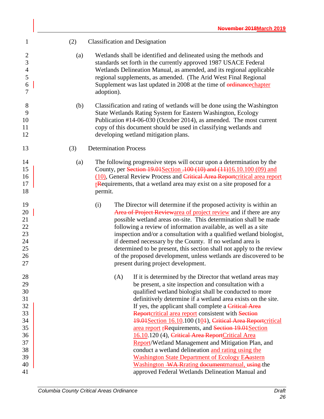| (2) | <b>Classification and Designation</b>                                                                                                                                                                                                                                                                                                                                                                                                                                                                                                                                                                                                                                                                                                                                                                                       |
|-----|-----------------------------------------------------------------------------------------------------------------------------------------------------------------------------------------------------------------------------------------------------------------------------------------------------------------------------------------------------------------------------------------------------------------------------------------------------------------------------------------------------------------------------------------------------------------------------------------------------------------------------------------------------------------------------------------------------------------------------------------------------------------------------------------------------------------------------|
| (a) | Wetlands shall be identified and delineated using the methods and<br>standards set forth in the currently approved 1987 USACE Federal<br>Wetlands Delineation Manual, as amended, and its regional applicable<br>regional supplements, as amended. (The Arid West Final Regional<br>Supplement was last updated in 2008 at the time of <i>erdinance</i> chapter<br>adoption).                                                                                                                                                                                                                                                                                                                                                                                                                                               |
| (b) | Classification and rating of wetlands will be done using the Washington<br>State Wetlands Rating System for Eastern Washington, Ecology<br>Publication #14-06-030 (October 2014), as amended. The most current<br>copy of this document should be used in classifying wetlands and<br>developing wetland mitigation plans.                                                                                                                                                                                                                                                                                                                                                                                                                                                                                                  |
| (3) | <b>Determination Process</b>                                                                                                                                                                                                                                                                                                                                                                                                                                                                                                                                                                                                                                                                                                                                                                                                |
| (a) | The following progressive steps will occur upon a determination by the<br>County, per Section 19.01 Section -100 (10) and (11) 16.10.100 (09) and<br>(10), General Review Process and Critical Area Reportcritical area report<br><b>r</b> Requirements, that a wetland area may exist on a site proposed for a<br>permit.                                                                                                                                                                                                                                                                                                                                                                                                                                                                                                  |
|     | The Director will determine if the proposed activity is within an<br>(i)<br>Area of Project Reviewarea of project review and if there are any<br>possible wetland areas on-site. This determination shall be made<br>following a review of information available, as well as a site<br>inspection and/or a consultation with a qualified wetland biologist,<br>if deemed necessary by the County. If no wetland area is<br>determined to be present, this section shall not apply to the review<br>of the proposed development, unless wetlands are discovered to be<br>present during project development.                                                                                                                                                                                                                 |
|     | (A)<br>If it is determined by the Director that wetland areas may<br>be present, a site inspection and consultation with a<br>qualified wetland biologist shall be conducted to more<br>definitively determine if a wetland area exists on the site.<br>If yes, the applicant shall complete a Critical Area<br>Reportcritical area report consistent with Section<br>19.01 Section 16.10.100 (104), Critical Area Reportcritical<br>area report resequirements, and Section 19.01 Section<br>16.10.120 (4), Critical Area ReportCritical Area<br>Report/Wetland Management and Mitigation Plan, and<br>conduct a wetland delineation and rating using the<br><b>Washington State Department of Ecology EAastern</b><br>Washington WA Rrating documentmanual, using the<br>approved Federal Wetlands Delineation Manual and |
|     |                                                                                                                                                                                                                                                                                                                                                                                                                                                                                                                                                                                                                                                                                                                                                                                                                             |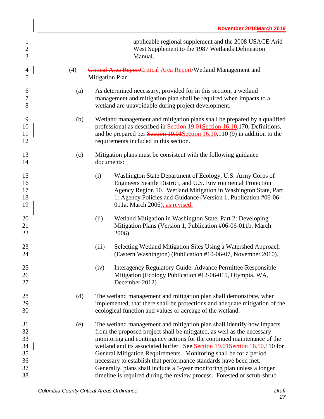| $\mathbf{1}$<br>$\overline{2}$<br>3          |     |                                                                                                                                                                                                                                                                                                                                                                                                                                                                                                                                                                                                         | applicable regional supplement and the 2008 USACE Arid<br>West Supplement to the 1987 Wetlands Delineation<br>Manual.                                                                                                                                                                              |  |
|----------------------------------------------|-----|---------------------------------------------------------------------------------------------------------------------------------------------------------------------------------------------------------------------------------------------------------------------------------------------------------------------------------------------------------------------------------------------------------------------------------------------------------------------------------------------------------------------------------------------------------------------------------------------------------|----------------------------------------------------------------------------------------------------------------------------------------------------------------------------------------------------------------------------------------------------------------------------------------------------|--|
| 4<br>5                                       | (4) | <b>Mitigation Plan</b>                                                                                                                                                                                                                                                                                                                                                                                                                                                                                                                                                                                  | Critical Area ReportCritical Area Report/Wetland Management and                                                                                                                                                                                                                                    |  |
| 6<br>7<br>$8\,$                              | (a) |                                                                                                                                                                                                                                                                                                                                                                                                                                                                                                                                                                                                         | As determined necessary, provided for in this section, a wetland<br>management and mitigation plan shall be required when impacts to a<br>wetland are unavoidable during project development.                                                                                                      |  |
| 9<br>10<br>11<br>12                          | (b) | Wetland management and mitigation plans shall be prepared by a qualified<br>professional as described in Section 19.01 Section 16.10.170, Definitions,<br>and be prepared per Section 19.01 Section 16.10.110 (9) in addition to the<br>requirements included in this section.                                                                                                                                                                                                                                                                                                                          |                                                                                                                                                                                                                                                                                                    |  |
| 13<br>14                                     | (c) | Mitigation plans must be consistent with the following guidance<br>documents:                                                                                                                                                                                                                                                                                                                                                                                                                                                                                                                           |                                                                                                                                                                                                                                                                                                    |  |
| 15<br>16<br>17<br>18<br>19                   |     | (i)                                                                                                                                                                                                                                                                                                                                                                                                                                                                                                                                                                                                     | Washington State Department of Ecology, U.S. Army Corps of<br>Engineers Seattle District, and U.S. Environmental Protection<br>Agency Region 10. Wetland Mitigation in Washington State, Part<br>1: Agency Policies and Guidance (Version 1, Publication #06-06-<br>011a, March 2006), as revised. |  |
| 20<br>21<br>22                               |     | (ii)                                                                                                                                                                                                                                                                                                                                                                                                                                                                                                                                                                                                    | Wetland Mitigation in Washington State, Part 2: Developing<br>Mitigation Plans (Version 1, Publication #06-06-011b, March<br>2006)                                                                                                                                                                 |  |
| 23<br>24                                     |     | (iii)                                                                                                                                                                                                                                                                                                                                                                                                                                                                                                                                                                                                   | Selecting Wetland Mitigation Sites Using a Watershed Approach<br>(Eastern Washington) (Publication #10-06-07, November 2010).                                                                                                                                                                      |  |
| 25<br>26<br>27                               |     | (iv)                                                                                                                                                                                                                                                                                                                                                                                                                                                                                                                                                                                                    | Interagency Regulatory Guide: Advance Permittee-Responsible<br>Mitigation (Ecology Publication #12-06-015, Olympia, WA,<br>December 2012)                                                                                                                                                          |  |
| 28<br>29<br>30                               | (d) | The wetland management and mitigation plan shall demonstrate, when<br>implemented, that there shall be protections and adequate mitigation of the<br>ecological function and values or acreage of the wetland.                                                                                                                                                                                                                                                                                                                                                                                          |                                                                                                                                                                                                                                                                                                    |  |
| 31<br>32<br>33<br>34<br>35<br>36<br>37<br>38 | (e) | The wetland management and mitigation plan shall identify how impacts<br>from the proposed project shall be mitigated, as well as the necessary<br>monitoring and contingency actions for the continued maintenance of the<br>wetland and its associated buffer. See Section 19.04 Section 16.10.110 for<br>General Mitigation Requirements. Monitoring shall be for a period<br>necessary to establish that performance standards have been met.<br>Generally, plans shall include a 5-year monitoring plan unless a longer<br>timeline is required during the review process. Forested or scrub-shrub |                                                                                                                                                                                                                                                                                                    |  |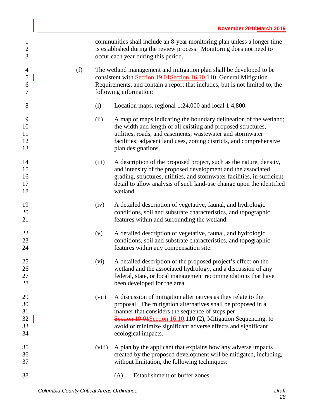| $\mathbf{1}$<br>$\boldsymbol{2}$<br>3           |     |                                                                                                                                                                                                                                                      | communities shall include an 8-year monitoring plan unless a longer time<br>is established during the review process. Monitoring does not need to<br>occur each year during this period.                                                                                                                                                   |  |
|-------------------------------------------------|-----|------------------------------------------------------------------------------------------------------------------------------------------------------------------------------------------------------------------------------------------------------|--------------------------------------------------------------------------------------------------------------------------------------------------------------------------------------------------------------------------------------------------------------------------------------------------------------------------------------------|--|
| $\overline{4}$<br>$\mathfrak{S}$<br>6<br>$\tau$ | (f) | The wetland management and mitigation plan shall be developed to be<br>consistent with Section 19.01 Section 16.10.110, General Mitigation<br>Requirements, and contain a report that includes, but is not limited to, the<br>following information: |                                                                                                                                                                                                                                                                                                                                            |  |
| 8                                               |     | (i)                                                                                                                                                                                                                                                  | Location maps, regional 1:24,000 and local 1:4,800.                                                                                                                                                                                                                                                                                        |  |
| 9<br>10<br>11<br>12<br>13                       |     | (ii)                                                                                                                                                                                                                                                 | A map or maps indicating the boundary delineation of the wetland;<br>the width and length of all existing and proposed structures,<br>utilities, roads, and easements; wastewater and stormwater<br>facilities; adjacent land uses, zoning districts, and comprehensive<br>plan designations.                                              |  |
| 14<br>15<br>16<br>17<br>18                      |     | (iii)                                                                                                                                                                                                                                                | A description of the proposed project, such as the nature, density,<br>and intensity of the proposed development and the associated<br>grading, structures, utilities, and stormwater facilities, in sufficient<br>detail to allow analysis of such land-use change upon the identified<br>wetland.                                        |  |
| 19<br>20<br>21                                  |     | (iv)                                                                                                                                                                                                                                                 | A detailed description of vegetative, faunal, and hydrologic<br>conditions, soil and substrate characteristics, and topographic<br>features within and surrounding the wetland.                                                                                                                                                            |  |
| 22<br>23<br>24                                  |     | (v)                                                                                                                                                                                                                                                  | A detailed description of vegetative, faunal, and hydrologic<br>conditions, soil and substrate characteristics, and topographic<br>features within any compensation site.                                                                                                                                                                  |  |
| 25<br>26<br>27<br>28                            |     | (vi)                                                                                                                                                                                                                                                 | A detailed description of the proposed project's effect on the<br>wetland and the associated hydrology, and a discussion of any<br>federal, state, or local management recommendations that have<br>been developed for the area.                                                                                                           |  |
| 29<br>30<br>31<br>32<br>33<br>34                |     | (vii)                                                                                                                                                                                                                                                | A discussion of mitigation alternatives as they relate to the<br>proposal. The mitigation alternatives shall be proposed in a<br>manner that considers the sequence of steps per<br>Section 19.01 Section 16.10.110 (2), Mitigation Sequencing, to<br>avoid or minimize significant adverse effects and significant<br>ecological impacts. |  |
| 35<br>36<br>37                                  |     | (viii)                                                                                                                                                                                                                                               | A plan by the applicant that explains how any adverse impacts<br>created by the proposed development will be mitigated, including,<br>without limitation, the following techniques:                                                                                                                                                        |  |
| 38                                              |     |                                                                                                                                                                                                                                                      | Establishment of buffer zones<br>(A)                                                                                                                                                                                                                                                                                                       |  |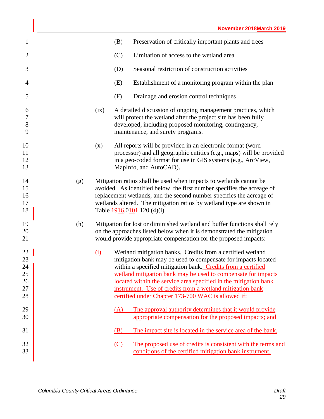| $\mathbf{1}$                           |     |      | (B) | Preservation of critically important plants and trees                                                                                                                                                                                                                                                                                                                                                                                               |
|----------------------------------------|-----|------|-----|-----------------------------------------------------------------------------------------------------------------------------------------------------------------------------------------------------------------------------------------------------------------------------------------------------------------------------------------------------------------------------------------------------------------------------------------------------|
| $\overline{2}$                         |     |      | (C) | Limitation of access to the wetland area                                                                                                                                                                                                                                                                                                                                                                                                            |
| 3                                      |     |      | (D) | Seasonal restriction of construction activities                                                                                                                                                                                                                                                                                                                                                                                                     |
| 4                                      |     |      | (E) | Establishment of a monitoring program within the plan                                                                                                                                                                                                                                                                                                                                                                                               |
| 5                                      |     |      | (F) | Drainage and erosion control techniques                                                                                                                                                                                                                                                                                                                                                                                                             |
| 6<br>$\overline{7}$<br>8<br>9          |     | (ix) |     | A detailed discussion of ongoing management practices, which<br>will protect the wetland after the project site has been fully<br>developed, including proposed monitoring, contingency,<br>maintenance, and surety programs.                                                                                                                                                                                                                       |
| 10<br>11<br>12<br>13                   |     | (x)  |     | All reports will be provided in an electronic format (word<br>processor) and all geographic entities (e.g., maps) will be provided<br>in a geo-coded format for use in GIS systems (e.g., ArcView,<br>MapInfo, and AutoCAD).                                                                                                                                                                                                                        |
| 14<br>15<br>16<br>17<br>18             | (g) |      |     | Mitigation ratios shall be used when impacts to wetlands cannot be<br>avoided. As identified below, the first number specifies the acreage of<br>replacement wetlands, and the second number specifies the acreage of<br>wetlands altered. The mitigation ratios by wetland type are shown in<br>Table $\frac{1916.0101}{120}$ (4)(i).                                                                                                              |
| 19<br>20<br>21                         | (h) |      |     | Mitigation for lost or diminished wetland and buffer functions shall rely<br>on the approaches listed below when it is demonstrated the mitigation<br>would provide appropriate compensation for the proposed impacts:                                                                                                                                                                                                                              |
| 22<br>23<br>24<br>25<br>26<br>27<br>28 |     | (i)  |     | Wetland mitigation banks. Credits from a certified wetland<br>mitigation bank may be used to compensate for impacts located<br>within a specified mitigation bank. Credits from a certified<br>wetland mitigation bank may be used to compensate for impacts<br>located within the service area specified in the mitigation bank<br>instrument. Use of credits from a wetland mitigation bank<br>certified under Chapter 173-700 WAC is allowed if: |
| 29<br>30                               |     |      | (A) | The approval authority determines that it would provide<br>appropriate compensation for the proposed impacts; and                                                                                                                                                                                                                                                                                                                                   |
| 31                                     |     |      | (B) | The impact site is located in the service area of the bank.                                                                                                                                                                                                                                                                                                                                                                                         |
| 32<br>33                               |     |      | (C) | The proposed use of credits is consistent with the terms and<br>conditions of the certified mitigation bank instrument.                                                                                                                                                                                                                                                                                                                             |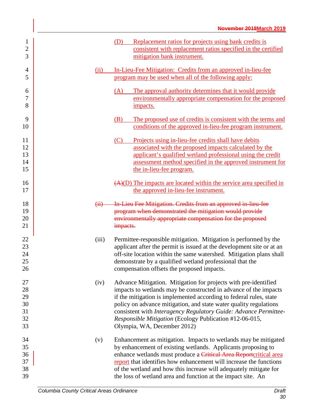| $\mathbf{1}$<br>$\overline{c}$<br>3    |                | Replacement ratios for projects using bank credits is<br>(D)<br>consistent with replacement ratios specified in the certified<br>mitigation bank instrument.                                                                                                                                                                                                                                                                                 |
|----------------------------------------|----------------|----------------------------------------------------------------------------------------------------------------------------------------------------------------------------------------------------------------------------------------------------------------------------------------------------------------------------------------------------------------------------------------------------------------------------------------------|
| 4<br>5                                 | (ii)           | In-Lieu-Fee Mitigation: Credits from an approved in-lieu-fee<br>program may be used when all of the following apply:                                                                                                                                                                                                                                                                                                                         |
| 6<br>7<br>8                            |                | The approval authority determines that it would provide<br>(A)<br>environmentally appropriate compensation for the proposed<br>impacts.                                                                                                                                                                                                                                                                                                      |
| 9<br>10                                |                | The proposed use of credits is consistent with the terms and<br>(B)<br>conditions of the approved in-lieu-fee program instrument.                                                                                                                                                                                                                                                                                                            |
| 11<br>12<br>13<br>14<br>15             |                | Projects using in-lieu-fee credits shall have debits<br>(C)<br>associated with the proposed impacts calculated by the<br>applicant's qualified wetland professional using the credit<br>assessment method specified in the approved instrument for<br>the in-lieu-fee program.                                                                                                                                                               |
| 16<br>17                               |                | $(A)(D)$ The impacts are located within the service area specified in<br>the approved in-lieu-fee instrument.                                                                                                                                                                                                                                                                                                                                |
| 18<br>19<br>20<br>21                   | $\overline{H}$ | In Lieu Fee Mitigation. Credits from an approved in lieu fee<br>program when demonstrated the mitigation would provide<br>environmentally appropriate compensation for the proposed<br>impacts.                                                                                                                                                                                                                                              |
| 22<br>23<br>24<br>25<br>26             | (iii)          | Permittee-responsible mitigation. Mitigation is performed by the<br>applicant after the permit is issued at the development site or at an<br>off-site location within the same watershed. Mitigation plans shall<br>demonstrate by a qualified wetland professional that the<br>compensation offsets the proposed impacts.                                                                                                                   |
| 27<br>28<br>29<br>30<br>31<br>32<br>33 | (iv)           | Advance Mitigation. Mitigation for projects with pre-identified<br>impacts to wetlands may be constructed in advance of the impacts<br>if the mitigation is implemented according to federal rules, state<br>policy on advance mitigation, and state water quality regulations<br>consistent with Interagency Regulatory Guide: Advance Permittee-<br>Responsible Mitigation (Ecology Publication #12-06-015,<br>Olympia, WA, December 2012) |
| 34<br>35<br>36<br>37<br>38<br>39       | (v)            | Enhancement as mitigation. Impacts to wetlands may be mitigated<br>by enhancement of existing wetlands. Applicants proposing to<br>enhance wetlands must produce a Critical Area Reportcritical area<br>report that identifies how enhancement will increase the functions<br>of the wetland and how this increase will adequately mitigate for<br>the loss of wetland area and function at the impact site. An                              |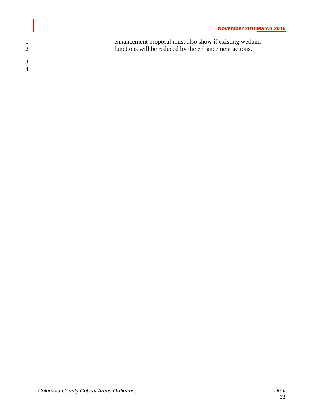1 enhancement proposal must also show if existing wetland<br>2 functions will be reduced by the enhancement actions. functions will be reduced by the enhancement actions. 3 *.* 4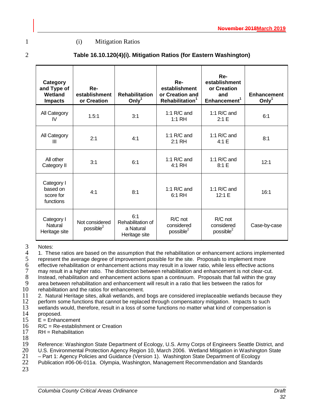## 1 (i) Mitigation Ratios

| ×<br>۰,          |
|------------------|
| I<br>I<br>I<br>I |
| ۱<br>٦<br>       |
|                  |

| Category<br>and Type of<br>Wetland<br><b>Impacts</b> | Re-<br>establishment<br>or Creation | <b>Rehabilitation</b><br>Only $1$                      | Re-<br>establishment<br>or Creation and<br>Rehabilitation <sup>1</sup> | Re-<br>establishment<br>or Creation<br>and<br>Enhancement <sup>1</sup> | <b>Enhancement</b><br>Only $1$ |
|------------------------------------------------------|-------------------------------------|--------------------------------------------------------|------------------------------------------------------------------------|------------------------------------------------------------------------|--------------------------------|
| All Category<br>IV                                   | 1.5:1                               | 3:1                                                    | 1:1 $R/C$ and<br>$1:1$ RH                                              | 1:1 $R/C$ and<br>2:1 E                                                 | 6:1                            |
| All Category<br>Ш                                    | 2:1                                 | 4:1                                                    | 1:1 $R/C$ and<br>2:1 RH                                                | 1:1 $R/C$ and<br>4:1 E                                                 | 8:1                            |
| All other<br>Category II                             | 3:1                                 | 6:1                                                    | 1:1 $R/C$ and<br>4:1 RH                                                | 1:1 $R/C$ and<br>8:1 E                                                 | 12:1                           |
| Category I<br>based on<br>score for<br>functions     | 4:1                                 | 8:1                                                    | 1:1 $R/C$ and<br>6:1 RH                                                | 1:1 $R/C$ and<br>12:1 E                                                | 16:1                           |
| Category I<br><b>Natural</b><br>Heritage site        | Not considered<br>possible $^{2}$   | 6:1<br>Rehabilitation of<br>a Natural<br>Heritage site | $R/C$ not<br>considered<br>possible <sup>2</sup>                       | $R/C$ not<br>considered<br>possible <sup>2</sup>                       | Case-by-case                   |

3 Notes: 4 1. These ratios are based on the assumption that the rehabilitation or enhancement actions implemented<br>5 represent the average degree of improvement possible for the site. Proposals to implement more

5 represent the average degree of improvement possible for the site. Proposals to implement more<br>6 effective rehabilitation or enhancement actions may result in a lower ratio, while less effective actions

6 effective rehabilitation or enhancement actions may result in a lower ratio, while less effective actions

7 may result in a higher ratio. The distinction between rehabilitation and enhancement is not clear-cut.<br>8 Instead, rehabilitation and enhancement actions span a continuum. Proposals that fall within the gray<br>9 area betwee Instead, rehabilitation and enhancement actions span a continuum. Proposals that fall within the gray

9 area between rehabilitation and enhancement will result in a ratio that lies between the ratios for 10 rehabilitation and the ratios for enhancement.

10 rehabilitation and the ratios for enhancement.<br>11 2. Natural Heritage sites, alkali wetlands, and 11 2. Natural Heritage sites, alkali wetlands, and bogs are considered irreplaceable wetlands because they<br>12 perform some functions that cannot be replaced through compensatory mitigation. Impacts to such

12 perform some functions that cannot be replaced through compensatory mitigation. Impacts to such<br>13 vetlands would, therefore, result in a loss of some functions no matter what kind of compensation is 13 wetlands would, therefore, result in a loss of some functions no matter what kind of compensation is

- 14 proposed.<br>15  $E =$  Enhan
- 15  $E =$  Enhancement<br>16  $R/C =$  Re-establish
- 16 R/C = Re-establishment or Creation<br>17 RH = Rehabilitation
- $RH = Rehabilitation$
- $\frac{18}{19}$

19 Reference: Washington State Department of Ecology, U.S. Army Corps of Engineers Seattle District, and<br>20 U.S. Environmental Protection Agency Region 10. March 2006. Wetland Mitigation in Washington State

- 20 U.S. Environmental Protection Agency Region 10, March 2006. Wetland Mitigation in Washington State
- 21 Part 1: Agency Policies and Guidance (Version 1). Washington State Department of Ecology<br>22 Publication #06-06-011a. Olympia, Washington, Management Recommendation and Standards Publication #06-06-011a. Olympia, Washington, Management Recommendation and Standards
- 23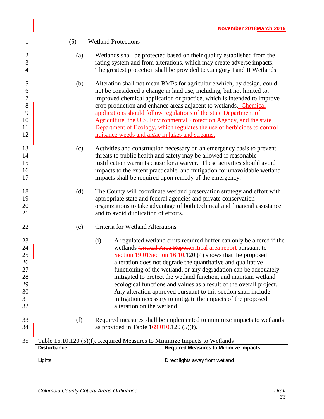| $\mathbf{1}$                                                 | (5)                | <b>Wetland Protections</b>                                                |                                                                                                                                                                                                                                                                                                                                                                                                                                                                                                                                                                                                                       |
|--------------------------------------------------------------|--------------------|---------------------------------------------------------------------------|-----------------------------------------------------------------------------------------------------------------------------------------------------------------------------------------------------------------------------------------------------------------------------------------------------------------------------------------------------------------------------------------------------------------------------------------------------------------------------------------------------------------------------------------------------------------------------------------------------------------------|
| $\overline{2}$<br>3<br>$\overline{4}$                        | (a)                |                                                                           | Wetlands shall be protected based on their quality established from the<br>rating system and from alterations, which may create adverse impacts.<br>The greatest protection shall be provided to Category I and II Wetlands.                                                                                                                                                                                                                                                                                                                                                                                          |
| 5<br>6<br>$\boldsymbol{7}$<br>8<br>9<br>10<br>11<br>12       | (b)                | nuisance weeds and algae in lakes and streams.                            | Alteration shall not mean BMPs for agriculture which, by design, could<br>not be considered a change in land use, including, but not limited to,<br>improved chemical application or practice, which is intended to improve<br>crop production and enhance areas adjacent to wetlands. Chemical<br>applications should follow regulations of the state Department of<br>Agriculture, the U.S. Environmental Protection Agency, and the state<br>Department of Ecology, which regulates the use of herbicides to control                                                                                               |
| 13<br>14<br>15<br>16<br>17                                   | (c)                |                                                                           | Activities and construction necessary on an emergency basis to prevent<br>threats to public health and safety may be allowed if reasonable<br>justification warrants cause for a waiver. These activities should avoid<br>impacts to the extent practicable, and mitigation for unavoidable wetland<br>impacts shall be required upon remedy of the emergency.                                                                                                                                                                                                                                                        |
| 18<br>19<br>20<br>21                                         | (d)                | and to avoid duplication of efforts.                                      | The County will coordinate wetland preservation strategy and effort with<br>appropriate state and federal agencies and private conservation<br>organizations to take advantage of both technical and financial assistance                                                                                                                                                                                                                                                                                                                                                                                             |
| 22                                                           | (e)                | Criteria for Wetland Alterations                                          |                                                                                                                                                                                                                                                                                                                                                                                                                                                                                                                                                                                                                       |
| 23<br>24<br>25<br>26<br>27<br>$28\,$<br>29<br>30<br>31<br>32 |                    | (i)<br>alteration on the wetland.                                         | A regulated wetland or its required buffer can only be altered if the<br>wetlands Critical Area Reportcritical area report pursuant to<br>Section 19.01 Section 16.10.120 (4) shows that the proposed<br>alteration does not degrade the quantitative and qualitative<br>functioning of the wetland, or any degradation can be adequately<br>mitigated to protect the wetland function, and maintain wetland<br>ecological functions and values as a result of the overall project.<br>Any alteration approved pursuant to this section shall include<br>mitigation necessary to mitigate the impacts of the proposed |
| 33<br>34                                                     | (f)                | as provided in Table $169.010.120(5)(f)$ .                                | Required measures shall be implemented to minimize impacts to wetlands                                                                                                                                                                                                                                                                                                                                                                                                                                                                                                                                                |
| 35                                                           |                    | Table 16.10.120 (5)(f). Required Measures to Minimize Impacts to Wetlands |                                                                                                                                                                                                                                                                                                                                                                                                                                                                                                                                                                                                                       |
|                                                              | <b>Disturbance</b> |                                                                           | <b>Required Measures to Minimize Impacts</b>                                                                                                                                                                                                                                                                                                                                                                                                                                                                                                                                                                          |
|                                                              | Lights             |                                                                           | Direct lights away from wetland                                                                                                                                                                                                                                                                                                                                                                                                                                                                                                                                                                                       |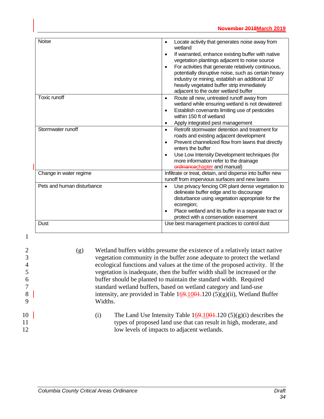| <b>Noise</b>               | Locate activity that generates noise away from<br>$\bullet$<br>wetland<br>If warranted, enhance existing buffer with native<br>$\bullet$<br>vegetation plantings adjacent to noise source<br>For activities that generate relatively continuous,<br>potentially disruptive noise, such as certain heavy<br>industry or mining, establish an additional 10'<br>heavily vegetated buffer strip immediately<br>adjacent to the outer wetland buffer |
|----------------------------|--------------------------------------------------------------------------------------------------------------------------------------------------------------------------------------------------------------------------------------------------------------------------------------------------------------------------------------------------------------------------------------------------------------------------------------------------|
| Toxic runoff               | Route all new, untreated runoff away from<br>$\bullet$<br>wetland while ensuring wetland is not dewatered<br>Establish covenants limiting use of pesticides<br>$\bullet$<br>within 150 ft of wetland<br>Apply integrated pest management<br>$\bullet$                                                                                                                                                                                            |
| Stormwater runoff          | Retrofit stormwater detention and treatment for<br>$\bullet$<br>roads and existing adjacent development<br>Prevent channelized flow from lawns that directly<br>$\bullet$<br>enters the buffer<br>Use Low Intensity Development techniques (for<br>more information refer to the drainage<br>erdinancechapter and manual)                                                                                                                        |
| Change in water regime     | Infiltrate or treat, detain, and disperse into buffer new<br>runoff from impervious surfaces and new lawns                                                                                                                                                                                                                                                                                                                                       |
| Pets and human disturbance | Use privacy fencing OR plant dense vegetation to<br>$\bullet$<br>delineate buffer edge and to discourage<br>disturbance using vegetation appropriate for the<br>ecoregion;<br>Place wetland and its buffer in a separate tract or<br>protect with a conservation easement                                                                                                                                                                        |
| Dust                       | Use best management practices to control dust                                                                                                                                                                                                                                                                                                                                                                                                    |

|                | (g) | Wetland buffers widths presume the existence of a relatively intact native                                                                                                                    |  |  |  |
|----------------|-----|-----------------------------------------------------------------------------------------------------------------------------------------------------------------------------------------------|--|--|--|
|                |     | vegetation community in the buffer zone adequate to protect the wetland                                                                                                                       |  |  |  |
|                |     | ecological functions and values at the time of the proposed activity. If the                                                                                                                  |  |  |  |
|                |     | vegetation is inadequate, then the buffer width shall be increased or the                                                                                                                     |  |  |  |
| <sub>0</sub>   |     | buffer should be planted to maintain the standard width. Required                                                                                                                             |  |  |  |
|                |     | standard wetland buffers, based on wetland category and land-use                                                                                                                              |  |  |  |
| 8              |     | intensity, are provided in Table $169.1004.120(5)(g)(ii)$ , Wetland Buffer                                                                                                                    |  |  |  |
|                |     | Widths.                                                                                                                                                                                       |  |  |  |
| 10<br>11<br>12 |     | The Land Use Intensity Table $169.1004.120(5)(g)(i)$ describes the<br>(i)<br>types of proposed land use that can result in high, moderate, and<br>low levels of impacts to adjacent wetlands. |  |  |  |
|                |     |                                                                                                                                                                                               |  |  |  |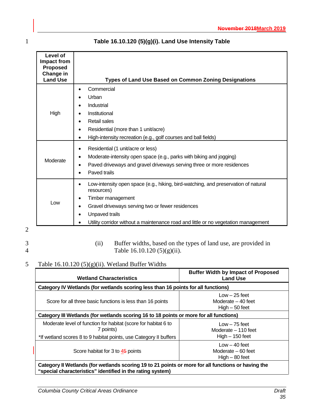| Level of<br>Impact from<br><b>Proposed</b><br>Change in<br><b>Land Use</b> | <b>Types of Land Use Based on Common Zoning Designations</b>                                                                                                                                                                                                                                   |
|----------------------------------------------------------------------------|------------------------------------------------------------------------------------------------------------------------------------------------------------------------------------------------------------------------------------------------------------------------------------------------|
| High                                                                       | Commercial<br>$\bullet$<br>Urban<br>Industrial<br>Institutional<br>Retail sales<br>Residential (more than 1 unit/acre)<br>$\bullet$<br>High-intensity recreation (e.g., golf courses and ball fields)<br>$\bullet$                                                                             |
| Moderate                                                                   | Residential (1 unit/acre or less)<br>٠<br>Moderate-intensity open space (e.g., parks with biking and jogging)<br>Paved driveways and gravel driveways serving three or more residences<br>Paved trails                                                                                         |
| Low                                                                        | Low-intensity open space (e.g., hiking, bird-watching, and preservation of natural<br>$\bullet$<br>resources)<br>Timber management<br>Gravel driveways serving two or fewer residences<br>Unpaved trails<br>Utility corridor without a maintenance road and little or no vegetation management |

## 1 **Table 16.10.120 (5)(g)(i). Land Use Intensity Table**

2

3 (ii) Buffer widths, based on the types of land use, are provided in Table 16.10.120 (5)(g)(ii). Table  $16.10.120(5)(g)(ii)$ .

## 5 Table 16.10.120 (5)(g)(ii). Wetland Buffer Widths

| <b>Wetland Characteristics</b>                                                                     | <b>Buffer Width by Impact of Proposed</b><br><b>Land Use</b> |  |  |
|----------------------------------------------------------------------------------------------------|--------------------------------------------------------------|--|--|
| Category IV Wetlands (for wetlands scoring less than 16 points for all functions)                  |                                                              |  |  |
| Score for all three basic functions is less than 16 points                                         | $Low - 25 feet$<br>Moderate $-40$ feet<br>$High - 50 feet$   |  |  |
| Category III Wetlands (for wetlands scoring 16 to 18 points or more for all functions)             |                                                              |  |  |
| Moderate level of function for habitat (score for habitat 6 to<br>7 points)                        | $Low - 75 feet$<br>Moderate – 110 feet                       |  |  |
| *If wetland scores 8 to 9 habitat points, use Category II buffers                                  | $High - 150$ feet                                            |  |  |
| Score habitat for 3 to 45 points                                                                   | $Low - 40$ feet<br>Moderate $-60$ feet<br>$High - 80 feet$   |  |  |
| Category II Wetlands (for wetlands scoring 19 to 21 points or more for all functions or having the |                                                              |  |  |

**"special characteristics" identified in the rating system)**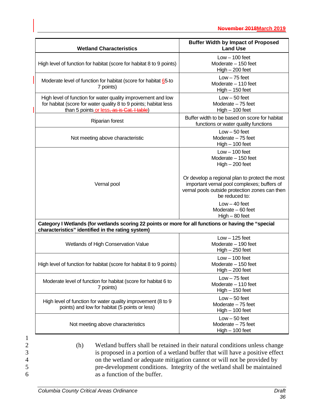| <b>Wetland Characteristics</b>                                                                                                                                                 | <b>Buffer Width by Impact of Proposed</b><br><b>Land Use</b>                                                                                                      |
|--------------------------------------------------------------------------------------------------------------------------------------------------------------------------------|-------------------------------------------------------------------------------------------------------------------------------------------------------------------|
| High level of function for habitat (score for habitat 8 to 9 points)                                                                                                           | $Low - 100 feet$<br>Moderate $-150$ feet<br>$High - 200 feet$                                                                                                     |
| Moderate level of function for habitat (score for habitat 65-to<br>7 points)                                                                                                   | $Low - 75 feet$<br>Moderate - 110 feet<br>$High - 150 feet$                                                                                                       |
| High level of function for water quality improvement and low<br>for habitat (score for water quality 8 to 9 points; habitat less<br>than 5 points or less, as is Cat. I table) | $Low - 50 feet$<br>Moderate $-75$ feet<br>$High - 100 feet$                                                                                                       |
| Riparian forest                                                                                                                                                                | Buffer width to be based on score for habitat<br>functions or water quality functions                                                                             |
| Not meeting above characteristic                                                                                                                                               | $Low - 50 feet$<br>Moderate $-75$ feet<br>$High - 100 feet$                                                                                                       |
|                                                                                                                                                                                | $Low - 100 feet$<br>Moderate - 150 feet<br>$High - 200 feet$                                                                                                      |
| Vernal pool                                                                                                                                                                    | Or develop a regional plan to protect the most<br>important vernal pool complexes; buffers of<br>vernal pools outside protection zones can then<br>be reduced to: |
|                                                                                                                                                                                | $Low - 40 feet$<br>Moderate $-60$ feet<br>$High - 80 feet$                                                                                                        |
| Category I Wetlands (for wetlands scoring 22 points or more for all functions or having the "special<br>characteristics" identified in the rating system)                      |                                                                                                                                                                   |
| Wetlands of High Conservation Value                                                                                                                                            | $Low - 125 feet$<br>Moderate - 190 feet<br>$High - 250 feet$                                                                                                      |
| High level of function for habitat (score for habitat 8 to 9 points)                                                                                                           | $Low - 100 feet$<br>Moderate - 150 feet<br>$High - 200 feet$                                                                                                      |
| Moderate level of function for habitat (score for habitat 6 to<br>7 points)                                                                                                    | $Low - 75 feet$<br>Moderate - 110 feet<br>$High - 150 feet$                                                                                                       |
| High level of function for water quality improvement (8 to 9<br>points) and low for habitat (5 points or less)                                                                 | $Low - 50 feet$<br>Moderate $-75$ feet<br>$High - 100 feet$                                                                                                       |
|                                                                                                                                                                                | $Low - 50$ feet                                                                                                                                                   |

*Columbia County Critical Areas Ordinance Draft*

as a function of the buffer.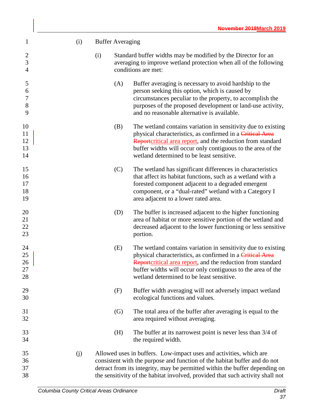| $\mathbf{1}$                          | (i) |     | <b>Buffer Averaging</b> |                                                                                                                                                                                                                                                                                                                  |
|---------------------------------------|-----|-----|-------------------------|------------------------------------------------------------------------------------------------------------------------------------------------------------------------------------------------------------------------------------------------------------------------------------------------------------------|
| $\overline{2}$<br>3<br>$\overline{4}$ |     | (i) |                         | Standard buffer widths may be modified by the Director for an<br>averaging to improve wetland protection when all of the following<br>conditions are met:                                                                                                                                                        |
| 5<br>6<br>$\boldsymbol{7}$<br>8<br>9  |     |     | (A)                     | Buffer averaging is necessary to avoid hardship to the<br>person seeking this option, which is caused by<br>circumstances peculiar to the property, to accomplish the<br>purposes of the proposed development or land-use activity,<br>and no reasonable alternative is available.                               |
| 10<br>11<br>12<br>13<br>14            |     |     | (B)                     | The wetland contains variation in sensitivity due to existing<br>physical characteristics, as confirmed in a Critical Area<br>Reportcritical area report, and the reduction from standard<br>buffer widths will occur only contiguous to the area of the<br>wetland determined to be least sensitive.            |
| 15<br>16<br>17<br>18<br>19            |     |     | (C)                     | The wetland has significant differences in characteristics<br>that affect its habitat functions, such as a wetland with a<br>forested component adjacent to a degraded emergent<br>component, or a "dual-rated" wetland with a Category I<br>area adjacent to a lower rated area.                                |
| 20<br>21<br>22<br>23                  |     |     | (D)                     | The buffer is increased adjacent to the higher functioning<br>area of habitat or more sensitive portion of the wetland and<br>decreased adjacent to the lower functioning or less sensitive<br>portion.                                                                                                          |
| 24<br>25<br>26<br>27<br>28            |     |     | (E)                     | The wetland contains variation in sensitivity due to existing<br>physical characteristics, as confirmed in a Critical Area<br>Reportcritical area report, and the reduction from standard<br>buffer widths will occur only contiguous to the area of the<br>wetland determined to be least sensitive.            |
| 29<br>30                              |     |     | (F)                     | Buffer width averaging will not adversely impact wetland<br>ecological functions and values.                                                                                                                                                                                                                     |
| 31<br>32                              |     |     | (G)                     | The total area of the buffer after averaging is equal to the<br>area required without averaging.                                                                                                                                                                                                                 |
| 33<br>34                              |     |     | (H)                     | The buffer at its narrowest point is never less than 3/4 of<br>the required width.                                                                                                                                                                                                                               |
| 35<br>36<br>37<br>38                  | (j) |     |                         | Allowed uses in buffers. Low-impact uses and activities, which are<br>consistent with the purpose and function of the habitat buffer and do not<br>detract from its integrity, may be permitted within the buffer depending on<br>the sensitivity of the habitat involved, provided that such activity shall not |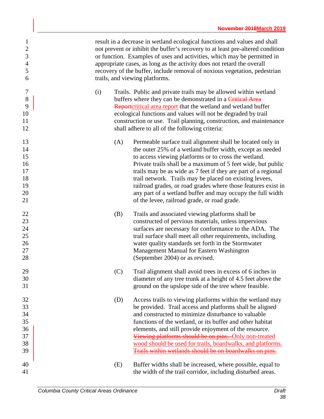| $\mathbf{1}$<br>$\overline{2}$<br>3<br>$\overline{4}$<br>5<br>6 | result in a decrease in wetland ecological functions and values and shall<br>not prevent or inhibit the buffer's recovery to at least pre-altered condition<br>or function. Examples of uses and activities, which may be permitted in<br>appropriate cases, as long as the activity does not retard the overall<br>recovery of the buffer, include removal of noxious vegetation, pedestrian<br>trails, and viewing platforms.                                                                                                                                    |
|-----------------------------------------------------------------|--------------------------------------------------------------------------------------------------------------------------------------------------------------------------------------------------------------------------------------------------------------------------------------------------------------------------------------------------------------------------------------------------------------------------------------------------------------------------------------------------------------------------------------------------------------------|
| 7<br>$8\,$<br>9<br>10<br>11<br>12                               | Trails. Public and private trails may be allowed within wetland<br>(i)<br>buffers where they can be demonstrated in a Critical Area<br>Reportcritical area report that the wetland and wetland buffer<br>ecological functions and values will not be degraded by trail<br>construction or use. Trail planning, construction, and maintenance<br>shall adhere to all of the following criteria:                                                                                                                                                                     |
| 13<br>14<br>15<br>16<br>17<br>18<br>19<br>20<br>21              | (A)<br>Permeable surface trail alignment shall be located only in<br>the outer 25% of a wetland buffer width, except as needed<br>to access viewing platforms or to cross the wetland.<br>Private trails shall be a maximum of 5 feet wide, but public<br>trails may be as wide as 7 feet if they are part of a regional<br>trail network. Trails may be placed on existing levees,<br>railroad grades, or road grades where those features exist in<br>any part of a wetland buffer and may occupy the full width<br>of the levee, railroad grade, or road grade. |
| 22<br>23<br>24<br>25<br>26<br>27<br>28                          | Trails and associated viewing platforms shall be<br>(B)<br>constructed of pervious materials, unless impervious<br>surfaces are necessary for conformance to the ADA. The<br>trail surface shall meet all other requirements, including<br>water quality standards set forth in the Stormwater<br>Management Manual for Eastern Washington<br>(September 2004) or as revised.                                                                                                                                                                                      |
| 29<br>30<br>31                                                  | (C)<br>Trail alignment shall avoid trees in excess of 6 inches in<br>diameter of any tree trunk at a height of 4.5 feet above the<br>ground on the upslope side of the tree where feasible.                                                                                                                                                                                                                                                                                                                                                                        |
| 32<br>33<br>34<br>35<br>36<br>37<br>38<br>39                    | Access trails to viewing platforms within the wetland may<br>(D)<br>be provided. Trail access and platforms shall be aligned<br>and constructed to minimize disturbance to valuable<br>functions of the wetland, or its buffer and other habitat<br>elements, and still provide enjoyment of the resource.<br>Viewing platforms should be on pins. Only non-treated<br>wood should be used for trails, boardwalks, and platforms.<br>Trails within wetlands should be on boardwalks on pins.                                                                       |
| 40<br>41                                                        | Buffer widths shall be increased, where possible, equal to<br>(E)<br>the width of the trail corridor, including disturbed areas.                                                                                                                                                                                                                                                                                                                                                                                                                                   |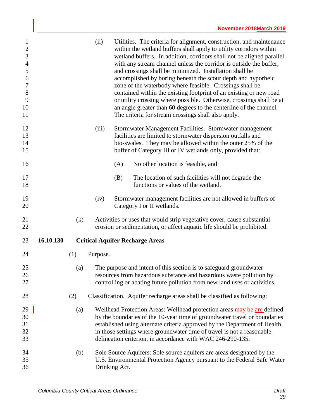| $\mathbf{1}$<br>$\overline{c}$<br>3<br>$\overline{4}$<br>5<br>$\boldsymbol{6}$<br>$\tau$<br>$8\,$<br>9<br>10<br>11 |           |     | (ii)     | Utilities. The criteria for alignment, construction, and maintenance<br>within the wetland buffers shall apply to utility corridors within<br>wetland buffers. In addition, corridors shall not be aligned parallel<br>with any stream channel unless the corridor is outside the buffer,<br>and crossings shall be minimized. Installation shall be<br>accomplished by boring beneath the scour depth and hyporheic<br>zone of the waterbody where feasible. Crossings shall be<br>contained within the existing footprint of an existing or new road<br>or utility crossing where possible. Otherwise, crossings shall be at<br>an angle greater than 60 degrees to the centerline of the channel.<br>The criteria for stream crossings shall also apply. |
|--------------------------------------------------------------------------------------------------------------------|-----------|-----|----------|-------------------------------------------------------------------------------------------------------------------------------------------------------------------------------------------------------------------------------------------------------------------------------------------------------------------------------------------------------------------------------------------------------------------------------------------------------------------------------------------------------------------------------------------------------------------------------------------------------------------------------------------------------------------------------------------------------------------------------------------------------------|
| 12<br>13<br>14<br>15                                                                                               |           |     | (iii)    | Stormwater Management Facilities. Stormwater management<br>facilities are limited to stormwater dispersion outfalls and<br>bio-swales. They may be allowed within the outer 25% of the<br>buffer of Category III or IV wetlands only, provided that:                                                                                                                                                                                                                                                                                                                                                                                                                                                                                                        |
| 16                                                                                                                 |           |     |          | (A)<br>No other location is feasible, and                                                                                                                                                                                                                                                                                                                                                                                                                                                                                                                                                                                                                                                                                                                   |
| 17<br>18                                                                                                           |           |     |          | (B)<br>The location of such facilities will not degrade the<br>functions or values of the wetland.                                                                                                                                                                                                                                                                                                                                                                                                                                                                                                                                                                                                                                                          |
| 19<br>20                                                                                                           |           |     | (iv)     | Stormwater management facilities are not allowed in buffers of<br>Category I or II wetlands.                                                                                                                                                                                                                                                                                                                                                                                                                                                                                                                                                                                                                                                                |
| 21<br>22                                                                                                           |           | (k) |          | Activities or uses that would strip vegetative cover, cause substantial<br>erosion or sedimentation, or affect aquatic life should be prohibited.                                                                                                                                                                                                                                                                                                                                                                                                                                                                                                                                                                                                           |
| 23                                                                                                                 | 16.10.130 |     |          | <b>Critical Aquifer Recharge Areas</b>                                                                                                                                                                                                                                                                                                                                                                                                                                                                                                                                                                                                                                                                                                                      |
| 24                                                                                                                 |           | (1) | Purpose. |                                                                                                                                                                                                                                                                                                                                                                                                                                                                                                                                                                                                                                                                                                                                                             |
| 25<br>26<br>27                                                                                                     |           | (a) |          | The purpose and intent of this section is to safeguard groundwater<br>resources from hazardous substance and hazardous waste pollution by<br>controlling or abating future pollution from new land uses or activities.                                                                                                                                                                                                                                                                                                                                                                                                                                                                                                                                      |
| 28                                                                                                                 |           | (2) |          | Classification. Aquifer recharge areas shall be classified as following:                                                                                                                                                                                                                                                                                                                                                                                                                                                                                                                                                                                                                                                                                    |
| 29<br>30<br>31<br>32<br>33                                                                                         |           | (a) |          | Wellhead Protection Areas: Wellhead protection areas may be are defined<br>by the boundaries of the 10-year time of groundwater travel or boundaries<br>established using alternate criteria approved by the Department of Health<br>in those settings where groundwater time of travel is not a reasonable<br>delineation criterion, in accordance with WAC 246-290-135.                                                                                                                                                                                                                                                                                                                                                                                   |
| 34<br>35<br>36                                                                                                     |           | (b) |          | Sole Source Aquifers: Sole source aquifers are areas designated by the<br>U.S. Environmental Protection Agency pursuant to the Federal Safe Water<br>Drinking Act.                                                                                                                                                                                                                                                                                                                                                                                                                                                                                                                                                                                          |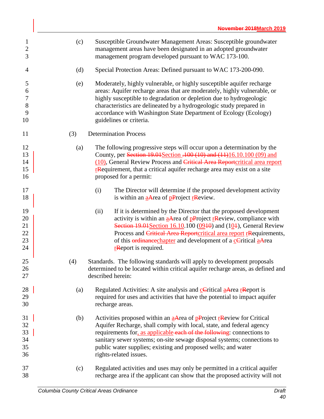| $\mathbf{1}$<br>$\overline{c}$<br>3            | (c) | Susceptible Groundwater Management Areas: Susceptible groundwater<br>management areas have been designated in an adopted groundwater<br>management program developed pursuant to WAC 173-100.                                                                                                                                                                                                                                    |
|------------------------------------------------|-----|----------------------------------------------------------------------------------------------------------------------------------------------------------------------------------------------------------------------------------------------------------------------------------------------------------------------------------------------------------------------------------------------------------------------------------|
| 4                                              | (d) | Special Protection Areas: Defined pursuant to WAC 173-200-090.                                                                                                                                                                                                                                                                                                                                                                   |
| 5<br>6<br>$\boldsymbol{7}$<br>$8\,$<br>9<br>10 | (e) | Moderately, highly vulnerable, or highly susceptible aquifer recharge<br>areas: Aquifer recharge areas that are moderately, highly vulnerable, or<br>highly susceptible to degradation or depletion due to hydrogeologic<br>characteristics are delineated by a hydrogeologic study prepared in<br>accordance with Washington State Department of Ecology (Ecology)<br>guidelines or criteria.                                   |
| 11                                             | (3) | <b>Determination Process</b>                                                                                                                                                                                                                                                                                                                                                                                                     |
| 12<br>13<br>14<br>15<br>16                     | (a) | The following progressive steps will occur upon a determination by the<br>County, per Section 19.01 Section -100 (10) and (11) 16.10.100 (09) and<br>(10), General Review Process and Critical Area Reportcritical area report<br><b>r</b> Requirement, that a critical aquifer recharge area may exist on a site<br>proposed for a permit:                                                                                      |
| 17<br>18                                       |     | The Director will determine if the proposed development activity<br>(i)<br>is within an aArea of $p$ Project rReview.                                                                                                                                                                                                                                                                                                            |
| 19<br>20<br>21<br>22<br>23<br>24               |     | (ii)<br>If it is determined by the Director that the proposed development<br>activity is within an $\frac{a}{a}$ -Area of p-Project r-Review, compliance with<br>Section $19.01$ Section 16.10.100 (09 $10$ ) and (10 $1$ ), General Review<br>Process and Critical Area Reportcritical area report rRequirements,<br>of this <b>erdinance</b> chapter and development of a cCritical aArea<br>r <sub>R</sub> eport is required. |
| 25<br>26<br>27                                 | (4) | Standards. The following standards will apply to development proposals<br>determined to be located within critical aquifer recharge areas, as defined and<br>described herein:                                                                                                                                                                                                                                                   |
| 28<br>29<br>30                                 | (a) | Regulated Activities: A site analysis and <b>cC</b> ritical <b>aArea rReport</b> is<br>required for uses and activities that have the potential to impact aquifer<br>recharge areas.                                                                                                                                                                                                                                             |
| 31<br>32<br>33<br>34<br>35<br>36               | (b) | Activities proposed within an aArea of pProject rReview for Critical<br>Aquifer Recharge, shall comply with local, state, and federal agency<br>requirements for, as applicable each of the following: connections to<br>sanitary sewer systems; on-site sewage disposal systems; connections to<br>public water supplies; existing and proposed wells; and water<br>rights-related issues.                                      |
| 37<br>38                                       | (c) | Regulated activities and uses may only be permitted in a critical aquifer<br>recharge area if the applicant can show that the proposed activity will not                                                                                                                                                                                                                                                                         |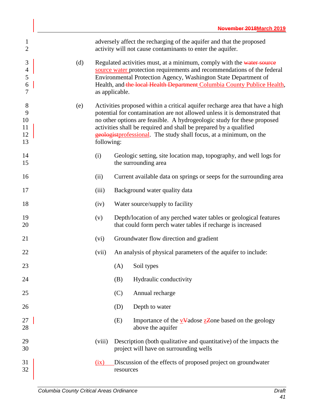| 1<br>$\overline{2}$                             |     |                                                                                                                                                                                                                                                                                                                                                                                                | adversely affect the recharging of the aquifer and that the proposed<br>activity will not cause contaminants to enter the aquifer. |  |
|-------------------------------------------------|-----|------------------------------------------------------------------------------------------------------------------------------------------------------------------------------------------------------------------------------------------------------------------------------------------------------------------------------------------------------------------------------------------------|------------------------------------------------------------------------------------------------------------------------------------|--|
| $\mathfrak{Z}$<br>$\overline{4}$<br>5<br>6<br>7 | (d) | Regulated activities must, at a minimum, comply with the water source<br>source water protection requirements and recommendations of the federal<br>Environmental Protection Agency, Washington State Department of<br>Health, and the local Health Department Columbia County Publice Health,<br>as applicable.                                                                               |                                                                                                                                    |  |
| 8<br>9<br>10<br>11<br>12<br>13                  | (e) | Activities proposed within a critical aquifer recharge area that have a high<br>potential for contamination are not allowed unless it is demonstrated that<br>no other options are feasible. A hydrogeologic study for these proposed<br>activities shall be required and shall be prepared by a qualified<br>geologistprofessional. The study shall focus, at a minimum, on the<br>following: |                                                                                                                                    |  |
| 14<br>15                                        | (i) |                                                                                                                                                                                                                                                                                                                                                                                                | Geologic setting, site location map, topography, and well logs for<br>the surrounding area                                         |  |
| 16                                              |     | (ii)                                                                                                                                                                                                                                                                                                                                                                                           | Current available data on springs or seeps for the surrounding area                                                                |  |
| 17                                              |     | (iii)                                                                                                                                                                                                                                                                                                                                                                                          | Background water quality data                                                                                                      |  |
| 18                                              |     | Water source/supply to facility<br>(iv)                                                                                                                                                                                                                                                                                                                                                        |                                                                                                                                    |  |
| 19<br>20                                        |     | (v)                                                                                                                                                                                                                                                                                                                                                                                            | Depth/location of any perched water tables or geological features<br>that could form perch water tables if recharge is increased   |  |
| 21                                              |     | (vi)                                                                                                                                                                                                                                                                                                                                                                                           | Groundwater flow direction and gradient                                                                                            |  |
| 22                                              |     | (vii)                                                                                                                                                                                                                                                                                                                                                                                          | An analysis of physical parameters of the aquifer to include:                                                                      |  |
| 23                                              |     |                                                                                                                                                                                                                                                                                                                                                                                                | Soil types<br>(A)                                                                                                                  |  |
| 24                                              |     |                                                                                                                                                                                                                                                                                                                                                                                                | (B)<br>Hydraulic conductivity                                                                                                      |  |
| 25                                              |     |                                                                                                                                                                                                                                                                                                                                                                                                | Annual recharge<br>(C)                                                                                                             |  |
| 26                                              |     |                                                                                                                                                                                                                                                                                                                                                                                                | Depth to water<br>(D)                                                                                                              |  |
| 27<br>28                                        |     |                                                                                                                                                                                                                                                                                                                                                                                                | (E)<br>Importance of the $\underline{v}\overline{v}$ adose $\underline{z}$ Zone based on the geology<br>above the aquifer          |  |
| 29<br>30                                        |     | (viii)                                                                                                                                                                                                                                                                                                                                                                                         | Description (both qualitative and quantitative) of the impacts the<br>project will have on surrounding wells                       |  |
| 31<br>32                                        |     | (ix)                                                                                                                                                                                                                                                                                                                                                                                           | Discussion of the effects of proposed project on groundwater<br>resources                                                          |  |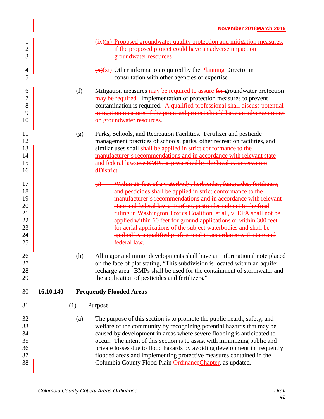|           |     | $\frac{f(x)}{x}$ Proposed groundwater quality protection and mitigation measures,<br>if the proposed project could have an adverse impact on<br>groundwater resources                                                                                                                                                                                                                                                                                                                                                                                                                      |
|-----------|-----|--------------------------------------------------------------------------------------------------------------------------------------------------------------------------------------------------------------------------------------------------------------------------------------------------------------------------------------------------------------------------------------------------------------------------------------------------------------------------------------------------------------------------------------------------------------------------------------------|
|           |     | $\frac{f(x)}{f(x)}$ Other information required by the Planning Director in<br>consultation with other agencies of expertise                                                                                                                                                                                                                                                                                                                                                                                                                                                                |
|           | (f) | Mitigation measures may be required to assure for groundwater protection<br>may be required. Implementation of protection measures to prevent<br>contamination is required. A qualified professional shall discuss potential<br>mitigation measures if the proposed project should have an adverse impact<br>on groundwater resources.                                                                                                                                                                                                                                                     |
|           | (g) | Parks, Schools, and Recreation Facilities. Fertilizer and pesticide<br>management practices of schools, parks, other recreation facilities, and<br>similar uses shall shall be applied in strict conformance to the<br>manufacturer's recommendations and in accordance with relevant state<br>and federal lawsuse BMPs as prescribed by the local cConservation<br>dDistrict.                                                                                                                                                                                                             |
|           |     | Within 25 feet of a waterbody, herbicides, fungicides, fertilizers,<br>$\bigoplus$<br>and pesticides shall be applied in strict conformance to the<br>manufacturer's recommendations and in accordance with relevant<br>state and federal laws. Further, pesticides subject to the final<br>ruling in Washington Toxics Coalition, et al., v. EPA shall not be<br>applied within 60 feet for ground applications or within 300 feet<br>for aerial applications of the subject waterbodies and shall be<br>applied by a qualified professional in accordance with state and<br>federal law. |
|           | (h) | All major and minor developments shall have an informational note placed<br>on the face of plat stating, "This subdivision is located within an aquifer<br>recharge area. BMPs shall be used for the containment of stormwater and<br>the application of pesticides and fertilizers."                                                                                                                                                                                                                                                                                                      |
| 16.10.140 |     | <b>Frequently Flooded Areas</b>                                                                                                                                                                                                                                                                                                                                                                                                                                                                                                                                                            |
|           |     | Purpose                                                                                                                                                                                                                                                                                                                                                                                                                                                                                                                                                                                    |
|           | (a) | The purpose of this section is to promote the public health, safety, and<br>welfare of the community by recognizing potential hazards that may be<br>caused by development in areas where severe flooding is anticipated to<br>occur. The intent of this section is to assist with minimizing public and<br>private losses due to flood hazards by avoiding development in frequently<br>flooded areas and implementing protective measures contained in the<br>Columbia County Flood Plain Ordinance Chapter, as updated.                                                                 |
|           |     | (1)                                                                                                                                                                                                                                                                                                                                                                                                                                                                                                                                                                                        |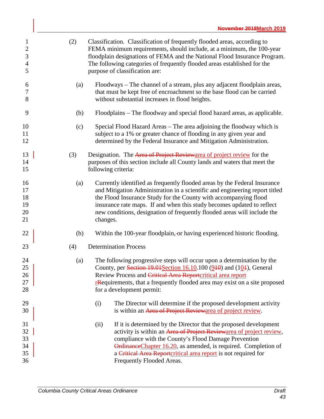| $\mathbf{1}$<br>$\overline{c}$<br>3<br>$\overline{\mathcal{A}}$<br>5 | (2) | Classification. Classification of frequently flooded areas, according to<br>FEMA minimum requirements, should include, at a minimum, the 100-year<br>floodplain designations of FEMA and the National Flood Insurance Program.<br>The following categories of frequently flooded areas established for the<br>purpose of classification are:                                                   |
|----------------------------------------------------------------------|-----|------------------------------------------------------------------------------------------------------------------------------------------------------------------------------------------------------------------------------------------------------------------------------------------------------------------------------------------------------------------------------------------------|
| 6<br>7<br>8                                                          | (a) | Floodways – The channel of a stream, plus any adjacent floodplain areas,<br>that must be kept free of encroachment so the base flood can be carried<br>without substantial increases in flood heights.                                                                                                                                                                                         |
| 9                                                                    | (b) | Floodplains – The floodway and special flood hazard areas, as applicable.                                                                                                                                                                                                                                                                                                                      |
| 10<br>11<br>12                                                       | (c) | Special Flood Hazard Areas – The area adjoining the floodway which is<br>subject to a 1% or greater chance of flooding in any given year and<br>determined by the Federal Insurance and Mitigation Administration.                                                                                                                                                                             |
| 13<br>14<br>15                                                       | (3) | Designation. The Area of Project Reviewarea of project review for the<br>purposes of this section include all County lands and waters that meet the<br>following criteria:                                                                                                                                                                                                                     |
| 16<br>17<br>18<br>19<br>20<br>21                                     | (a) | Currently identified as frequently flooded areas by the Federal Insurance<br>and Mitigation Administration in a scientific and engineering report titled<br>the Flood Insurance Study for the County with accompanying flood<br>insurance rate maps. If and when this study becomes updated to reflect<br>new conditions, designation of frequently flooded areas will include the<br>changes. |
| 22                                                                   | (b) | Within the 100-year floodplain, or having experienced historic flooding.                                                                                                                                                                                                                                                                                                                       |
| 23                                                                   | (4) | <b>Determination Process</b>                                                                                                                                                                                                                                                                                                                                                                   |
| 24<br>25<br>26<br>27<br>28                                           | (a) | The following progressive steps will occur upon a determination by the<br>County, per Section $19.01$ Section 16.10.100 ( $910$ ) and ( $101$ ), General<br>Review Process and Critical Area Reportcritical area report<br><b>r</b> Requirements, that a frequently flooded area may exist on a site proposed<br>for a development permit:                                                     |
| 29<br>30                                                             |     | The Director will determine if the proposed development activity<br>(i)<br>is within an Area of Project Reviewarea of project review.                                                                                                                                                                                                                                                          |
| 31<br>32<br>33<br>34<br>35<br>36                                     |     | If it is determined by the Director that the proposed development<br>(ii)<br>activity is within an Area of Project Reviewarea of project review,<br>compliance with the County's Flood Damage Prevention<br>Ordinance Chapter 16.20, as amended, is required. Completion of<br>a Critical Area Reportcritical area report is not required for<br>Frequently Flooded Areas.                     |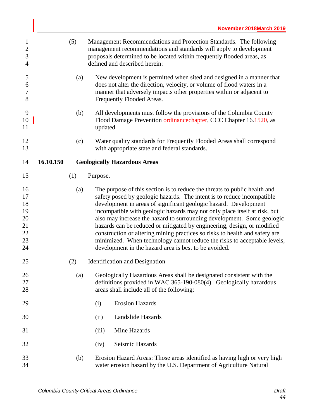| $\mathbf{1}$<br>$\overline{2}$<br>$\mathfrak{Z}$<br>$\overline{4}$ |           | (5) |          | Management Recommendations and Protection Standards. The following<br>management recommendations and standards will apply to development<br>proposals determined to be located within frequently flooded areas, as<br>defined and described herein:                                                  |
|--------------------------------------------------------------------|-----------|-----|----------|------------------------------------------------------------------------------------------------------------------------------------------------------------------------------------------------------------------------------------------------------------------------------------------------------|
| 5<br>6<br>$\boldsymbol{7}$<br>8                                    |           | (a) |          | New development is permitted when sited and designed in a manner that<br>does not alter the direction, velocity, or volume of flood waters in a<br>manner that adversely impacts other properties within or adjacent to<br>Frequently Flooded Areas.                                                 |
| 9<br>10<br>11                                                      |           | (b) | updated. | All developments must follow the provisions of the Columbia County<br>Flood Damage Prevention ordinancechapter, CCC Chapter 16.1520, as                                                                                                                                                              |
| 12<br>13                                                           |           | (c) |          | Water quality standards for Frequently Flooded Areas shall correspond<br>with appropriate state and federal standards.                                                                                                                                                                               |
| 14                                                                 | 16.10.150 |     |          | <b>Geologically Hazardous Areas</b>                                                                                                                                                                                                                                                                  |
| 15                                                                 |           | (1) | Purpose. |                                                                                                                                                                                                                                                                                                      |
| 16<br>17<br>18<br>19                                               |           | (a) |          | The purpose of this section is to reduce the threats to public health and<br>safety posed by geologic hazards. The intent is to reduce incompatible<br>development in areas of significant geologic hazard. Development<br>incompatible with geologic hazards may not only place itself at risk, but |
| 20<br>21<br>22                                                     |           |     |          | also may increase the hazard to surrounding development. Some geologic<br>hazards can be reduced or mitigated by engineering, design, or modified<br>construction or altering mining practices so risks to health and safety are                                                                     |
| 23<br>24                                                           |           |     |          | minimized. When technology cannot reduce the risks to acceptable levels,<br>development in the hazard area is best to be avoided.                                                                                                                                                                    |
| 25                                                                 |           | (2) |          | <b>Identification</b> and Designation                                                                                                                                                                                                                                                                |
| 26                                                                 |           | (a) |          | Geologically Hazardous Areas shall be designated consistent with the                                                                                                                                                                                                                                 |
| 27<br>28                                                           |           |     |          | definitions provided in WAC 365-190-080(4). Geologically hazardous<br>areas shall include all of the following:                                                                                                                                                                                      |
| 29                                                                 |           |     | (i)      | <b>Erosion Hazards</b>                                                                                                                                                                                                                                                                               |
| 30                                                                 |           |     | (ii)     | Landslide Hazards                                                                                                                                                                                                                                                                                    |
| 31                                                                 |           |     | (iii)    | Mine Hazards                                                                                                                                                                                                                                                                                         |
| 32                                                                 |           |     | (iv)     | Seismic Hazards                                                                                                                                                                                                                                                                                      |
| 33<br>34                                                           |           | (b) |          | Erosion Hazard Areas: Those areas identified as having high or very high<br>water erosion hazard by the U.S. Department of Agriculture Natural                                                                                                                                                       |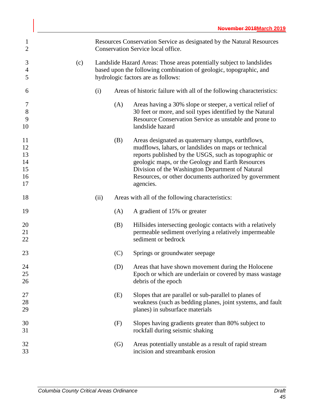| $\mathbf{1}$<br>$\overline{2}$         |     |      |                   | Resources Conservation Service as designated by the Natural Resources<br>Conservation Service local office.                                                                                                                                                                                                                                         |
|----------------------------------------|-----|------|-------------------|-----------------------------------------------------------------------------------------------------------------------------------------------------------------------------------------------------------------------------------------------------------------------------------------------------------------------------------------------------|
| 3<br>$\overline{4}$<br>5               | (c) |      |                   | Landslide Hazard Areas: Those areas potentially subject to landslides<br>based upon the following combination of geologic, topographic, and<br>hydrologic factors are as follows:                                                                                                                                                                   |
| 6                                      |     | (i)  |                   | Areas of historic failure with all of the following characteristics:                                                                                                                                                                                                                                                                                |
| 7<br>$8\,$<br>9<br>10                  |     |      | (A)               | Areas having a 30% slope or steeper, a vertical relief of<br>30 feet or more, and soil types identified by the Natural<br>Resource Conservation Service as unstable and prone to<br>landslide hazard                                                                                                                                                |
| 11<br>12<br>13<br>14<br>15<br>16<br>17 |     |      | (B)               | Areas designated as quaternary slumps, earthflows,<br>mudflows, lahars, or landslides on maps or technical<br>reports published by the USGS, such as topographic or<br>geologic maps, or the Geology and Earth Resources<br>Division of the Washington Department of Natural<br>Resources, or other documents authorized by government<br>agencies. |
| 18                                     |     | (ii) |                   | Areas with all of the following characteristics:                                                                                                                                                                                                                                                                                                    |
| 19                                     |     |      | (A)               | A gradient of 15% or greater                                                                                                                                                                                                                                                                                                                        |
| 20<br>21<br>22                         |     |      | (B)               | Hillsides intersecting geologic contacts with a relatively<br>permeable sediment overlying a relatively impermeable<br>sediment or bedrock                                                                                                                                                                                                          |
| 23                                     |     |      | (C)               | Springs or groundwater seepage                                                                                                                                                                                                                                                                                                                      |
| 24<br>25<br>26                         |     |      | (D)               | Areas that have shown movement during the Holocene<br>Epoch or which are underlain or covered by mass wastage<br>debris of the epoch                                                                                                                                                                                                                |
| 27<br>28<br>29                         |     |      | (E)               | Slopes that are parallel or sub-parallel to planes of<br>weakness (such as bedding planes, joint systems, and fault<br>planes) in subsurface materials                                                                                                                                                                                              |
| 30<br>31                               |     |      | (F)               | Slopes having gradients greater than 80% subject to<br>rockfall during seismic shaking                                                                                                                                                                                                                                                              |
| 32<br>33                               |     |      | $\left( G\right)$ | Areas potentially unstable as a result of rapid stream<br>incision and streambank erosion                                                                                                                                                                                                                                                           |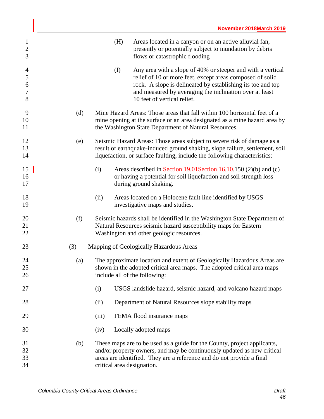| $\mathbf{1}$<br>$\sqrt{2}$<br>3                     |     |       | (H) | Areas located in a canyon or on an active alluvial fan,<br>presently or potentially subject to inundation by debris<br>flows or catastrophic flooding                                                                                                                             |
|-----------------------------------------------------|-----|-------|-----|-----------------------------------------------------------------------------------------------------------------------------------------------------------------------------------------------------------------------------------------------------------------------------------|
| $\overline{4}$<br>$\mathfrak s$<br>6<br>$\tau$<br>8 |     |       | (I) | Any area with a slope of 40% or steeper and with a vertical<br>relief of 10 or more feet, except areas composed of solid<br>rock. A slope is delineated by establishing its toe and top<br>and measured by averaging the inclination over at least<br>10 feet of vertical relief. |
| 9<br>10<br>11                                       | (d) |       |     | Mine Hazard Areas: Those areas that fall within 100 horizontal feet of a<br>mine opening at the surface or an area designated as a mine hazard area by<br>the Washington State Department of Natural Resources.                                                                   |
| 12<br>13<br>14                                      | (e) |       |     | Seismic Hazard Areas: Those areas subject to severe risk of damage as a<br>result of earthquake-induced ground shaking, slope failure, settlement, soil<br>liquefaction, or surface faulting, include the following characteristics:                                              |
| 15<br>16<br>17                                      |     | (i)   |     | Areas described in Section 19.04 Section 16.10.150 (2)(b) and (c)<br>or having a potential for soil liquefaction and soil strength loss<br>during ground shaking.                                                                                                                 |
| 18<br>19                                            |     | (ii)  |     | Areas located on a Holocene fault line identified by USGS<br>investigative maps and studies.                                                                                                                                                                                      |
| 20<br>21<br>22                                      | (f) |       |     | Seismic hazards shall be identified in the Washington State Department of<br>Natural Resources seismic hazard susceptibility maps for Eastern<br>Washington and other geologic resources.                                                                                         |
| 23                                                  | (3) |       |     | Mapping of Geologically Hazardous Areas                                                                                                                                                                                                                                           |
| 24<br>25<br>26                                      | (a) |       |     | The approximate location and extent of Geologically Hazardous Areas are<br>shown in the adopted critical area maps. The adopted critical area maps<br>include all of the following:                                                                                               |
| 27                                                  |     | (i)   |     | USGS landslide hazard, seismic hazard, and volcano hazard maps                                                                                                                                                                                                                    |
| 28                                                  |     | (ii)  |     | Department of Natural Resources slope stability maps                                                                                                                                                                                                                              |
| 29                                                  |     | (iii) |     | FEMA flood insurance maps                                                                                                                                                                                                                                                         |
| 30                                                  |     | (iv)  |     | Locally adopted maps                                                                                                                                                                                                                                                              |
| 31<br>32<br>33<br>34                                | (b) |       |     | These maps are to be used as a guide for the County, project applicants,<br>and/or property owners, and may be continuously updated as new critical<br>areas are identified. They are a reference and do not provide a final<br>critical area designation.                        |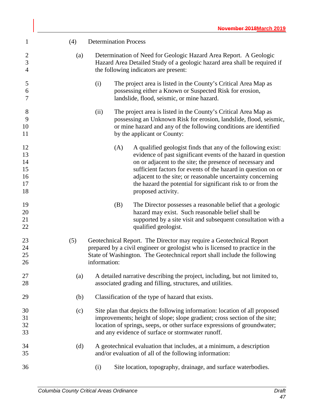| $\mathbf{1}$                           | (4) | <b>Determination Process</b>                                                                                                                                                                                                                                                                                                                                                                                           |  |  |  |  |
|----------------------------------------|-----|------------------------------------------------------------------------------------------------------------------------------------------------------------------------------------------------------------------------------------------------------------------------------------------------------------------------------------------------------------------------------------------------------------------------|--|--|--|--|
| $\overline{2}$<br>3<br>$\overline{4}$  | (a) | Determination of Need for Geologic Hazard Area Report. A Geologic<br>Hazard Area Detailed Study of a geologic hazard area shall be required if<br>the following indicators are present:                                                                                                                                                                                                                                |  |  |  |  |
| 5<br>6<br>7                            |     | The project area is listed in the County's Critical Area Map as<br>(i)<br>possessing either a Known or Suspected Risk for erosion,<br>landslide, flood, seismic, or mine hazard.                                                                                                                                                                                                                                       |  |  |  |  |
| 8<br>9<br>10<br>11                     |     | The project area is listed in the County's Critical Area Map as<br>(ii)<br>possessing an Unknown Risk for erosion, landslide, flood, seismic,<br>or mine hazard and any of the following conditions are identified<br>by the applicant or County:                                                                                                                                                                      |  |  |  |  |
| 12<br>13<br>14<br>15<br>16<br>17<br>18 |     | (A)<br>A qualified geologist finds that any of the following exist:<br>evidence of past significant events of the hazard in question<br>on or adjacent to the site; the presence of necessary and<br>sufficient factors for events of the hazard in question on or<br>adjacent to the site; or reasonable uncertainty concerning<br>the hazard the potential for significant risk to or from the<br>proposed activity. |  |  |  |  |
| 19<br>20<br>21<br>22                   |     | (B)<br>The Director possesses a reasonable belief that a geologic<br>hazard may exist. Such reasonable belief shall be<br>supported by a site visit and subsequent consultation with a<br>qualified geologist.                                                                                                                                                                                                         |  |  |  |  |
| 23<br>24<br>25<br>26                   | (5) | Geotechnical Report. The Director may require a Geotechnical Report<br>prepared by a civil engineer or geologist who is licensed to practice in the<br>State of Washington. The Geotechnical report shall include the following<br>information:                                                                                                                                                                        |  |  |  |  |
| 27<br>28                               |     | (a) A detailed narrative describing the project, including, but not limited to,<br>associated grading and filling, structures, and utilities.                                                                                                                                                                                                                                                                          |  |  |  |  |
| 29                                     | (b) | Classification of the type of hazard that exists.                                                                                                                                                                                                                                                                                                                                                                      |  |  |  |  |
| 30<br>31<br>32<br>33                   | (c) | Site plan that depicts the following information: location of all proposed<br>improvements; height of slope; slope gradient; cross section of the site;<br>location of springs, seeps, or other surface expressions of groundwater;<br>and any evidence of surface or stormwater runoff.                                                                                                                               |  |  |  |  |
| 34<br>35                               | (d) | A geotechnical evaluation that includes, at a minimum, a description<br>and/or evaluation of all of the following information:                                                                                                                                                                                                                                                                                         |  |  |  |  |
| 36                                     |     | Site location, topography, drainage, and surface waterbodies.<br>(i)                                                                                                                                                                                                                                                                                                                                                   |  |  |  |  |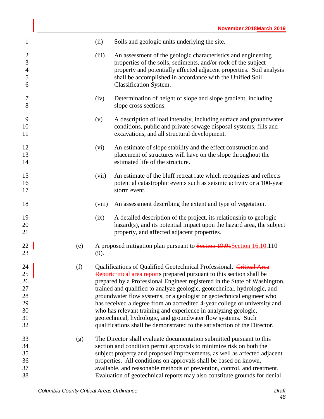| $\mathbf{1}$                                                 |     | (ii)   | Soils and geologic units underlying the site.                                                                                                                                                                                                                                                                                                                                                                                                                                                                                                                                                                                                                                  |
|--------------------------------------------------------------|-----|--------|--------------------------------------------------------------------------------------------------------------------------------------------------------------------------------------------------------------------------------------------------------------------------------------------------------------------------------------------------------------------------------------------------------------------------------------------------------------------------------------------------------------------------------------------------------------------------------------------------------------------------------------------------------------------------------|
| $\mathfrak{2}$<br>$\mathfrak{Z}$<br>$\overline{4}$<br>5<br>6 |     | (iii)  | An assessment of the geologic characteristics and engineering<br>properties of the soils, sediments, and/or rock of the subject<br>property and potentially affected adjacent properties. Soil analysis<br>shall be accomplished in accordance with the Unified Soil<br>Classification System.                                                                                                                                                                                                                                                                                                                                                                                 |
| 7<br>8                                                       |     | (iv)   | Determination of height of slope and slope gradient, including<br>slope cross sections.                                                                                                                                                                                                                                                                                                                                                                                                                                                                                                                                                                                        |
| 9<br>10<br>11                                                |     | (v)    | A description of load intensity, including surface and groundwater<br>conditions, public and private sewage disposal systems, fills and<br>excavations, and all structural development.                                                                                                                                                                                                                                                                                                                                                                                                                                                                                        |
| 12<br>13<br>14                                               |     | (vi)   | An estimate of slope stability and the effect construction and<br>placement of structures will have on the slope throughout the<br>estimated life of the structure.                                                                                                                                                                                                                                                                                                                                                                                                                                                                                                            |
| 15<br>16<br>17                                               |     | (vii)  | An estimate of the bluff retreat rate which recognizes and reflects<br>potential catastrophic events such as seismic activity or a 100-year<br>storm event.                                                                                                                                                                                                                                                                                                                                                                                                                                                                                                                    |
| 18                                                           |     | (viii) | An assessment describing the extent and type of vegetation.                                                                                                                                                                                                                                                                                                                                                                                                                                                                                                                                                                                                                    |
| 19<br>20<br>21                                               |     | (ix)   | A detailed description of the project, its relationship to geologic<br>hazard(s), and its potential impact upon the hazard area, the subject<br>property, and affected adjacent properties.                                                                                                                                                                                                                                                                                                                                                                                                                                                                                    |
| 22<br>23                                                     | (e) | (9).   | A proposed mitigation plan pursuant to Section 19.01 Section 16.10.110                                                                                                                                                                                                                                                                                                                                                                                                                                                                                                                                                                                                         |
| 24<br>25<br>26<br>27<br>28<br>29<br>30<br>31<br>32           | (f) |        | Qualifications of Qualified Geotechnical Professional. Critical Area<br>Reportcritical area reports prepared pursuant to this section shall be<br>prepared by a Professional Engineer registered in the State of Washington,<br>trained and qualified to analyze geologic, geotechnical, hydrologic, and<br>groundwater flow systems, or a geologist or geotechnical engineer who<br>has received a degree from an accredited 4-year college or university and<br>who has relevant training and experience in analyzing geologic,<br>geotechnical, hydrologic, and groundwater flow systems. Such<br>qualifications shall be demonstrated to the satisfaction of the Director. |
| 33<br>34<br>35<br>36<br>37<br>38                             | (g) |        | The Director shall evaluate documentation submitted pursuant to this<br>section and condition permit approvals to minimize risk on both the<br>subject property and proposed improvements, as well as affected adjacent<br>properties. All conditions on approvals shall be based on known,<br>available, and reasonable methods of prevention, control, and treatment.<br>Evaluation of geotechnical reports may also constitute grounds for denial                                                                                                                                                                                                                           |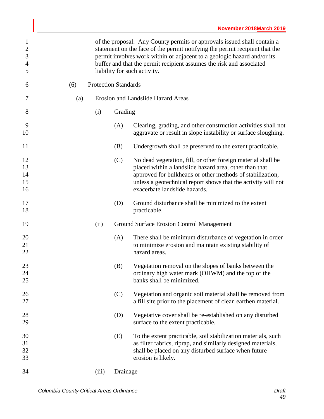| $\mathbf{1}$<br>$\sqrt{2}$<br>3<br>$\overline{4}$<br>5 |     |                             | of the proposal. Any County permits or approvals issued shall contain a<br>statement on the face of the permit notifying the permit recipient that the<br>permit involves work within or adjacent to a geologic hazard and/or its<br>buffer and that the permit recipient assumes the risk and associated<br>liability for such activity. |
|--------------------------------------------------------|-----|-----------------------------|-------------------------------------------------------------------------------------------------------------------------------------------------------------------------------------------------------------------------------------------------------------------------------------------------------------------------------------------|
| 6                                                      | (6) | <b>Protection Standards</b> |                                                                                                                                                                                                                                                                                                                                           |
| 7                                                      | (a) |                             | Erosion and Landslide Hazard Areas                                                                                                                                                                                                                                                                                                        |
| 8                                                      |     | (i)                         | Grading                                                                                                                                                                                                                                                                                                                                   |
| 9<br>10                                                |     |                             | (A)<br>Clearing, grading, and other construction activities shall not<br>aggravate or result in slope instability or surface sloughing.                                                                                                                                                                                                   |
| 11                                                     |     |                             | (B)<br>Undergrowth shall be preserved to the extent practicable.                                                                                                                                                                                                                                                                          |
| 12<br>13<br>14<br>15<br>16                             |     |                             | No dead vegetation, fill, or other foreign material shall be<br>(C)<br>placed within a landslide hazard area, other than that<br>approved for bulkheads or other methods of stabilization,<br>unless a geotechnical report shows that the activity will not<br>exacerbate landslide hazards.                                              |
| 17<br>18                                               |     |                             | Ground disturbance shall be minimized to the extent<br>(D)<br>practicable.                                                                                                                                                                                                                                                                |
| 19                                                     |     | (ii)                        | Ground Surface Erosion Control Management                                                                                                                                                                                                                                                                                                 |
| 20<br>21<br>22                                         |     |                             | (A)<br>There shall be minimum disturbance of vegetation in order<br>to minimize erosion and maintain existing stability of<br>hazard areas.                                                                                                                                                                                               |
| 23<br>24<br>25                                         |     |                             | Vegetation removal on the slopes of banks between the<br>(B)<br>ordinary high water mark (OHWM) and the top of the<br>banks shall be minimized.                                                                                                                                                                                           |
| 26<br>27                                               |     |                             | Vegetation and organic soil material shall be removed from<br>(C)<br>a fill site prior to the placement of clean earthen material.                                                                                                                                                                                                        |
| 28<br>29                                               |     |                             | Vegetative cover shall be re-established on any disturbed<br>(D)<br>surface to the extent practicable.                                                                                                                                                                                                                                    |
| 30<br>31<br>32<br>33                                   |     |                             | To the extent practicable, soil stabilization materials, such<br>(E)<br>as filter fabrics, riprap, and similarly designed materials,<br>shall be placed on any disturbed surface when future<br>erosion is likely.                                                                                                                        |
| 34                                                     |     | (iii)                       | Drainage                                                                                                                                                                                                                                                                                                                                  |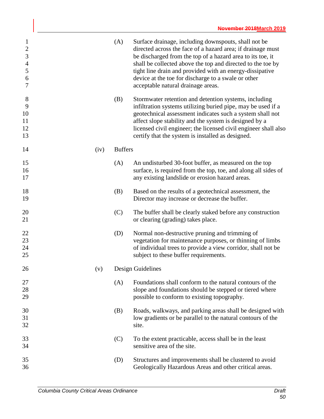| $\mathbf{1}$<br>$\overline{2}$<br>3<br>$\overline{4}$<br>5<br>6<br>7 | (A)            | Surface drainage, including downspouts, shall not be<br>directed across the face of a hazard area; if drainage must<br>be discharged from the top of a hazard area to its toe, it<br>shall be collected above the top and directed to the toe by<br>tight line drain and provided with an energy-dissipative<br>device at the toe for discharge to a swale or other<br>acceptable natural drainage areas. |
|----------------------------------------------------------------------|----------------|-----------------------------------------------------------------------------------------------------------------------------------------------------------------------------------------------------------------------------------------------------------------------------------------------------------------------------------------------------------------------------------------------------------|
| 8<br>9<br>10<br>11<br>12<br>13                                       | (B)            | Stormwater retention and detention systems, including<br>infiltration systems utilizing buried pipe, may be used if a<br>geotechnical assessment indicates such a system shall not<br>affect slope stability and the system is designed by a<br>licensed civil engineer; the licensed civil engineer shall also<br>certify that the system is installed as designed.                                      |
| 14<br>(iv)                                                           | <b>Buffers</b> |                                                                                                                                                                                                                                                                                                                                                                                                           |
| 15<br>16<br>17                                                       | (A)            | An undisturbed 30-foot buffer, as measured on the top<br>surface, is required from the top, toe, and along all sides of<br>any existing landslide or erosion hazard areas.                                                                                                                                                                                                                                |
| 18<br>19                                                             | (B)            | Based on the results of a geotechnical assessment, the<br>Director may increase or decrease the buffer.                                                                                                                                                                                                                                                                                                   |
| 20<br>21                                                             | (C)            | The buffer shall be clearly staked before any construction<br>or clearing (grading) takes place.                                                                                                                                                                                                                                                                                                          |
| 22<br>23<br>24<br>25                                                 | (D)            | Normal non-destructive pruning and trimming of<br>vegetation for maintenance purposes, or thinning of limbs<br>of individual trees to provide a view corridor, shall not be<br>subject to these buffer requirements.                                                                                                                                                                                      |
| 26<br>(v)                                                            |                | Design Guidelines                                                                                                                                                                                                                                                                                                                                                                                         |
| 27<br>28<br>29                                                       | (A)            | Foundations shall conform to the natural contours of the<br>slope and foundations should be stepped or tiered where<br>possible to conform to existing topography.                                                                                                                                                                                                                                        |
| 30<br>31<br>32                                                       | (B)            | Roads, walkways, and parking areas shall be designed with<br>low gradients or be parallel to the natural contours of the<br>site.                                                                                                                                                                                                                                                                         |
| 33<br>34                                                             | (C)            | To the extent practicable, access shall be in the least<br>sensitive area of the site.                                                                                                                                                                                                                                                                                                                    |
| 35<br>36                                                             | (D)            | Structures and improvements shall be clustered to avoid<br>Geologically Hazardous Areas and other critical areas.                                                                                                                                                                                                                                                                                         |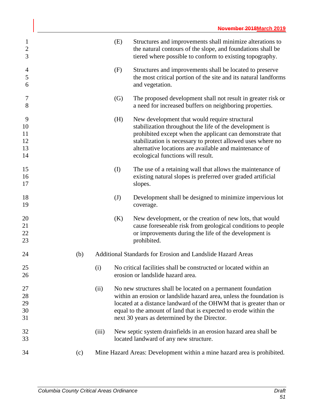|     |       | (E) | Structures and improvements shall minimize alterations to<br>the natural contours of the slope, and foundations shall be<br>tiered where possible to conform to existing topography.                                                                                                                                                |
|-----|-------|-----|-------------------------------------------------------------------------------------------------------------------------------------------------------------------------------------------------------------------------------------------------------------------------------------------------------------------------------------|
|     |       | (F) | Structures and improvements shall be located to preserve<br>the most critical portion of the site and its natural landforms<br>and vegetation.                                                                                                                                                                                      |
|     |       | (G) | The proposed development shall not result in greater risk or<br>a need for increased buffers on neighboring properties.                                                                                                                                                                                                             |
|     |       | (H) | New development that would require structural<br>stabilization throughout the life of the development is<br>prohibited except when the applicant can demonstrate that<br>stabilization is necessary to protect allowed uses where no<br>alternative locations are available and maintenance of<br>ecological functions will result. |
|     |       | (I) | The use of a retaining wall that allows the maintenance of<br>existing natural slopes is preferred over graded artificial<br>slopes.                                                                                                                                                                                                |
|     |       | (J) | Development shall be designed to minimize impervious lot<br>coverage.                                                                                                                                                                                                                                                               |
|     |       | (K) | New development, or the creation of new lots, that would<br>cause foreseeable risk from geological conditions to people<br>or improvements during the life of the development is<br>prohibited.                                                                                                                                     |
| (b) |       |     | Additional Standards for Erosion and Landslide Hazard Areas                                                                                                                                                                                                                                                                         |
|     | (i)   |     | No critical facilities shall be constructed or located within an<br>erosion or landslide hazard area.                                                                                                                                                                                                                               |
|     | (ii)  |     | No new structures shall be located on a permanent foundation<br>within an erosion or landslide hazard area, unless the foundation is<br>located at a distance landward of the OHWM that is greater than or<br>equal to the amount of land that is expected to erode within the<br>next 30 years as determined by the Director.      |
|     | (iii) |     | New septic system drainfields in an erosion hazard area shall be<br>located landward of any new structure.                                                                                                                                                                                                                          |
| (c) |       |     | Mine Hazard Areas: Development within a mine hazard area is prohibited.                                                                                                                                                                                                                                                             |
|     |       |     |                                                                                                                                                                                                                                                                                                                                     |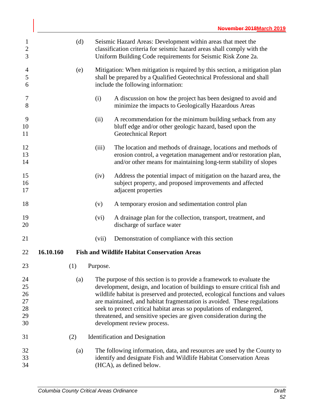| $\mathbf{1}$<br>$\overline{c}$<br>3 |           | (d) |          | Seismic Hazard Areas: Development within areas that meet the<br>classification criteria for seismic hazard areas shall comply with the<br>Uniform Building Code requirements for Seismic Risk Zone 2a.                                                                                                                                                                                                                                                         |
|-------------------------------------|-----------|-----|----------|----------------------------------------------------------------------------------------------------------------------------------------------------------------------------------------------------------------------------------------------------------------------------------------------------------------------------------------------------------------------------------------------------------------------------------------------------------------|
| $\overline{4}$<br>5<br>6            |           | (e) |          | Mitigation: When mitigation is required by this section, a mitigation plan<br>shall be prepared by a Qualified Geotechnical Professional and shall<br>include the following information:                                                                                                                                                                                                                                                                       |
| 7<br>8                              |           |     | (i)      | A discussion on how the project has been designed to avoid and<br>minimize the impacts to Geologically Hazardous Areas                                                                                                                                                                                                                                                                                                                                         |
| 9<br>10<br>11                       |           |     | (ii)     | A recommendation for the minimum building setback from any<br>bluff edge and/or other geologic hazard, based upon the<br><b>Geotechnical Report</b>                                                                                                                                                                                                                                                                                                            |
| 12<br>13<br>14                      |           |     | (iii)    | The location and methods of drainage, locations and methods of<br>erosion control, a vegetation management and/or restoration plan,<br>and/or other means for maintaining long-term stability of slopes                                                                                                                                                                                                                                                        |
| 15<br>16<br>17                      |           |     | (iv)     | Address the potential impact of mitigation on the hazard area, the<br>subject property, and proposed improvements and affected<br>adjacent properties                                                                                                                                                                                                                                                                                                          |
| 18                                  |           |     | (v)      | A temporary erosion and sedimentation control plan                                                                                                                                                                                                                                                                                                                                                                                                             |
| 19<br>20                            |           |     | (vi)     | A drainage plan for the collection, transport, treatment, and<br>discharge of surface water                                                                                                                                                                                                                                                                                                                                                                    |
| 21                                  |           |     | (vii)    | Demonstration of compliance with this section                                                                                                                                                                                                                                                                                                                                                                                                                  |
| 22                                  | 16.10.160 |     |          | <b>Fish and Wildlife Habitat Conservation Areas</b>                                                                                                                                                                                                                                                                                                                                                                                                            |
| 23                                  |           | (1) | Purpose. |                                                                                                                                                                                                                                                                                                                                                                                                                                                                |
| 24<br>25<br>26<br>27<br>28<br>29    |           | (a) |          | The purpose of this section is to provide a framework to evaluate the<br>development, design, and location of buildings to ensure critical fish and<br>wildlife habitat is preserved and protected, ecological functions and values<br>are maintained, and habitat fragmentation is avoided. These regulations<br>seek to protect critical habitat areas so populations of endangered,<br>threatened, and sensitive species are given consideration during the |
| 30                                  |           |     |          | development review process.                                                                                                                                                                                                                                                                                                                                                                                                                                    |
| 31                                  |           | (2) |          | <b>Identification</b> and Designation                                                                                                                                                                                                                                                                                                                                                                                                                          |
| 32<br>33<br>34                      |           | (a) |          | The following information, data, and resources are used by the County to<br>identify and designate Fish and Wildlife Habitat Conservation Areas<br>(HCA), as defined below.                                                                                                                                                                                                                                                                                    |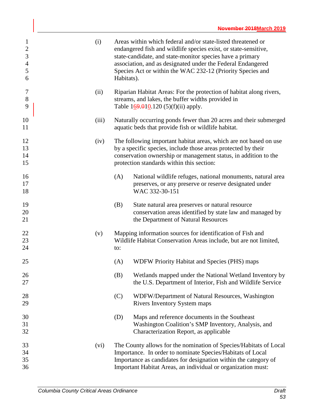| $\mathbf{1}$<br>$\boldsymbol{2}$<br>$\mathfrak{Z}$<br>$\overline{4}$<br>5<br>6 | (i)   | Areas within which federal and/or state-listed threatened or<br>endangered fish and wildlife species exist, or state-sensitive,<br>state-candidate, and state-monitor species have a primary<br>association, and as designated under the Federal Endangered<br>Species Act or within the WAC 232-12 (Priority Species and<br>Habitats). |
|--------------------------------------------------------------------------------|-------|-----------------------------------------------------------------------------------------------------------------------------------------------------------------------------------------------------------------------------------------------------------------------------------------------------------------------------------------|
| $\tau$<br>$8\,$<br>9                                                           | (ii)  | Riparian Habitat Areas: For the protection of habitat along rivers,<br>streams, and lakes, the buffer widths provided in<br>Table $169.010.120(5)(f)(ii)$ apply.                                                                                                                                                                        |
| 10<br>11                                                                       | (iii) | Naturally occurring ponds fewer than 20 acres and their submerged<br>aquatic beds that provide fish or wildlife habitat.                                                                                                                                                                                                                |
| 12<br>13<br>14<br>15                                                           | (iv)  | The following important habitat areas, which are not based on use<br>by a specific species, include those areas protected by their<br>conservation ownership or management status, in addition to the<br>protection standards within this section:                                                                                      |
| 16<br>17<br>18                                                                 |       | National wildlife refuges, national monuments, natural area<br>(A)<br>preserves, or any preserve or reserve designated under<br>WAC 332-30-151                                                                                                                                                                                          |
| 19<br>20<br>21                                                                 |       | (B)<br>State natural area preserves or natural resource<br>conservation areas identified by state law and managed by<br>the Department of Natural Resources                                                                                                                                                                             |
| 22<br>23<br>24                                                                 | (v)   | Mapping information sources for identification of Fish and<br>Wildlife Habitat Conservation Areas include, but are not limited,<br>to:                                                                                                                                                                                                  |
| 25                                                                             |       | <b>WDFW Priority Habitat and Species (PHS) maps</b><br>(A)                                                                                                                                                                                                                                                                              |
| 26<br>27                                                                       |       | (B)<br>Wetlands mapped under the National Wetland Inventory by<br>the U.S. Department of Interior, Fish and Wildlife Service                                                                                                                                                                                                            |
| 28<br>29                                                                       |       | (C)<br>WDFW/Department of Natural Resources, Washington<br><b>Rivers Inventory System maps</b>                                                                                                                                                                                                                                          |
| 30<br>31<br>32                                                                 |       | Maps and reference documents in the Southeast<br>(D)<br>Washington Coalition's SMP Inventory, Analysis, and<br>Characterization Report, as applicable                                                                                                                                                                                   |
| 33<br>34<br>35<br>36                                                           | (vi)  | The County allows for the nomination of Species/Habitats of Local<br>Importance. In order to nominate Species/Habitats of Local<br>Importance as candidates for designation within the category of<br>Important Habitat Areas, an individual or organization must:                                                                      |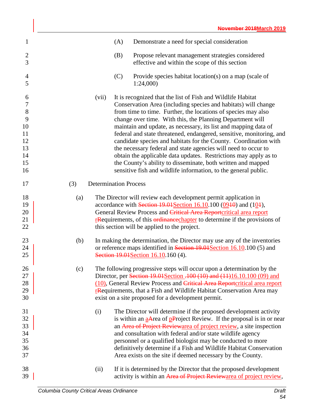| $\mathbf{1}$                                                          |     |                              | (A) | Demonstrate a need for special consideration                                                                                                                                                                                                                                                                                                                                                                                                                                                                                                                                                                                                                                                                                                        |
|-----------------------------------------------------------------------|-----|------------------------------|-----|-----------------------------------------------------------------------------------------------------------------------------------------------------------------------------------------------------------------------------------------------------------------------------------------------------------------------------------------------------------------------------------------------------------------------------------------------------------------------------------------------------------------------------------------------------------------------------------------------------------------------------------------------------------------------------------------------------------------------------------------------------|
| $\mathbf{2}$<br>3                                                     |     |                              | (B) | Propose relevant management strategies considered<br>effective and within the scope of this section                                                                                                                                                                                                                                                                                                                                                                                                                                                                                                                                                                                                                                                 |
| 4<br>5                                                                |     |                              | (C) | Provide species habitat location(s) on a map (scale of<br>1:24,000                                                                                                                                                                                                                                                                                                                                                                                                                                                                                                                                                                                                                                                                                  |
| 6<br>$\tau$<br>$\,8\,$<br>9<br>10<br>11<br>12<br>13<br>14<br>15<br>16 |     | (vii)                        |     | It is recognized that the list of Fish and Wildlife Habitat<br>Conservation Area (including species and habitats) will change<br>from time to time. Further, the locations of species may also<br>change over time. With this, the Planning Department will<br>maintain and update, as necessary, its list and mapping data of<br>federal and state threatened, endangered, sensitive, monitoring, and<br>candidate species and habitats for the County. Coordination with<br>the necessary federal and state agencies will need to occur to<br>obtain the applicable data updates. Restrictions may apply as to<br>the County's ability to disseminate, both written and mapped<br>sensitive fish and wildlife information, to the general public. |
| 17                                                                    | (3) | <b>Determination Process</b> |     |                                                                                                                                                                                                                                                                                                                                                                                                                                                                                                                                                                                                                                                                                                                                                     |
| 18<br>19<br>20<br>21<br>22                                            | (a) |                              |     | The Director will review each development permit application in<br>accordance with Section $19.01$ Section $16.10$ . 100 (09 $10$ ) and (10 $1$ ),<br>General Review Process and Critical Area Reportcritical area report<br><b>Exequirements</b> , of this <b>ordinance</b> chapter to determine if the provisions of<br>this section will be applied to the project.                                                                                                                                                                                                                                                                                                                                                                              |
| 23<br>24<br>25                                                        | (b) |                              |     | In making the determination, the Director may use any of the inventories<br>or reference maps identified in Section 19.04 Section 16.10.100 (5) and<br>Section 19.01 Section 16.10.160 (4).                                                                                                                                                                                                                                                                                                                                                                                                                                                                                                                                                         |
| 26<br>27<br>28<br>29<br>30                                            | (c) |                              |     | The following progressive steps will occur upon a determination by the<br>Director, per Section 19.01 Section . 100 (10) and (11) 16.10.100 (09) and<br>(10), General Review Process and Critical Area Reportcritical area report<br>rRequirements, that a Fish and Wildlife Habitat Conservation Area may<br>exist on a site proposed for a development permit.                                                                                                                                                                                                                                                                                                                                                                                    |
| 31<br>32<br>33<br>34<br>35<br>36<br>37                                |     | (i)                          |     | The Director will determine if the proposed development activity<br>is within an $\frac{a}{a}$ -Area of p-Project Review. If the proposal is in or near<br>an Area of Project Reviewarea of project review, a site inspection<br>and consultation with federal and/or state wildlife agency<br>personnel or a qualified biologist may be conducted to more<br>definitively determine if a Fish and Wildlife Habitat Conservation<br>Area exists on the site if deemed necessary by the County.                                                                                                                                                                                                                                                      |
| 38<br>39                                                              |     | (ii)                         |     | If it is determined by the Director that the proposed development<br>activity is within an Area of Project Reviewarea of project review,                                                                                                                                                                                                                                                                                                                                                                                                                                                                                                                                                                                                            |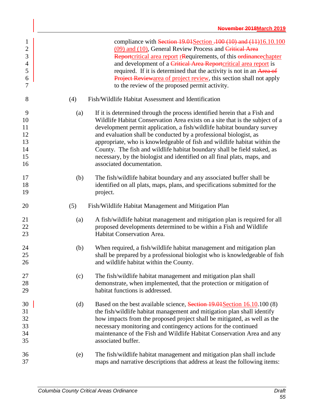| $\mathbf{1}$<br>$\overline{2}$<br>3<br>$\overline{4}$<br>5<br>6<br>7 |     | compliance with Section $19.01$ Section $.100$ (10) and (11)16.10.100<br>(09) and (10), General Review Process and Critical Area<br>Reportcritical area report rRequirements, of this ordinance chapter<br>and development of a Critical Area Reportcritical area report is<br>required. If it is determined that the activity is not in an Area of<br>Project Reviewarea of project review, this section shall not apply<br>to the review of the proposed permit activity.                                                                                                 |
|----------------------------------------------------------------------|-----|-----------------------------------------------------------------------------------------------------------------------------------------------------------------------------------------------------------------------------------------------------------------------------------------------------------------------------------------------------------------------------------------------------------------------------------------------------------------------------------------------------------------------------------------------------------------------------|
| 8                                                                    | (4) | Fish/Wildlife Habitat Assessment and Identification                                                                                                                                                                                                                                                                                                                                                                                                                                                                                                                         |
| 9<br>10<br>11<br>12<br>13<br>14<br>15<br>16                          | (a) | If it is determined through the process identified herein that a Fish and<br>Wildlife Habitat Conservation Area exists on a site that is the subject of a<br>development permit application, a fish/wildlife habitat boundary survey<br>and evaluation shall be conducted by a professional biologist, as<br>appropriate, who is knowledgeable of fish and wildlife habitat within the<br>County. The fish and wildlife habitat boundary shall be field staked, as<br>necessary, by the biologist and identified on all final plats, maps, and<br>associated documentation. |
| 17<br>18<br>19                                                       | (b) | The fish/wildlife habitat boundary and any associated buffer shall be<br>identified on all plats, maps, plans, and specifications submitted for the<br>project.                                                                                                                                                                                                                                                                                                                                                                                                             |
| 20                                                                   | (5) | Fish/Wildlife Habitat Management and Mitigation Plan                                                                                                                                                                                                                                                                                                                                                                                                                                                                                                                        |
| 21<br>22<br>23                                                       | (a) | A fish/wildlife habitat management and mitigation plan is required for all<br>proposed developments determined to be within a Fish and Wildlife<br>Habitat Conservation Area.                                                                                                                                                                                                                                                                                                                                                                                               |
| 24<br>25<br>26                                                       | (b) | When required, a fish/wildlife habitat management and mitigation plan<br>shall be prepared by a professional biologist who is knowledgeable of fish<br>and wildlife habitat within the County.                                                                                                                                                                                                                                                                                                                                                                              |
| 27<br>28<br>29                                                       | (c) | The fish/wildlife habitat management and mitigation plan shall<br>demonstrate, when implemented, that the protection or mitigation of<br>habitat functions is addressed.                                                                                                                                                                                                                                                                                                                                                                                                    |
| 30<br>31<br>32<br>33<br>34<br>35                                     | (d) | Based on the best available science, Section 19.01 Section 16.10.100 (8)<br>the fish/wildlife habitat management and mitigation plan shall identify<br>how impacts from the proposed project shall be mitigated, as well as the<br>necessary monitoring and contingency actions for the continued<br>maintenance of the Fish and Wildlife Habitat Conservation Area and any<br>associated buffer.                                                                                                                                                                           |
| 36                                                                   | (e) | The fish/wildlife habitat management and mitigation plan shall include                                                                                                                                                                                                                                                                                                                                                                                                                                                                                                      |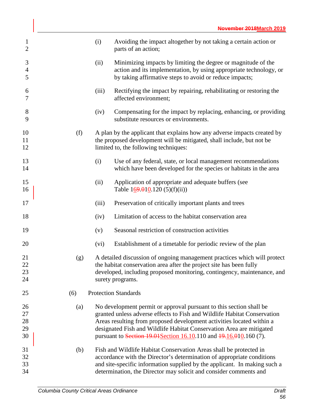| $\mathbf{1}$<br>$\overline{2}$ |     | (i)   | Avoiding the impact altogether by not taking a certain action or<br>parts of an action;                                                                                                                                    |
|--------------------------------|-----|-------|----------------------------------------------------------------------------------------------------------------------------------------------------------------------------------------------------------------------------|
| 3<br>$\overline{4}$<br>5       |     | (ii)  | Minimizing impacts by limiting the degree or magnitude of the<br>action and its implementation, by using appropriate technology, or<br>by taking affirmative steps to avoid or reduce impacts;                             |
| 6<br>$\tau$                    |     | (iii) | Rectifying the impact by repairing, rehabilitating or restoring the<br>affected environment;                                                                                                                               |
| 8<br>9                         |     | (iv)  | Compensating for the impact by replacing, enhancing, or providing<br>substitute resources or environments.                                                                                                                 |
| 10<br>11<br>12                 | (f) |       | A plan by the applicant that explains how any adverse impacts created by<br>the proposed development will be mitigated, shall include, but not be<br>limited to, the following techniques:                                 |
| 13<br>14                       |     | (i)   | Use of any federal, state, or local management recommendations<br>which have been developed for the species or habitats in the area                                                                                        |
| 15<br>16                       |     | (ii)  | Application of appropriate and adequate buffers (see<br>Table $169.010$ .120 (5)(f)(ii))                                                                                                                                   |
| 17                             |     | (iii) | Preservation of critically important plants and trees                                                                                                                                                                      |
| 18                             |     | (iv)  | Limitation of access to the habitat conservation area                                                                                                                                                                      |
| 19                             |     | (v)   | Seasonal restriction of construction activities                                                                                                                                                                            |
| 20                             |     | (vi)  | Establishment of a timetable for periodic review of the plan                                                                                                                                                               |
| 21<br>22<br>23                 | (g) |       | A detailed discussion of ongoing management practices which will protect<br>the habitat conservation area after the project site has been fully<br>developed, including proposed monitoring, contingency, maintenance, and |
| 24                             |     |       | surety programs.                                                                                                                                                                                                           |
| 25                             | (6) |       | <b>Protection Standards</b>                                                                                                                                                                                                |
| 26                             | (a) |       | No development permit or approval pursuant to this section shall be                                                                                                                                                        |
| 27                             |     |       | granted unless adverse effects to Fish and Wildlife Habitat Conservation                                                                                                                                                   |
| 28                             |     |       | Areas resulting from proposed development activities located within a                                                                                                                                                      |
| 29                             |     |       | designated Fish and Wildlife Habitat Conservation Area are mitigated                                                                                                                                                       |
| 30                             |     |       | pursuant to Section 19.01 Section 16.10.110 and 19.16.010.160 (7).                                                                                                                                                         |
| 31                             | (b) |       | Fish and Wildlife Habitat Conservation Areas shall be protected in                                                                                                                                                         |
|                                |     |       |                                                                                                                                                                                                                            |
| 32                             |     |       | accordance with the Director's determination of appropriate conditions                                                                                                                                                     |
| 33                             |     |       | and site-specific information supplied by the applicant. In making such a                                                                                                                                                  |
| 34                             |     |       | determination, the Director may solicit and consider comments and                                                                                                                                                          |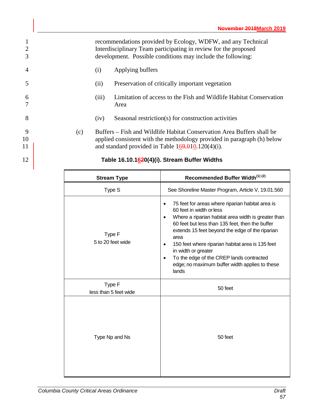recommendations provided by Ecology, WDFW, and any Technical Interdisciplinary Team participating in review for the proposed development. Possible conditions may include the following: (i) Applying buffers (ii) Preservation of critically important vegetation (iii) Limitation of access to the Fish and Wildlife Habitat Conservation 7 Area (iv) Seasonal restriction(s) for construction activities (c) Buffers – Fish and Wildlife Habitat Conservation Area Buffers shall be applied consistent with the methodology provided in paragraph (h) below 11 and standard provided in Table 169.010.120(4)(i). **Table 16.10.1620(4)(i). Stream Buffer Widths**

| <b>Stream Type</b>              | Recommended Buffer Width <sup>(1)(2)</sup>                                                                                                                                                                                                                                                                                                                                                                                                                                              |
|---------------------------------|-----------------------------------------------------------------------------------------------------------------------------------------------------------------------------------------------------------------------------------------------------------------------------------------------------------------------------------------------------------------------------------------------------------------------------------------------------------------------------------------|
| Type S                          | See Shoreline Master Program, Article V, 19.01.560                                                                                                                                                                                                                                                                                                                                                                                                                                      |
| Type F<br>5 to 20 feet wide     | 75 feet for areas where riparian habitat area is<br>$\bullet$<br>60 feet in width or less<br>Where a riparian habitat area width is greater than<br>$\bullet$<br>60 feet but less than 135 feet, then the buffer<br>extends 15 feet beyond the edge of the riparian<br>area<br>150 feet where riparian habitat area is 135 feet<br>$\bullet$<br>in width or greater<br>To the edge of the CREP lands contracted<br>$\bullet$<br>edge; no maximum buffer width applies to these<br>lands |
| Type F<br>less than 5 feet wide | 50 feet                                                                                                                                                                                                                                                                                                                                                                                                                                                                                 |
| Type Np and Ns                  | 50 feet                                                                                                                                                                                                                                                                                                                                                                                                                                                                                 |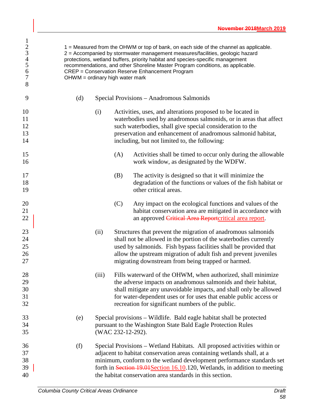| $\mathbf{1}$<br>$\begin{array}{c} 2 \\ 3 \\ 4 \\ 5 \end{array}$<br>6<br>$\overline{7}$<br>8 | $OHWM =$ ordinary high water mark |       |                   | 1 = Measured from the OHWM or top of bank, on each side of the channel as applicable.<br>2 = Accompanied by stormwater management measures/facilities, geologic hazard<br>protections, wetland buffers, priority habitat and species-specific management<br>recommendations, and other Shoreline Master Program conditions, as applicable.<br><b>CREP</b> = Conservation Reserve Enhancement Program |
|---------------------------------------------------------------------------------------------|-----------------------------------|-------|-------------------|------------------------------------------------------------------------------------------------------------------------------------------------------------------------------------------------------------------------------------------------------------------------------------------------------------------------------------------------------------------------------------------------------|
| 9                                                                                           | (d)                               |       |                   | Special Provisions - Anadromous Salmonids                                                                                                                                                                                                                                                                                                                                                            |
| 10<br>11<br>12<br>13<br>14                                                                  |                                   | (i)   |                   | Activities, uses, and alterations proposed to be located in<br>waterbodies used by anadromous salmonids, or in areas that affect<br>such waterbodies, shall give special consideration to the<br>preservation and enhancement of anadromous salmonid habitat,<br>including, but not limited to, the following:                                                                                       |
| 15<br>16                                                                                    |                                   |       | (A)               | Activities shall be timed to occur only during the allowable<br>work window, as designated by the WDFW.                                                                                                                                                                                                                                                                                              |
| 17<br>18<br>19                                                                              |                                   |       | (B)               | The activity is designed so that it will minimize the<br>degradation of the functions or values of the fish habitat or<br>other critical areas.                                                                                                                                                                                                                                                      |
| 20<br>21<br>22                                                                              |                                   |       | (C)               | Any impact on the ecological functions and values of the<br>habitat conservation area are mitigated in accordance with<br>an approved Critical Area Reportcritical area report.                                                                                                                                                                                                                      |
| 23<br>24<br>25<br>26<br>27                                                                  |                                   | (ii)  |                   | Structures that prevent the migration of anadromous salmonids<br>shall not be allowed in the portion of the waterbodies currently<br>used by salmonids. Fish bypass facilities shall be provided that<br>allow the upstream migration of adult fish and prevent juveniles<br>migrating downstream from being trapped or harmed.                                                                      |
| 28<br>29<br>30<br>31<br>32                                                                  |                                   | (iii) |                   | Fills waterward of the OHWM, when authorized, shall minimize<br>the adverse impacts on anadromous salmonids and their habitat,<br>shall mitigate any unavoidable impacts, and shall only be allowed<br>for water-dependent uses or for uses that enable public access or<br>recreation for significant numbers of the public.                                                                        |
| 33<br>34<br>35                                                                              | (e)                               |       | (WAC 232-12-292). | Special provisions – Wildlife. Bald eagle habitat shall be protected<br>pursuant to the Washington State Bald Eagle Protection Rules                                                                                                                                                                                                                                                                 |
| 36<br>37<br>38<br>39<br>40                                                                  | (f)                               |       |                   | Special Provisions – Wetland Habitats. All proposed activities within or<br>adjacent to habitat conservation areas containing wetlands shall, at a<br>minimum, conform to the wetland development performance standards set<br>forth in Section 19.01 Section 16.10.120, Wetlands, in addition to meeting<br>the habitat conservation area standards in this section.                                |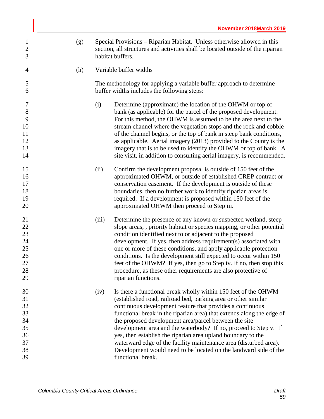| $\mathbf{1}$<br>$\sqrt{2}$<br>3                          | (g) | Special Provisions – Riparian Habitat. Unless otherwise allowed in this<br>section, all structures and activities shall be located outside of the riparian<br>habitat buffers.                                                                                                                                                                                                                                                                                                                                                                                                                                                            |  |  |  |
|----------------------------------------------------------|-----|-------------------------------------------------------------------------------------------------------------------------------------------------------------------------------------------------------------------------------------------------------------------------------------------------------------------------------------------------------------------------------------------------------------------------------------------------------------------------------------------------------------------------------------------------------------------------------------------------------------------------------------------|--|--|--|
| 4                                                        | (h) | Variable buffer widths                                                                                                                                                                                                                                                                                                                                                                                                                                                                                                                                                                                                                    |  |  |  |
| 5<br>6                                                   |     | The methodology for applying a variable buffer approach to determine<br>buffer widths includes the following steps:                                                                                                                                                                                                                                                                                                                                                                                                                                                                                                                       |  |  |  |
| 7<br>$8\,$<br>9<br>10<br>11<br>12<br>13<br>14            |     | (i)<br>Determine (approximate) the location of the OHWM or top of<br>bank (as applicable) for the parcel of the proposed development.<br>For this method, the OHWM is assumed to be the area next to the<br>stream channel where the vegetation stops and the rock and cobble<br>of the channel begins, or the top of bank in steep bank conditions,<br>as applicable. Aerial imagery (2013) provided to the County is the<br>imagery that is to be used to identify the OHWM or top of bank. A<br>site visit, in addition to consulting aerial imagery, is recommended.                                                                  |  |  |  |
| 15<br>16<br>17<br>18<br>19<br>20                         |     | Confirm the development proposal is outside of 150 feet of the<br>(ii)<br>approximated OHWM, or outside of established CREP contract or<br>conservation easement. If the development is outside of these<br>boundaries, then no further work to identify riparian areas is<br>required. If a development is proposed within 150 feet of the<br>approximated OHWM then proceed to Step iii.                                                                                                                                                                                                                                                |  |  |  |
| 21<br>22<br>23<br>24<br>25<br>26<br>27<br>28<br>29       |     | Determine the presence of any known or suspected wetland, steep<br>(iii)<br>slope areas, , priority habitat or species mapping, or other potential<br>condition identified next to or adjacent to the proposed<br>development. If yes, then address requirement(s) associated with<br>one or more of these conditions, and apply applicable protection<br>conditions. Is the development still expected to occur within 150<br>feet of the OHWM? If yes, then go to Step iv. If no, then stop this<br>procedure, as these other requirements are also protective of<br>riparian functions.                                                |  |  |  |
| 30<br>31<br>32<br>33<br>34<br>35<br>36<br>37<br>38<br>39 |     | Is there a functional break wholly within 150 feet of the OHWM<br>(iv)<br>(established road, railroad bed, parking area or other similar<br>continuous development feature that provides a continuous<br>functional break in the riparian area) that extends along the edge of<br>the proposed development area/parcel between the site<br>development area and the waterbody? If no, proceed to Step v. If<br>yes, then establish the riparian area upland boundary to the<br>waterward edge of the facility maintenance area (disturbed area).<br>Development would need to be located on the landward side of the<br>functional break. |  |  |  |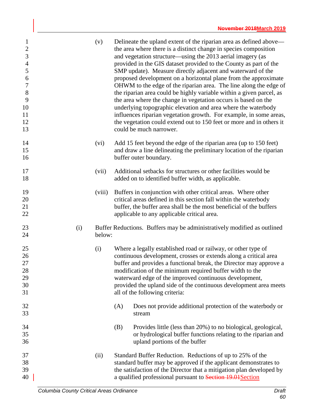| $\mathbf{1}$<br>$\mathbf{2}$<br>3<br>$\overline{4}$<br>5<br>6<br>$\boldsymbol{7}$<br>$8\,$<br>9<br>10<br>11<br>12<br>13 |     | (v)    | Delineate the upland extent of the riparian area as defined above—<br>the area where there is a distinct change in species composition<br>and vegetation structure—using the 2013 aerial imagery (as<br>provided in the GIS dataset provided to the County as part of the<br>SMP update). Measure directly adjacent and waterward of the<br>proposed development on a horizontal plane from the approximate<br>OHWM to the edge of the riparian area. The line along the edge of<br>the riparian area could be highly variable within a given parcel, as<br>the area where the change in vegetation occurs is based on the<br>underlying topographic elevation and area where the waterbody<br>influences riparian vegetation growth. For example, in some areas,<br>the vegetation could extend out to 150 feet or more and in others it<br>could be much narrower. |
|-------------------------------------------------------------------------------------------------------------------------|-----|--------|----------------------------------------------------------------------------------------------------------------------------------------------------------------------------------------------------------------------------------------------------------------------------------------------------------------------------------------------------------------------------------------------------------------------------------------------------------------------------------------------------------------------------------------------------------------------------------------------------------------------------------------------------------------------------------------------------------------------------------------------------------------------------------------------------------------------------------------------------------------------|
| 14<br>15<br>16                                                                                                          |     | (vi)   | Add 15 feet beyond the edge of the riparian area (up to 150 feet)<br>and draw a line delineating the preliminary location of the riparian<br>buffer outer boundary.                                                                                                                                                                                                                                                                                                                                                                                                                                                                                                                                                                                                                                                                                                  |
| 17<br>18                                                                                                                |     | (vii)  | Additional setbacks for structures or other facilities would be<br>added on to identified buffer width, as applicable.                                                                                                                                                                                                                                                                                                                                                                                                                                                                                                                                                                                                                                                                                                                                               |
| 19<br>20<br>21<br>22                                                                                                    |     | (viii) | Buffers in conjunction with other critical areas. Where other<br>critical areas defined in this section fall within the waterbody<br>buffer, the buffer area shall be the most beneficial of the buffers<br>applicable to any applicable critical area.                                                                                                                                                                                                                                                                                                                                                                                                                                                                                                                                                                                                              |
| 23<br>24                                                                                                                | (i) | below: | Buffer Reductions. Buffers may be administratively modified as outlined                                                                                                                                                                                                                                                                                                                                                                                                                                                                                                                                                                                                                                                                                                                                                                                              |
| 25<br>26<br>27<br>28<br>29<br>30<br>31                                                                                  |     | (i)    | Where a legally established road or railway, or other type of<br>continuous development, crosses or extends along a critical area<br>buffer and provides a functional break, the Director may approve a<br>modification of the minimum required buffer width to the<br>waterward edge of the improved continuous development,<br>provided the upland side of the continuous development area meets<br>all of the following criteria:                                                                                                                                                                                                                                                                                                                                                                                                                                 |
| 32<br>33                                                                                                                |     |        | Does not provide additional protection of the waterbody or<br>(A)<br>stream                                                                                                                                                                                                                                                                                                                                                                                                                                                                                                                                                                                                                                                                                                                                                                                          |
| 34<br>35<br>36                                                                                                          |     |        | Provides little (less than 20%) to no biological, geological,<br>(B)<br>or hydrological buffer functions relating to the riparian and<br>upland portions of the buffer                                                                                                                                                                                                                                                                                                                                                                                                                                                                                                                                                                                                                                                                                               |
| 37<br>38<br>39<br>40                                                                                                    |     | (ii)   | Standard Buffer Reduction. Reductions of up to 25% of the<br>standard buffer may be approved if the applicant demonstrates to<br>the satisfaction of the Director that a mitigation plan developed by<br>a qualified professional pursuant to Section 19.01 Section                                                                                                                                                                                                                                                                                                                                                                                                                                                                                                                                                                                                  |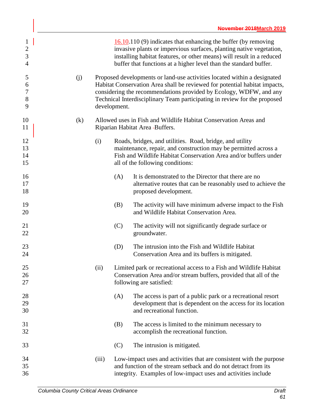| $\mathbf{1}$<br>$\overline{2}$<br>3<br>$\overline{4}$ |     |              |     | $\underline{16.10}$ .110 (9) indicates that enhancing the buffer (by removing<br>invasive plants or impervious surfaces, planting native vegetation,<br>installing habitat features, or other means) will result in a reduced<br>buffer that functions at a higher level than the standard buffer.        |
|-------------------------------------------------------|-----|--------------|-----|-----------------------------------------------------------------------------------------------------------------------------------------------------------------------------------------------------------------------------------------------------------------------------------------------------------|
| 5<br>6<br>$\boldsymbol{7}$<br>$8\,$<br>9              | (j) | development. |     | Proposed developments or land-use activities located within a designated<br>Habitat Conservation Area shall be reviewed for potential habitat impacts,<br>considering the recommendations provided by Ecology, WDFW, and any<br>Technical Interdisciplinary Team participating in review for the proposed |
| 10<br>11                                              | (k) |              |     | Allowed uses in Fish and Wildlife Habitat Conservation Areas and<br>Riparian Habitat Area -Buffers.                                                                                                                                                                                                       |
| 12<br>13<br>14<br>15                                  |     | (i)          |     | Roads, bridges, and utilities. Road, bridge, and utility<br>maintenance, repair, and construction may be permitted across a<br>Fish and Wildlife Habitat Conservation Area and/or buffers under<br>all of the following conditions:                                                                       |
| 16<br>17<br>18                                        |     |              | (A) | It is demonstrated to the Director that there are no<br>alternative routes that can be reasonably used to achieve the<br>proposed development.                                                                                                                                                            |
| 19<br>20                                              |     |              | (B) | The activity will have minimum adverse impact to the Fish<br>and Wildlife Habitat Conservation Area.                                                                                                                                                                                                      |
| 21<br>22                                              |     |              | (C) | The activity will not significantly degrade surface or<br>groundwater.                                                                                                                                                                                                                                    |
| 23<br>24                                              |     |              | (D) | The intrusion into the Fish and Wildlife Habitat<br>Conservation Area and its buffers is mitigated.                                                                                                                                                                                                       |
| 25<br>26<br>27                                        |     | (ii)         |     | Limited park or recreational access to a Fish and Wildlife Habitat<br>Conservation Area and/or stream buffers, provided that all of the<br>following are satisfied:                                                                                                                                       |
| 28<br>29<br>30                                        |     |              | (A) | The access is part of a public park or a recreational resort<br>development that is dependent on the access for its location<br>and recreational function.                                                                                                                                                |
| 31<br>32                                              |     |              | (B) | The access is limited to the minimum necessary to<br>accomplish the recreational function.                                                                                                                                                                                                                |
| 33                                                    |     |              | (C) | The intrusion is mitigated.                                                                                                                                                                                                                                                                               |
| 34<br>35<br>36                                        |     | (iii)        |     | Low-impact uses and activities that are consistent with the purpose<br>and function of the stream setback and do not detract from its<br>integrity. Examples of low-impact uses and activities include                                                                                                    |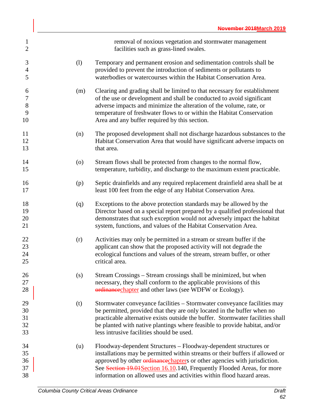| $\mathbf{1}$<br>$\overline{2}$            |     | removal of noxious vegetation and stormwater management<br>facilities such as grass-lined swales.                                                                                                                                                                                                                                                                                        |
|-------------------------------------------|-----|------------------------------------------------------------------------------------------------------------------------------------------------------------------------------------------------------------------------------------------------------------------------------------------------------------------------------------------------------------------------------------------|
| 3<br>$\overline{4}$<br>5                  | (1) | Temporary and permanent erosion and sedimentation controls shall be<br>provided to prevent the introduction of sediments or pollutants to<br>waterbodies or watercourses within the Habitat Conservation Area.                                                                                                                                                                           |
| 6<br>$\boldsymbol{7}$<br>$8\,$<br>9<br>10 | (m) | Clearing and grading shall be limited to that necessary for establishment<br>of the use or development and shall be conducted to avoid significant<br>adverse impacts and minimize the alteration of the volume, rate, or<br>temperature of freshwater flows to or within the Habitat Conservation<br>Area and any buffer required by this section.                                      |
| 11<br>12<br>13                            | (n) | The proposed development shall not discharge hazardous substances to the<br>Habitat Conservation Area that would have significant adverse impacts on<br>that area.                                                                                                                                                                                                                       |
| 14<br>15                                  | (0) | Stream flows shall be protected from changes to the normal flow,<br>temperature, turbidity, and discharge to the maximum extent practicable.                                                                                                                                                                                                                                             |
| 16<br>17                                  | (p) | Septic drainfields and any required replacement drainfield area shall be at<br>least 100 feet from the edge of any Habitat Conservation Area.                                                                                                                                                                                                                                            |
| 18<br>19<br>20<br>21                      | (q) | Exceptions to the above protection standards may be allowed by the<br>Director based on a special report prepared by a qualified professional that<br>demonstrates that such exception would not adversely impact the habitat<br>system, functions, and values of the Habitat Conservation Area.                                                                                         |
| 22<br>23<br>24<br>25                      | (r) | Activities may only be permitted in a stream or stream buffer if the<br>applicant can show that the proposed activity will not degrade the<br>ecological functions and values of the stream, stream buffer, or other<br>critical area.                                                                                                                                                   |
| 26<br>27<br>28                            | (s) | Stream Crossings – Stream crossings shall be minimized, but when<br>necessary, they shall conform to the applicable provisions of this<br>ordinancechapter and other laws (see WDFW or Ecology).                                                                                                                                                                                         |
| 29<br>30<br>31<br>32<br>33                | (t) | Stormwater conveyance facilities – Stormwater conveyance facilities may<br>be permitted, provided that they are only located in the buffer when no<br>practicable alternative exists outside the buffer. Stormwater facilities shall<br>be planted with native plantings where feasible to provide habitat, and/or<br>less intrusive facilities should be used.                          |
| 34<br>35<br>36<br>37<br>38                | (u) | Floodway-dependent Structures – Floodway-dependent structures or<br>installations may be permitted within streams or their buffers if allowed or<br>approved by other <i>ordinance</i> chapters or other agencies with jurisdiction.<br>See Section 19.01 Section 16.10.140, Frequently Flooded Areas, for more<br>information on allowed uses and activities within flood hazard areas. |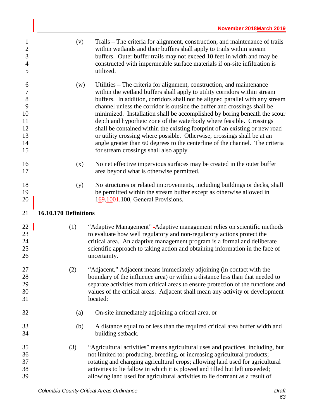| $\mathbf{1}$<br>$\overline{2}$<br>$\mathfrak{Z}$<br>$\overline{4}$<br>5 | (v)                   | Trails – The criteria for alignment, construction, and maintenance of trails<br>within wetlands and their buffers shall apply to trails within stream<br>buffers. Outer buffer trails may not exceed 10 feet in width and may be<br>constructed with impermeable surface materials if on-site infiltration is<br>utilized.                                                                                                                                                                                                                                                                                                    |
|-------------------------------------------------------------------------|-----------------------|-------------------------------------------------------------------------------------------------------------------------------------------------------------------------------------------------------------------------------------------------------------------------------------------------------------------------------------------------------------------------------------------------------------------------------------------------------------------------------------------------------------------------------------------------------------------------------------------------------------------------------|
| 6<br>$\boldsymbol{7}$<br>$8\,$<br>9<br>10<br>11<br>12<br>13             | (w)                   | Utilities - The criteria for alignment, construction, and maintenance<br>within the wetland buffers shall apply to utility corridors within stream<br>buffers. In addition, corridors shall not be aligned parallel with any stream<br>channel unless the corridor is outside the buffer and crossings shall be<br>minimized. Installation shall be accomplished by boring beneath the scour<br>depth and hyporheic zone of the waterbody where feasible. Crossings<br>shall be contained within the existing footprint of an existing or new road<br>or utility crossing where possible. Otherwise, crossings shall be at an |
| 14<br>15                                                                |                       | angle greater than 60 degrees to the centerline of the channel. The criteria<br>for stream crossings shall also apply.                                                                                                                                                                                                                                                                                                                                                                                                                                                                                                        |
| 16<br>17                                                                | (x)                   | No net effective impervious surfaces may be created in the outer buffer<br>area beyond what is otherwise permitted.                                                                                                                                                                                                                                                                                                                                                                                                                                                                                                           |
| 18<br>19<br>20                                                          | (y)                   | No structures or related improvements, including buildings or decks, shall<br>be permitted within the stream buffer except as otherwise allowed in<br>169.1004.100, General Provisions.                                                                                                                                                                                                                                                                                                                                                                                                                                       |
| 21                                                                      | 16.10.170 Definitions |                                                                                                                                                                                                                                                                                                                                                                                                                                                                                                                                                                                                                               |
| 22<br>23<br>24<br>25<br>26                                              | (1)                   | "Adaptive Management" - Adaptive management relies on scientific methods<br>to evaluate how well regulatory and non-regulatory actions protect the<br>critical area. An adaptive management program is a formal and deliberate<br>scientific approach to taking action and obtaining information in the face of<br>uncertainty.                                                                                                                                                                                                                                                                                               |
| 27<br>28<br>29<br>30<br>31                                              | (2)                   | "Adjacent," Adjacent means immediately adjoining (in contact with the<br>boundary of the influence area) or within a distance less than that needed to<br>separate activities from critical areas to ensure protection of the functions and<br>values of the critical areas. Adjacent shall mean any activity or development<br>located:                                                                                                                                                                                                                                                                                      |
| 32                                                                      | (a)                   | On-site immediately adjoining a critical area, or                                                                                                                                                                                                                                                                                                                                                                                                                                                                                                                                                                             |
| 33<br>34                                                                | (b)                   | A distance equal to or less than the required critical area buffer width and<br>building setback.                                                                                                                                                                                                                                                                                                                                                                                                                                                                                                                             |
| 35<br>36<br>37<br>38<br>39                                              | (3)                   | "Agricultural activities" means agricultural uses and practices, including, but<br>not limited to: producing, breeding, or increasing agricultural products;<br>rotating and changing agricultural crops; allowing land used for agricultural<br>activities to lie fallow in which it is plowed and tilled but left unseeded;<br>allowing land used for agricultural activities to lie dormant as a result of                                                                                                                                                                                                                 |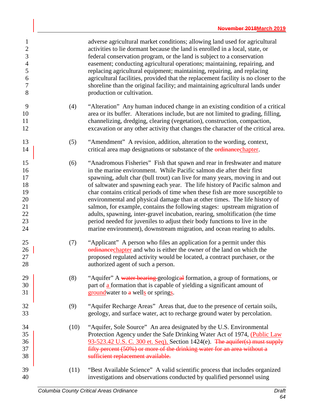| $\mathbf{1}$<br>$\sqrt{2}$<br>3<br>$\overline{4}$<br>5<br>6<br>7<br>8 |      | adverse agricultural market conditions; allowing land used for agricultural<br>activities to lie dormant because the land is enrolled in a local, state, or<br>federal conservation program, or the land is subject to a conservation<br>easement; conducting agricultural operations; maintaining, repairing, and<br>replacing agricultural equipment; maintaining, repairing, and replacing<br>agricultural facilities, provided that the replacement facility is no closer to the<br>shoreline than the original facility; and maintaining agricultural lands under<br>production or cultivation.                                                                                                                                                                                                  |
|-----------------------------------------------------------------------|------|-------------------------------------------------------------------------------------------------------------------------------------------------------------------------------------------------------------------------------------------------------------------------------------------------------------------------------------------------------------------------------------------------------------------------------------------------------------------------------------------------------------------------------------------------------------------------------------------------------------------------------------------------------------------------------------------------------------------------------------------------------------------------------------------------------|
| 9<br>10<br>11<br>12                                                   | (4)  | "Alteration" Any human induced change in an existing condition of a critical<br>area or its buffer. Alterations include, but are not limited to grading, filling,<br>channelizing, dredging, clearing (vegetation), construction, compaction,<br>excavation or any other activity that changes the character of the critical area.                                                                                                                                                                                                                                                                                                                                                                                                                                                                    |
| 13<br>14                                                              | (5)  | "Amendment" A revision, addition, alteration to the wording, context,<br>critical area map designations or substance of the ordinance chapter.                                                                                                                                                                                                                                                                                                                                                                                                                                                                                                                                                                                                                                                        |
| 15<br>16<br>17<br>18<br>19<br>20<br>21<br>22<br>23<br>24              | (6)  | "Anadromous Fisheries" Fish that spawn and rear in freshwater and mature<br>in the marine environment. While Pacific salmon die after their first<br>spawning, adult char (bull trout) can live for many years, moving in and out<br>of saltwater and spawning each year. The life history of Pacific salmon and<br>char contains critical periods of time when these fish are more susceptible to<br>environmental and physical damage than at other times. The life history of<br>salmon, for example, contains the following stages: upstream migration of<br>adults, spawning, inter-gravel incubation, rearing, smoltification (the time<br>period needed for juveniles to adjust their body functions to live in the<br>marine environment), downstream migration, and ocean rearing to adults. |
| 25<br>26<br>27<br>28                                                  | (7)  | "Applicant" A person who files an application for a permit under this<br>ordinance chapter and who is either the owner of the land on which the<br>proposed regulated activity would be located, a contract purchaser, or the<br>authorized agent of such a person.                                                                                                                                                                                                                                                                                                                                                                                                                                                                                                                                   |
| 29<br>30<br>31                                                        | (8)  | "Aquifer" A water bearing geological formation, a group of formations, or<br>part of a formation that is capable of yielding a significant amount of<br>groundwater to a wells or springs.                                                                                                                                                                                                                                                                                                                                                                                                                                                                                                                                                                                                            |
| 32<br>33                                                              | (9)  | "Aquifer Recharge Areas" Areas that, due to the presence of certain soils,<br>geology, and surface water, act to recharge ground water by percolation.                                                                                                                                                                                                                                                                                                                                                                                                                                                                                                                                                                                                                                                |
| 34<br>35<br>36<br>37<br>38                                            | (10) | "Aquifer, Sole Source" An area designated by the U.S. Environmental<br>Protection Agency under the Safe Drinking Water Act of 1974, (Public Law<br>93-523.42 U.S. C. 300 et. Seq), Section 1424(e). The aquifer(s) must supply<br>fifty percent (50%) or more of the drinking water for an area without a<br>sufficient replacement available.                                                                                                                                                                                                                                                                                                                                                                                                                                                        |
| 39<br>40                                                              | (11) | "Best Available Science" A valid scientific process that includes organized<br>investigations and observations conducted by qualified personnel using                                                                                                                                                                                                                                                                                                                                                                                                                                                                                                                                                                                                                                                 |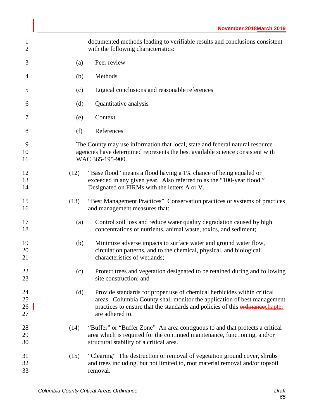| 1<br>$\overline{2}$  |      | documented methods leading to verifiable results and conclusions consistent<br>with the following characteristics:                                                                                                                                    |
|----------------------|------|-------------------------------------------------------------------------------------------------------------------------------------------------------------------------------------------------------------------------------------------------------|
| 3                    | (a)  | Peer review                                                                                                                                                                                                                                           |
| 4                    | (b)  | Methods                                                                                                                                                                                                                                               |
| 5                    | (c)  | Logical conclusions and reasonable references                                                                                                                                                                                                         |
| 6                    | (d)  | Quantitative analysis                                                                                                                                                                                                                                 |
| 7                    | (e)  | Context                                                                                                                                                                                                                                               |
| 8                    | (f)  | References                                                                                                                                                                                                                                            |
| 9<br>10<br>11        |      | The County may use information that local, state and federal natural resource<br>agencies have determined represents the best available science consistent with<br>WAC 365-195-900.                                                                   |
| 12<br>13<br>14       | (12) | "Base flood" means a flood having a 1% chance of being equaled or<br>exceeded in any given year. Also referred to as the "100-year flood."<br>Designated on FIRMs with the letters A or V.                                                            |
| 15<br>16             | (13) | "Best Management Practices" Conservation practices or systems of practices<br>and management measures that:                                                                                                                                           |
| 17<br>18             | (a)  | Control soil loss and reduce water quality degradation caused by high<br>concentrations of nutrients, animal waste, toxics, and sediment;                                                                                                             |
| 19<br>20<br>21       | (b)  | Minimize adverse impacts to surface water and ground water flow,<br>circulation patterns, and to the chemical, physical, and biological<br>characteristics of wetlands;                                                                               |
| 22<br>23             | (c)  | Protect trees and vegetation designated to be retained during and following<br>site construction; and                                                                                                                                                 |
| 24<br>25<br>26<br>27 | (d)  | Provide standards for proper use of chemical herbicides within critical<br>areas. Columbia County shall monitor the application of best management<br>practices to ensure that the standards and policies of this ordinancechapter<br>are adhered to. |
| 28<br>29<br>30       | (14) | "Buffer" or "Buffer Zone" An area contiguous to and that protects a critical<br>area which is required for the continued maintenance, functioning, and/or<br>structural stability of a critical area.                                                 |
| 31<br>32<br>33       | (15) | "Clearing" The destruction or removal of vegetation ground cover, shrubs<br>and trees including, but not limited to, root material removal and/or topsoil<br>removal.                                                                                 |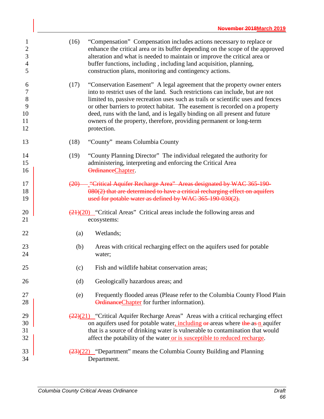| $\mathbf{1}$<br>$\mathbf{2}$<br>3<br>$\overline{4}$<br>5 | (16) | "Compensation" Compensation includes actions necessary to replace or<br>enhance the critical area or its buffer depending on the scope of the approved<br>alteration and what is needed to maintain or improve the critical area or<br>buffer functions, including, including land acquisition, planning,<br>construction plans, monitoring and contingency actions.                                                                                                                              |
|----------------------------------------------------------|------|---------------------------------------------------------------------------------------------------------------------------------------------------------------------------------------------------------------------------------------------------------------------------------------------------------------------------------------------------------------------------------------------------------------------------------------------------------------------------------------------------|
| 6<br>7<br>$8\,$<br>9<br>10<br>11<br>12                   | (17) | "Conservation Easement" A legal agreement that the property owner enters<br>into to restrict uses of the land. Such restrictions can include, but are not<br>limited to, passive recreation uses such as trails or scientific uses and fences<br>or other barriers to protect habitat. The easement is recorded on a property<br>deed, runs with the land, and is legally binding on all present and future<br>owners of the property, therefore, providing permanent or long-term<br>protection. |
| 13                                                       | (18) | "County" means Columbia County                                                                                                                                                                                                                                                                                                                                                                                                                                                                    |
| 14<br>15<br>16                                           | (19) | "County Planning Director" The individual relegated the authority for<br>administering, interpreting and enforcing the Critical Area<br>OrdinanceChapter.                                                                                                                                                                                                                                                                                                                                         |
| 17<br>18<br>19                                           |      | (20) - "Critical Aquifer Recharge Area" Areas designated by WAC 365-190-<br>080(2) that are determined to have a critical recharging effect on aquifers<br>used for potable water as defined by WAC 365-190-030(2).                                                                                                                                                                                                                                                                               |
| 20<br>21                                                 |      | $\frac{(21)(20)}{2}$ "Critical Areas" Critical areas include the following areas and<br>ecosystems:                                                                                                                                                                                                                                                                                                                                                                                               |
| 22                                                       | (a)  | Wetlands;                                                                                                                                                                                                                                                                                                                                                                                                                                                                                         |
| 23<br>24                                                 | (b)  | Areas with critical recharging effect on the aquifers used for potable<br>water;                                                                                                                                                                                                                                                                                                                                                                                                                  |
| 25                                                       | (c)  | Fish and wildlife habitat conservation areas;                                                                                                                                                                                                                                                                                                                                                                                                                                                     |
| 26                                                       | (d)  | Geologically hazardous areas; and                                                                                                                                                                                                                                                                                                                                                                                                                                                                 |
| 27<br>28                                                 | (e)  | Frequently flooded areas (Please refer to the Columbia County Flood Plain<br>OrdinanceChapter for further information).                                                                                                                                                                                                                                                                                                                                                                           |
| 29<br>30<br>31<br>32                                     |      | $\left(\frac{22}{2}\right)(21)$ "Critical Aquifer Recharge Areas" Areas with a critical recharging effect<br>on aquifers used for potable water, including or areas where the as-n aquifer<br>that is a source of drinking water is vulnerable to contamination that would<br>affect the potability of the water or is susceptible to reduced recharge.                                                                                                                                           |
| 33<br>34                                                 |      | $\frac{(23)(22)}{2}$ "Department" means the Columbia County Building and Planning<br>Department.                                                                                                                                                                                                                                                                                                                                                                                                  |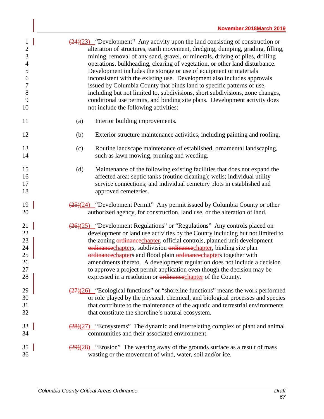| $\mathbf{1}$         | $\frac{(24)(23)}{(24)(23)}$ "Development" Any activity upon the land consisting of construction or                                                                                                                                                             |
|----------------------|----------------------------------------------------------------------------------------------------------------------------------------------------------------------------------------------------------------------------------------------------------------|
| $\overline{2}$       | alteration of structures, earth movement, dredging, dumping, grading, filling,                                                                                                                                                                                 |
| 3                    | mining, removal of any sand, gravel, or minerals, driving of piles, drilling                                                                                                                                                                                   |
| $\overline{4}$       | operations, bulkheading, clearing of vegetation, or other land disturbance.                                                                                                                                                                                    |
| $\mathfrak{S}$       | Development includes the storage or use of equipment or materials                                                                                                                                                                                              |
| 6                    | inconsistent with the existing use. Development also includes approvals                                                                                                                                                                                        |
| $\boldsymbol{7}$     | issued by Columbia County that binds land to specific patterns of use,                                                                                                                                                                                         |
| $8\,$                | including but not limited to, subdivisions, short subdivisions, zone changes,                                                                                                                                                                                  |
| 9                    | conditional use permits, and binding site plans. Development activity does                                                                                                                                                                                     |
| 10                   | not include the following activities:                                                                                                                                                                                                                          |
| 11                   | Interior building improvements.<br>(a)                                                                                                                                                                                                                         |
| 12                   | (b)<br>Exterior structure maintenance activities, including painting and roofing.                                                                                                                                                                              |
| 13<br>14             | Routine landscape maintenance of established, ornamental landscaping,<br>(c)<br>such as lawn mowing, pruning and weeding.                                                                                                                                      |
| 15<br>16<br>17<br>18 | (d)<br>Maintenance of the following existing facilities that does not expand the<br>affected area: septic tanks (routine cleaning); wells; individual utility<br>service connections; and individual cemetery plots in established and<br>approved cemeteries. |
| 19                   | $\frac{(25)(24)}{2}$ "Development Permit" Any permit issued by Columbia County or other                                                                                                                                                                        |
| 20                   | authorized agency, for construction, land use, or the alteration of land.                                                                                                                                                                                      |
| 21                   | $\frac{(26)(25)}{2}$ "Development Regulations" or "Regulations" Any controls placed on                                                                                                                                                                         |
| 22                   | development or land use activities by the County including but not limited to                                                                                                                                                                                  |
| 23                   | the zoning ordinancechapter, official controls, planned unit development                                                                                                                                                                                       |
| 24                   | ordinancechapters, subdivision ordinancechapter, binding site plan                                                                                                                                                                                             |
| 25                   | ordinancechapters and flood plain ordinancechapters together with                                                                                                                                                                                              |
| 26                   | amendments thereto. A development regulation does not include a decision                                                                                                                                                                                       |
| 27                   | to approve a project permit application even though the decision may be                                                                                                                                                                                        |
| 28                   | expressed in a resolution or <b>ordinance</b> chapter of the County.                                                                                                                                                                                           |
| 29                   | $\frac{(27)(26)}{(27)(26)}$ "Ecological functions" or "shoreline functions" means the work performed                                                                                                                                                           |
| 30                   | or role played by the physical, chemical, and biological processes and species                                                                                                                                                                                 |
| 31                   | that contribute to the maintenance of the aquatic and terrestrial environments                                                                                                                                                                                 |
| 32                   | that constitute the shoreline's natural ecosystem.                                                                                                                                                                                                             |
| 33                   | $\frac{(28)(27)}{28}$ "Ecosystems" The dynamic and interrelating complex of plant and animal                                                                                                                                                                   |
| 34                   | communities and their associated environment.                                                                                                                                                                                                                  |
| 35                   | $\frac{(29)(28)}{(29)(28)}$ "Erosion" The wearing away of the grounds surface as a result of mass                                                                                                                                                              |
| 36                   | wasting or the movement of wind, water, soil and/or ice.                                                                                                                                                                                                       |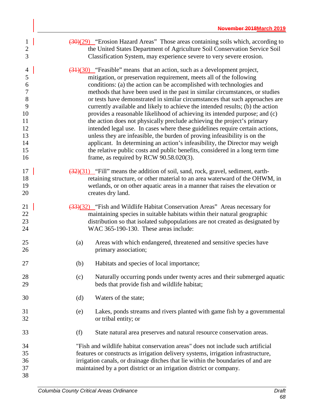| $\mathbf{1}$<br>$\overline{c}$<br>3                                                  | $\left(\frac{30}{29}\right)$ "Erosion Hazard Areas" Those areas containing soils which, according to<br>the United States Department of Agriculture Soil Conservation Service Soil<br>Classification System, may experience severe to very severe erosion.                                                                                                                                                                                                                                                                                                                                                                                                                                                                                                                                                                                                                                                                                                                           |
|--------------------------------------------------------------------------------------|--------------------------------------------------------------------------------------------------------------------------------------------------------------------------------------------------------------------------------------------------------------------------------------------------------------------------------------------------------------------------------------------------------------------------------------------------------------------------------------------------------------------------------------------------------------------------------------------------------------------------------------------------------------------------------------------------------------------------------------------------------------------------------------------------------------------------------------------------------------------------------------------------------------------------------------------------------------------------------------|
| $\overline{4}$<br>5<br>6<br>$\tau$<br>$8\,$<br>9<br>10<br>11<br>12<br>13<br>14<br>15 | $\left(\frac{31}{30}\right)$ "Feasible" means that an action, such as a development project,<br>mitigation, or preservation requirement, meets all of the following<br>conditions: (a) the action can be accomplished with technologies and<br>methods that have been used in the past in similar circumstances, or studies<br>or tests have demonstrated in similar circumstances that such approaches are<br>currently available and likely to achieve the intended results; (b) the action<br>provides a reasonable likelihood of achieving its intended purpose; and (c)<br>the action does not physically preclude achieving the project's primary<br>intended legal use. In cases where these guidelines require certain actions,<br>unless they are infeasible, the burden of proving infeasibility is on the<br>applicant. In determining an action's infeasibility, the Director may weigh<br>the relative public costs and public benefits, considered in a long term time |
| 16<br>17<br>18<br>19<br>20                                                           | frame, as required by RCW $90.58.020(3)$ .<br>(32)(31) "Fill" means the addition of soil, sand, rock, gravel, sediment, earth-<br>retaining structure, or other material to an area waterward of the OHWM, in<br>wetlands, or on other aquatic areas in a manner that raises the elevation or<br>creates dry land.                                                                                                                                                                                                                                                                                                                                                                                                                                                                                                                                                                                                                                                                   |
| 21<br>22<br>23<br>24                                                                 | (33)(32) "Fish and Wildlife Habitat Conservation Areas" Areas necessary for<br>maintaining species in suitable habitats within their natural geographic<br>distribution so that isolated subpopulations are not created as designated by<br>WAC 365-190-130. These areas include:                                                                                                                                                                                                                                                                                                                                                                                                                                                                                                                                                                                                                                                                                                    |
| 25<br>26                                                                             | (a)<br>Areas with which endangered, threatened and sensitive species have<br>primary association;                                                                                                                                                                                                                                                                                                                                                                                                                                                                                                                                                                                                                                                                                                                                                                                                                                                                                    |
| 27                                                                                   | Habitats and species of local importance;<br>(b)                                                                                                                                                                                                                                                                                                                                                                                                                                                                                                                                                                                                                                                                                                                                                                                                                                                                                                                                     |
| 28<br>29                                                                             | Naturally occurring ponds under twenty acres and their submerged aquatic<br>(c)<br>beds that provide fish and wildlife habitat;                                                                                                                                                                                                                                                                                                                                                                                                                                                                                                                                                                                                                                                                                                                                                                                                                                                      |
| 30                                                                                   | Waters of the state;<br>(d)                                                                                                                                                                                                                                                                                                                                                                                                                                                                                                                                                                                                                                                                                                                                                                                                                                                                                                                                                          |
| 31<br>32                                                                             | Lakes, ponds streams and rivers planted with game fish by a governmental<br>(e)<br>or tribal entity; or                                                                                                                                                                                                                                                                                                                                                                                                                                                                                                                                                                                                                                                                                                                                                                                                                                                                              |
| 33                                                                                   | (f)<br>State natural area preserves and natural resource conservation areas.                                                                                                                                                                                                                                                                                                                                                                                                                                                                                                                                                                                                                                                                                                                                                                                                                                                                                                         |
| 34<br>35<br>36<br>37                                                                 | "Fish and wildlife habitat conservation areas" does not include such artificial<br>features or constructs as irrigation delivery systems, irrigation infrastructure,<br>irrigation canals, or drainage ditches that lie within the boundaries of and are<br>maintained by a port district or an irrigation district or company.                                                                                                                                                                                                                                                                                                                                                                                                                                                                                                                                                                                                                                                      |
| 38                                                                                   |                                                                                                                                                                                                                                                                                                                                                                                                                                                                                                                                                                                                                                                                                                                                                                                                                                                                                                                                                                                      |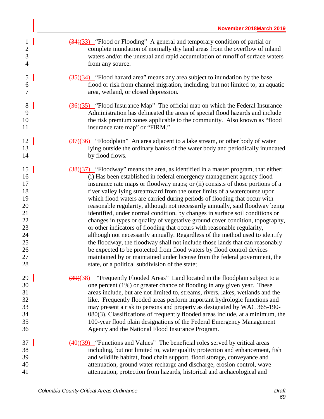- 1 ( $\frac{(34)(33)}{2}$  "Flood or Flooding" A general and temporary condition of partial or complete inundation of normally dry land areas from the overflow of inland waters and/or the unusual and rapid accumulation of runoff of surface waters from any source.
- $\frac{(35)}{(34)}$  "Flood hazard area" means any area subject to inundation by the base flood or risk from channel migration, including, but not limited to, an aquatic area, wetland, or closed depression.
- 8 ( $\frac{(36)(35)}{1000}$  "Flood Insurance Map" The official map on which the Federal Insurance Administration has delineated the areas of special flood hazards and include the risk premium zones applicable to the community. Also known as "flood 11 insurance rate map" or "FIRM."
- 12 ( $\frac{(37)(36)}{7}$  "Floodplain" An area adjacent to a lake stream, or other body of water lying outside the ordinary banks of the water body and periodically inundated 14 by flood flows.
- 15 ( $\frac{(38)(37)}{28}$  "Floodway" means the area, as identified in a master program, that either: (i) Has been established in federal emergency management agency flood insurance rate maps or floodway maps; or (ii) consists of those portions of a river valley lying streamward from the outer limits of a watercourse upon which flood waters are carried during periods of flooding that occur with reasonable regularity, although not necessarily annually, said floodway being identified, under normal condition, by changes in surface soil conditions or changes in types or quality of vegetative ground cover condition, topography, or other indicators of flooding that occurs with reasonable regularity, although not necessarily annually. Regardless of the method used to identify the floodway, the floodway shall not include those lands that can reasonably be expected to be protected from flood waters by flood control devices maintained by or maintained under license from the federal government, the 28 state, or a political subdivision of the state;
- 29 (39)(38) "Frequently Flooded Areas" Land located in the floodplain subject to a one percent (1%) or greater chance of flooding in any given year. These areas include, but are not limited to, streams, rivers, lakes, wetlands and the like. Frequently flooded areas perform important hydrologic functions and may present a risk to persons and property as designated by WAC 365-190- 080(3). Classifications of frequently flooded areas include, at a minimum, the 100-year flood plain designations of the Federal Emergency Management Agency and the National Flood Insurance Program.
- $\frac{(40)(39)}{2}$  "Functions and Values" The beneficial roles served by critical areas including, but not limited to, water quality protection and enhancement, fish and wildlife habitat, food chain support, flood storage, conveyance and attenuation, ground water recharge and discharge, erosion control, wave attenuation, protection from hazards, historical and archaeological and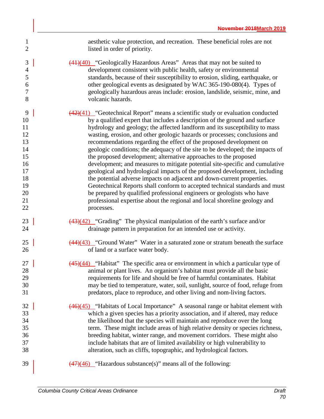| 1              | aesthetic value protection, and recreation. These beneficial roles are not                          |
|----------------|-----------------------------------------------------------------------------------------------------|
| $\overline{2}$ | listed in order of priority.                                                                        |
| 3              | $\frac{(41)(40)}{(41)(40)}$ "Geologically Hazardous Areas" Areas that may not be suited to          |
| $\overline{4}$ | development consistent with public health, safety or environmental                                  |
| 5              | standards, because of their susceptibility to erosion, sliding, earthquake, or                      |
| 6              | other geological events as designated by WAC 365-190-080(4). Types of                               |
| 7              | geologically hazardous areas include: erosion, landslide, seismic, mine, and                        |
| 8              | volcanic hazards.                                                                                   |
| 9              | $\frac{(42)(41)}{(42)(41)}$ "Geotechnical Report" means a scientific study or evaluation conducted  |
| 10             | by a qualified expert that includes a description of the ground and surface                         |
| 11             | hydrology and geology; the affected landform and its susceptibility to mass                         |
| 12             | wasting, erosion, and other geologic hazards or processes; conclusions and                          |
| 13             | recommendations regarding the effect of the proposed development on                                 |
| 14             | geologic conditions; the adequacy of the site to be developed; the impacts of                       |
| 15             | the proposed development; alternative approaches to the proposed                                    |
| 16             | development; and measures to mitigate potential site-specific and cumulative                        |
| 17             | geological and hydrological impacts of the proposed development, including                          |
| 18             | the potential adverse impacts on adjacent and down-current properties.                              |
| 19             | Geotechnical Reports shall conform to accepted technical standards and must                         |
| 20             | be prepared by qualified professional engineers or geologists who have                              |
| 21             | professional expertise about the regional and local shoreline geology and                           |
| 22             | processes.                                                                                          |
| 23             | $\frac{(43)(42)}{(43)(42)}$ "Grading" The physical manipulation of the earth's surface and/or       |
| 24             | drainage pattern in preparation for an intended use or activity.                                    |
| 25             | $\frac{(44)(43)}{(44)(43)}$ "Ground Water" Water in a saturated zone or stratum beneath the surface |
| 26             | of land or a surface water body.                                                                    |
| 27             | $\frac{(45)(44)}{4}$ "Habitat" The specific area or environment in which a particular type of       |
| 28             | animal or plant lives. An organism's habitat must provide all the basic                             |
| 29             | requirements for life and should be free of harmful contaminates. Habitat                           |
| 30             | may be tied to temperature, water, soil, sunlight, source of food, refuge from                      |
| 31             | predators, place to reproduce, and other living and nom-living factors.                             |
| 32             | $\frac{(46)(45)}{46}$ "Habitats of Local Importance" A seasonal range or habitat element with       |
| 33             | which a given species has a priority association, and if altered, may reduce                        |
| 34             | the likelihood that the species will maintain and reproduce over the long                           |
| 35             | term. These might include areas of high relative density or species richness,                       |
| 36             | breeding habitat, winter range, and movement corridors. These might also                            |
| 37             | include habitats that are of limited availability or high vulnerability to                          |
| 38             | alteration, such as cliffs, topographic, and hydrological factors.                                  |
| 39             | $\frac{(47)(46)}{47}$ "Hazardous substance(s)" means all of the following:                          |
|                |                                                                                                     |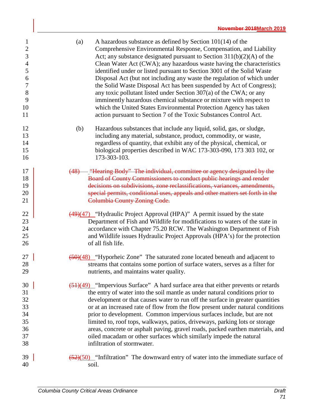| $\mathbf{1}$     | A hazardous substance as defined by Section $101(14)$ of the<br>(a)                         |
|------------------|---------------------------------------------------------------------------------------------|
| $\sqrt{2}$       | Comprehensive Environmental Response, Compensation, and Liability                           |
| 3                | Act; any substance designated pursuant to Section $311(b)(2)(A)$ of the                     |
| $\overline{4}$   | Clean Water Act (CWA); any hazardous waste having the characteristics                       |
| 5                | identified under or listed pursuant to Section 3001 of the Solid Waste                      |
| 6                | Disposal Act (but not including any waste the regulation of which under                     |
| $\boldsymbol{7}$ | the Solid Waste Disposal Act has been suspended by Act of Congress);                        |
| 8                | any toxic pollutant listed under Section 307(a) of the CWA; or any                          |
| 9                | imminently hazardous chemical substance or mixture with respect to                          |
| 10               | which the United States Environmental Protection Agency has taken                           |
| 11               | action pursuant to Section 7 of the Toxic Substances Control Act.                           |
| 12               | (b)<br>Hazardous substances that include any liquid, solid, gas, or sludge,                 |
| 13               | including any material, substance, product, commodity, or waste,                            |
| 14               | regardless of quantity, that exhibit any of the physical, chemical, or                      |
| 15               | biological properties described in WAC 173-303-090, 173 303 102, or                         |
| 16               | 173-303-103.                                                                                |
| 17               | (48) <sup>-</sup> Hearing Body" The individual, committee or agency designated by the       |
| 18               | Board of County Commissioners to conduct public hearings and render                         |
| 19               | decisions on subdivisions, zone reclassifications, variances, amendments,                   |
| 20               | special permits, conditional uses, appeals and other matters set forth in the               |
| 21               | <b>Columbia County Zoning Code.</b>                                                         |
| 22               | $\frac{(49)(47)}{49}$ "Hydraulic Project Approval (HPA)" A permit issued by the state       |
| 23               | Department of Fish and Wildlife for modifications to waters of the state in                 |
| 24               | accordance with Chapter 75.20 RCW. The Washington Department of Fish                        |
| 25               | and Wildlife issues Hydraulic Project Approvals (HPA's) for the protection                  |
| 26               | of all fish life.                                                                           |
| 27               | $\frac{1}{100}(50)(48)$ "Hyporheic Zone" The saturated zone located beneath and adjacent to |
| 28               | streams that contains some portion of surface waters, serves as a filter for                |
| 29               | nutrients, and maintains water quality.                                                     |
| 30               | $\frac{1}{12}(49)$ "Impervious Surface" A hard surface area that either prevents or retards |
| 31               | the entry of water into the soil mantle as under natural conditions prior to                |
| 32               | development or that causes water to run off the surface in greater quantities               |
| 33               | or at an increased rate of flow from the flow present under natural conditions              |
| 34               | prior to development. Common impervious surfaces include, but are not                       |
| 35               | limited to, roof tops, walkways, patios, driveways, parking lots or storage                 |
| 36               | areas, concrete or asphalt paving, gravel roads, packed earthen materials, and              |
| 37               | oiled macadam or other surfaces which similarly impede the natural                          |
| 38               | infiltration of stormwater.                                                                 |
| 39               | $\frac{52}{50}$ "Infiltration" The downward entry of water into the immediate surface of    |
| 40               | soil.                                                                                       |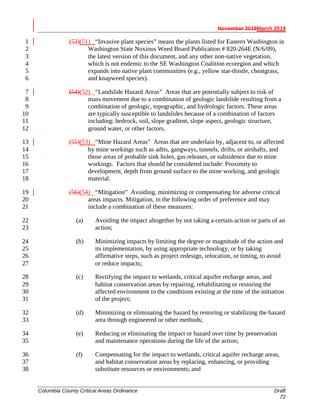| $\mathbf{1}$<br>$\overline{c}$<br>3<br>$\overline{4}$<br>5<br>6 |     | $\left(53\right)\left(51\right)$ "Invasive plant species" means the plants listed for Eastern Washington in<br>Washington State Noxious Weed Board Publication # 820-264E (N/6/09),<br>the latest version of this document, and any other non-native vegetation,<br>which is not endemic to the SE Washington Coalition ecoregion and which<br>expands into native plant communities (e.g., yellow star-thistle, cheatgrass,<br>and knapweed species). |
|-----------------------------------------------------------------|-----|--------------------------------------------------------------------------------------------------------------------------------------------------------------------------------------------------------------------------------------------------------------------------------------------------------------------------------------------------------------------------------------------------------------------------------------------------------|
| $\tau$<br>8<br>9<br>10<br>11<br>12                              |     | $\frac{54}{52}$ "Landslide Hazard Areas" Areas that are potentially subject to risk of<br>mass movement due to a combination of geologic landslide resulting from a<br>combination of geologic, topographic, and hydrologic factors. These areas<br>are typically susceptible to landslides because of a combination of factors<br>including: bedrock, soil, slope gradient, slope aspect, geologic structure,<br>ground water, or other factors.      |
| 13<br>14<br>15<br>16<br>17<br>18                                |     | (55)(53) "Mine Hazard Areas" Areas that are underlain by, adjacent to, or affected<br>by mine workings such as adits, gangways, tunnels, drifts, or airshafts, and<br>those areas of probable sink holes, gas releases, or subsidence due to mine<br>workings. Factors that should be considered include: Proximity to<br>development, depth from ground surface to the mine working, and geologic<br>material.                                        |
| 19<br>20<br>21                                                  |     | (56)(54) "Mitigation" Avoiding, minimizing or compensating for adverse critical<br>areas impacts. Mitigation, in the following order of preference and may<br>include a combination of these measures:                                                                                                                                                                                                                                                 |
| 22<br>23                                                        | (a) | Avoiding the impact altogether by not taking a certain action or parts of an<br>action;                                                                                                                                                                                                                                                                                                                                                                |
| 24<br>25<br>26<br>27                                            | (b) | Minimizing impacts by limiting the degree or magnitude of the action and<br>its implementation, by using appropriate technology, or by taking<br>affirmative steps, such as project redesign, relocation, or timing, to avoid<br>or reduce impacts;                                                                                                                                                                                                    |
| 28<br>29<br>30<br>31                                            | (c) | Rectifying the impact to wetlands, critical aquifer recharge areas, and<br>habitat conservation areas by repairing, rehabilitating or restoring the<br>affected environment to the conditions existing at the time of the initiation<br>of the project;                                                                                                                                                                                                |
| 32<br>33                                                        | (d) | Minimizing or eliminating the hazard by restoring or stabilizing the hazard<br>area through engineered or other methods;                                                                                                                                                                                                                                                                                                                               |
| 34<br>35                                                        | (e) | Reducing or eliminating the impact or hazard over time by preservation<br>and maintenance operations during the life of the action;                                                                                                                                                                                                                                                                                                                    |
| 36<br>37<br>38                                                  | (f) | Compensating for the impact to wetlands, critical aquifer recharge areas,<br>and habitat conservation areas by replacing, enhancing, or providing<br>substitute resources or environments; and                                                                                                                                                                                                                                                         |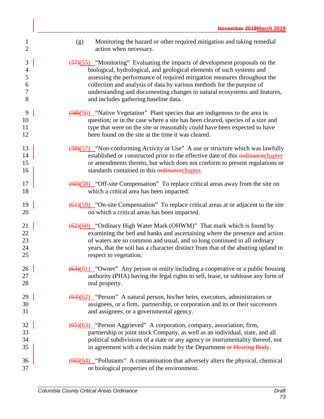| $\mathbf{1}$<br>$\overline{2}$ | Monitoring the hazard or other required mitigation and taking remedial<br>(g)<br>action when necessary. |
|--------------------------------|---------------------------------------------------------------------------------------------------------|
| $\mathfrak{Z}$                 | $\frac{57}{55}$ "Monitoring" Evaluating the impacts of development proposals on the                     |
| 4                              | biological, hydrological, and geological elements of such systems and                                   |
| 5                              | assessing the performance of required mitigation measures throughout the                                |
| 6                              | collection and analysis of data by various methods for the purpose of                                   |
| 7                              | understanding and documenting changes in natural ecosystems and features,                               |
| 8                              | and includes gathering baseline data.                                                                   |
| 9                              | $\frac{58}{56}$ "Native Vegetation" Plant species that are indigenous to the area in                    |
| 10                             | question; or in the case where a site has been cleared, species of a size and                           |
| 11                             | type that were on the site or reasonably could have been expected to have                               |
| 12                             | been found on the site at the time it was cleared.                                                      |
| 13                             | $\frac{59}{57}$ "Non-conforming Activity or Use" A use or structure which was lawfully                  |
| 14                             | established or constructed prior to the effective date of this ordinancechapter                         |
| 15                             | or amendments thereto, but which does not conform to present regulations or                             |
| 16                             | standards contained in this ordinancechapter.                                                           |
| 17                             | $\left(\frac{60}{58}\right)$ "Off-site Compensation" To replace critical areas away from the site on    |
| 18                             | which a critical area has been impacted.                                                                |
| 19                             | $\frac{(61)(59)}{2}$ "On-site Compensation" To replace critical areas at or adjacent to the site        |
| 20                             | on which a critical areas has been impacted.                                                            |
| 21                             | (62)(60) "Ordinary High Water Mark (OHWM)" That mark which is found by                                  |
| 22                             | examining the bed and banks and ascertaining where the presence and action                              |
| 23                             | of waters are so common and usual, and so long continued in all ordinary                                |
| 24                             | years, that the soil has a character distinct from that of the abutting upland in                       |
| 25                             | respect to vegetation.                                                                                  |
| 26                             | $\frac{(63)(61)}{2}$ "Owner" Any person or entity including a cooperative or a public housing           |
| 27                             | authority (PHA) having the legal rights to sell, lease, or sublease any form of                         |
| 28                             | real property.                                                                                          |
| 29                             | $(64)(62)$ "Person" A natural person, his/her heirs, executors, administrators or                       |
| 30                             | assignees, or a firm, partnership, or corporation and its or their successors                           |
| 31                             | and assignees, or a governmental agency.                                                                |
| 32                             | (65)(63) "Person Aggrieved" A corporation, company, association, firm,                                  |
| 33                             | partnership or joint stock Company, as well as an individual, state, and all                            |
| 34                             | political subdivisions of a state or any agency or instrumentality thereof, not                         |
| 35                             | in agreement with a decision made by the Department or Hearing Body.                                    |
| 36                             | $\left(\frac{66}{64}\right)$ "Pollutants" A contamination that adversely alters the physical, chemical  |
| 37                             | or biological properties of the environment.                                                            |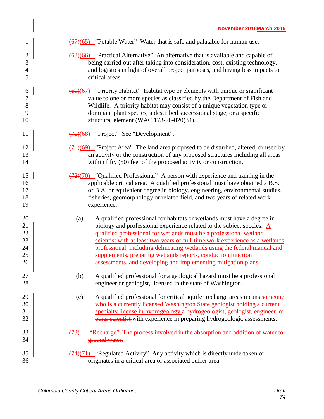| 1                                      | $\frac{(67)(65)}{2}$ "Potable Water" Water that is safe and palatable for human use.                                                                                                                                                                                                                                                                                                                                                                                                                                                       |
|----------------------------------------|--------------------------------------------------------------------------------------------------------------------------------------------------------------------------------------------------------------------------------------------------------------------------------------------------------------------------------------------------------------------------------------------------------------------------------------------------------------------------------------------------------------------------------------------|
| $\overline{c}$                         | (68)(66) "Practical Alternative" An alternative that is available and capable of                                                                                                                                                                                                                                                                                                                                                                                                                                                           |
| 3                                      | being carried out after taking into consideration, cost, existing technology,                                                                                                                                                                                                                                                                                                                                                                                                                                                              |
| $\overline{4}$                         | and logistics in light of overall project purposes, and having less impacts to                                                                                                                                                                                                                                                                                                                                                                                                                                                             |
| 5                                      | critical areas.                                                                                                                                                                                                                                                                                                                                                                                                                                                                                                                            |
| 6                                      | (69)(67) "Priority Habitat" Habitat type or elements with unique or significant                                                                                                                                                                                                                                                                                                                                                                                                                                                            |
| 7                                      | value to one or more species as classified by the Department of Fish and                                                                                                                                                                                                                                                                                                                                                                                                                                                                   |
| 8                                      | Wildlife. A priority habitat may consist of a unique vegetation type or                                                                                                                                                                                                                                                                                                                                                                                                                                                                    |
| 9                                      | dominant plant species, a described successional stage, or a specific                                                                                                                                                                                                                                                                                                                                                                                                                                                                      |
| 10                                     | structural element (WAC 173-26-020(34).                                                                                                                                                                                                                                                                                                                                                                                                                                                                                                    |
| 11                                     | $\overline{(70)(68)}$ "Project" See "Development".                                                                                                                                                                                                                                                                                                                                                                                                                                                                                         |
| 12                                     | $\left(\frac{(71)(69)}{(71)(69)}\right)$ "Project Area" The land area proposed to be disturbed, altered, or used by                                                                                                                                                                                                                                                                                                                                                                                                                        |
| 13                                     | an activity or the construction of any proposed structures including all areas                                                                                                                                                                                                                                                                                                                                                                                                                                                             |
| 14                                     | within fifty (50) feet of the proposed activity or construction.                                                                                                                                                                                                                                                                                                                                                                                                                                                                           |
| 15                                     | $\frac{(72)(70)}{(72)(70)}$ "Qualified Professional" A person with experience and training in the                                                                                                                                                                                                                                                                                                                                                                                                                                          |
| 16                                     | applicable critical area. A qualified professional must have obtained a B.S.                                                                                                                                                                                                                                                                                                                                                                                                                                                               |
| 17                                     | or B.A. or equivalent degree in biology, engineering, environmental studies,                                                                                                                                                                                                                                                                                                                                                                                                                                                               |
| 18                                     | fisheries, geomorphology or related field, and two years of related work                                                                                                                                                                                                                                                                                                                                                                                                                                                                   |
| 19                                     | experience.                                                                                                                                                                                                                                                                                                                                                                                                                                                                                                                                |
| 20<br>21<br>22<br>23<br>24<br>25<br>26 | A qualified professional for habitats or wetlands must have a degree in<br>(a)<br>biology and professional experience related to the subject species. $\underline{A}$<br>qualified professional for wetlands must be a professional wetland<br>scientist with at least two years of full-time work experience as a wetlands<br>professional, including delineating wetlands using the federal manual and<br>supplements, preparing wetlands reports, conduction function<br>assessments, and developing and implementing mitigation plans. |
| 27<br>28                               | A qualified professional for a geological hazard must be a professional<br>(b)<br>engineer or geologist, licensed in the state of Washington.                                                                                                                                                                                                                                                                                                                                                                                              |
| 29<br>30<br>31<br>32                   | A qualified professional for critical aquifer recharge areas means someone<br>(c)<br>who is a currently licensed Washington State geologist holding a current<br>specialty license in hydrogeology a hydrogeologist, geologist, engineer, or<br>other scientist with experience in preparing hydrogeologic assessments.                                                                                                                                                                                                                    |
| 33                                     | (73) - "Recharge" The process involved in the absorption and addition of water to                                                                                                                                                                                                                                                                                                                                                                                                                                                          |
| 34                                     | ground water.                                                                                                                                                                                                                                                                                                                                                                                                                                                                                                                              |
| 35                                     | $\frac{(74)(71)}{4}$ "Regulated Activity" Any activity which is directly undertaken or                                                                                                                                                                                                                                                                                                                                                                                                                                                     |
| 36                                     | originates in a critical area or associated buffer area.                                                                                                                                                                                                                                                                                                                                                                                                                                                                                   |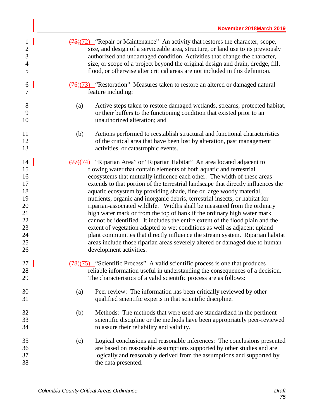| $\mathbf 1$<br>$\overline{\mathbf{c}}$<br>$\mathfrak{Z}$<br>$\overline{4}$<br>5 | $\frac{(75)(72)}{(75)(72)}$ "Repair or Maintenance" An activity that restores the character, scope,<br>size, and design of a serviceable area, structure, or land use to its previously<br>authorized and undamaged condition. Activities that change the character,<br>size, or scope of a project beyond the original design and drain, dredge, fill,<br>flood, or otherwise alter critical areas are not included in this definition.                                                                                                                                                                                                                                                                                                                                                                                                                                                                                                                                                                     |
|---------------------------------------------------------------------------------|--------------------------------------------------------------------------------------------------------------------------------------------------------------------------------------------------------------------------------------------------------------------------------------------------------------------------------------------------------------------------------------------------------------------------------------------------------------------------------------------------------------------------------------------------------------------------------------------------------------------------------------------------------------------------------------------------------------------------------------------------------------------------------------------------------------------------------------------------------------------------------------------------------------------------------------------------------------------------------------------------------------|
| 6<br>7                                                                          | $\overline{(76)(73)}$ "Restoration" Measures taken to restore an altered or damaged natural<br>feature including:                                                                                                                                                                                                                                                                                                                                                                                                                                                                                                                                                                                                                                                                                                                                                                                                                                                                                            |
| 8<br>9<br>10                                                                    | Active steps taken to restore damaged wetlands, streams, protected habitat,<br>(a)<br>or their buffers to the functioning condition that existed prior to an<br>unauthorized alteration; and                                                                                                                                                                                                                                                                                                                                                                                                                                                                                                                                                                                                                                                                                                                                                                                                                 |
| 11<br>12<br>13                                                                  | (b)<br>Actions performed to reestablish structural and functional characteristics<br>of the critical area that have been lost by alteration, past management<br>activities, or catastrophic events.                                                                                                                                                                                                                                                                                                                                                                                                                                                                                                                                                                                                                                                                                                                                                                                                          |
| 14<br>15<br>16<br>17<br>18<br>19<br>20<br>21<br>22<br>23<br>24<br>25<br>26      | $\frac{(77)(74)}{(77)(74)}$ "Riparian Area" or "Riparian Habitat" An area located adjacent to<br>flowing water that contain elements of both aquatic and terrestrial<br>ecosystems that mutually influence each other. The width of these areas<br>extends to that portion of the terrestrial landscape that directly influences the<br>aquatic ecosystem by providing shade, fine or large woody material,<br>nutrients, organic and inorganic debris, terrestrial insects, or habitat for<br>riparian-associated wildlife. Widths shall be measured from the ordinary<br>high water mark or from the top of bank if the ordinary high water mark<br>cannot be identified. It includes the entire extent of the flood plain and the<br>extent of vegetation adapted to wet conditions as well as adjacent upland<br>plant communities that directly influence the stream system. Riparian habitat<br>areas include those riparian areas severely altered or damaged due to human<br>development activities. |
| 27<br>28<br>29                                                                  | $\frac{(78)(75)}{(78)(75)}$ "Scientific Process" A valid scientific process is one that produces<br>reliable information useful in understanding the consequences of a decision.<br>The characteristics of a valid scientific process are as follows:                                                                                                                                                                                                                                                                                                                                                                                                                                                                                                                                                                                                                                                                                                                                                        |
| 30<br>31                                                                        | Peer review: The information has been critically reviewed by other<br>(a)<br>qualified scientific experts in that scientific discipline.                                                                                                                                                                                                                                                                                                                                                                                                                                                                                                                                                                                                                                                                                                                                                                                                                                                                     |
| 32<br>33<br>34                                                                  | Methods: The methods that were used are standardized in the pertinent<br>(b)<br>scientific discipline or the methods have been appropriately peer-reviewed<br>to assure their reliability and validity.                                                                                                                                                                                                                                                                                                                                                                                                                                                                                                                                                                                                                                                                                                                                                                                                      |
| 35<br>36<br>37<br>38                                                            | Logical conclusions and reasonable inferences: The conclusions presented<br>(c)<br>are based on reasonable assumptions supported by other studies and are<br>logically and reasonably derived from the assumptions and supported by<br>the data presented.                                                                                                                                                                                                                                                                                                                                                                                                                                                                                                                                                                                                                                                                                                                                                   |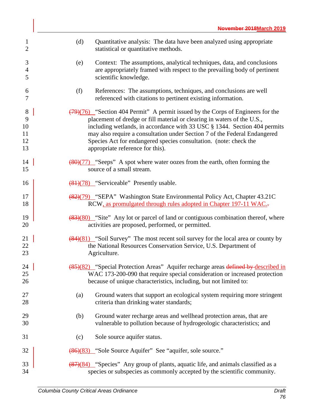| $\mathbf{1}$<br>$\overline{c}$              | (d)<br>Quantitative analysis: The data have been analyzed using appropriate<br>statistical or quantitative methods.                                                                                                                                                                                                                                                                                                                       |
|---------------------------------------------|-------------------------------------------------------------------------------------------------------------------------------------------------------------------------------------------------------------------------------------------------------------------------------------------------------------------------------------------------------------------------------------------------------------------------------------------|
| 3<br>$\overline{4}$<br>5                    | Context: The assumptions, analytical techniques, data, and conclusions<br>(e)<br>are appropriately framed with respect to the prevailing body of pertinent<br>scientific knowledge.                                                                                                                                                                                                                                                       |
| 6<br>7                                      | (f)<br>References: The assumptions, techniques, and conclusions are well<br>referenced with citations to pertinent existing information.                                                                                                                                                                                                                                                                                                  |
| $8\phantom{1}$<br>9<br>10<br>11<br>12<br>13 | $\frac{(79)(76)}{2}$ "Section 404 Permit" A permit issued by the Corps of Engineers for the<br>placement of dredge or fill material or clearing in waters of the U.S.,<br>including wetlands, in accordance with 33 USC § 1344. Section 404 permits<br>may also require a consultation under Section 7 of the Federal Endangered<br>Species Act for endangered species consultation. (note: check the<br>appropriate reference for this). |
| 14<br>15                                    | $\frac{(80)(77)}{80}$ "Seeps" A spot where water oozes from the earth, often forming the<br>source of a small stream.                                                                                                                                                                                                                                                                                                                     |
| 16                                          | $\frac{(81)(78)}{81}$ "Serviceable" Presently usable.                                                                                                                                                                                                                                                                                                                                                                                     |
| 17<br>18                                    | (82)(79) "SEPA" Washington State Environmental Policy Act, Chapter 43.21C<br>RCW, as promulgated through rules adopted in Chapter 197-11 WAC.                                                                                                                                                                                                                                                                                             |
| 19<br>20                                    | $\frac{(83)(80)}{8}$ "Site" Any lot or parcel of land or contiguous combination thereof, where<br>activities are proposed, performed, or permitted.                                                                                                                                                                                                                                                                                       |
| 21<br>22<br>23                              | $\frac{(84)(81)}{8}$ "Soil Survey" The most recent soil survey for the local area or county by<br>the National Resources Conservation Service, U.S. Department of<br>Agriculture.                                                                                                                                                                                                                                                         |
| 24<br>25<br>26                              | (85)(82) "Special Protection Areas" Aquifer recharge areas defined by described in<br>WAC 173-200-090 that require special consideration or increased protection<br>because of unique characteristics, including, but not limited to:                                                                                                                                                                                                     |
| 27<br>28                                    | Ground waters that support an ecological system requiring more stringent<br>(a)<br>criteria than drinking water standards;                                                                                                                                                                                                                                                                                                                |
| 29<br>30                                    | Ground water recharge areas and wellhead protection areas, that are<br>(b)<br>vulnerable to pollution because of hydrogeologic characteristics; and                                                                                                                                                                                                                                                                                       |
| 31                                          | Sole source aquifer status.<br>(c)                                                                                                                                                                                                                                                                                                                                                                                                        |
| 32                                          | (86)(83) "Sole Source Aquifer" See "aquifer, sole source."                                                                                                                                                                                                                                                                                                                                                                                |
| 33<br>34                                    | $\frac{(87)(84)}{87}$ "Species" Any group of plants, aquatic life, and animals classified as a<br>species or subspecies as commonly accepted by the scientific community.                                                                                                                                                                                                                                                                 |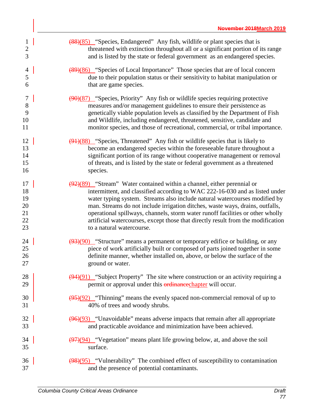| $\mathbf{1}$ | (88)(85) "Species, Endangered" Any fish, wildlife or plant species that is                         |
|--------------|----------------------------------------------------------------------------------------------------|
| $\mathbf{2}$ | threatened with extinction throughout all or a significant portion of its range                    |
| 3            | and is listed by the state or federal government as an endangered species.                         |
| 4            | (89)(86) "Species of Local Importance" Those species that are of local concern                     |
| 5            | due to their population status or their sensitivity to habitat manipulation or                     |
| 6            | that are game species.                                                                             |
| 7            | $\left(\frac{90}{87}\right)$ "Species, Priority" Any fish or wildlife species requiring protective |
| $8\,$        | measures and/or management guidelines to ensure their persistence as                               |
| 9            | genetically viable population levels as classified by the Department of Fish                       |
| 10           | and Wildlife, including endangered, threatened, sensitive, candidate and                           |
| 11           | monitor species, and those of recreational, commercial, or tribal importance.                      |
| 12           | $\frac{(91)(88)}{8}$ "Species, Threatened" Any fish or wildlife species that is likely to          |
| 13           | become an endangered species within the foreseeable future throughout a                            |
| 14           | significant portion of its range without cooperative management or removal                         |
| 15           | of threats, and is listed by the state or federal government as a threatened                       |
| 16           | species.                                                                                           |
| 17           | $\frac{(92)(89)}{8}$ "Stream" Water contained within a channel, either perennial or                |
| 18           | intermittent, and classified according to WAC 222-16-030 and as listed under                       |
| 19           | water typing system. Streams also include natural watercourses modified by                         |
| 20           | man. Streams do not include irrigation ditches, waste ways, drains, outfalls,                      |
| 21           | operational spillways, channels, storm water runoff facilities or other wholly                     |
| 22           | artificial watercourses, except those that directly result from the modification                   |
| 23           | to a natural watercourse.                                                                          |
| 24           | $\frac{1}{2}(93)(90)$ "Structure" means a permanent or temporary edifice or building, or any       |
| 25           | piece of work artificially built or composed of parts joined together in some                      |
| 26           | definite manner, whether installed on, above, or below the surface of the                          |
| 27           | ground or water.                                                                                   |
| 28           | $(94)(91)$ "Subject Property" The site where construction or an activity requiring a               |
| 29           | permit or approval under this <b>erdinance</b> chapter will occur.                                 |
| 30           | $\frac{(95)(92)}{2}$ "Thinning" means the evenly spaced non-commercial removal of up to            |
| 31           | 40% of trees and woody shrubs.                                                                     |
| 32           | $\left(\frac{96}{93}\right)$ "Unavoidable" means adverse impacts that remain after all appropriate |
| 33           | and practicable avoidance and minimization have been achieved.                                     |
| 34           | $\frac{(97)(94)}{97}$ "Vegetation" means plant life growing below, at, and above the soil          |
| 35           | surface.                                                                                           |
| 36           | $\frac{(98)(95)}{2}$ "Vulnerability" The combined effect of susceptibility to contamination        |
| 37           | and the presence of potential contaminants.                                                        |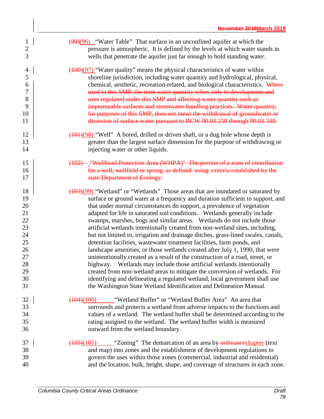| $\mathbf{1}$               | $\left(\frac{99}{96}\right)$ "Water Table" That surface in an unconfined aquifer at which the                                                                                                                                                                                                                                                    |
|----------------------------|--------------------------------------------------------------------------------------------------------------------------------------------------------------------------------------------------------------------------------------------------------------------------------------------------------------------------------------------------|
| $\overline{c}$             | pressure is atmospheric. It is defined by the levels at which water stands in                                                                                                                                                                                                                                                                    |
| 3                          | wells that penetrate the aquifer just far enough to hold standing water.                                                                                                                                                                                                                                                                         |
| $\overline{\mathcal{A}}$   | $(100)(97)$ "Water quality" means the physical characteristics of water within                                                                                                                                                                                                                                                                   |
| 5                          | shoreline jurisdiction, including water quantity and hydrological, physical,                                                                                                                                                                                                                                                                     |
| 6                          | chemical, aesthetic, recreation-related, and biological characteristics. Where                                                                                                                                                                                                                                                                   |
| $\boldsymbol{7}$           | used in this SMP, the term water quantity refers only to development and                                                                                                                                                                                                                                                                         |
| 8                          | uses regulated under this SMP and affecting water quantity such as                                                                                                                                                                                                                                                                               |
| 9                          | impermeable surfaces and stormwater handling practices. Water quantity,                                                                                                                                                                                                                                                                          |
| 10                         | for purposes of this SMP, does not mean the withdrawal of groundwater or                                                                                                                                                                                                                                                                         |
| 11                         | diversion of surface water pursuant to RCW 90.03.250 through 90.03.340.                                                                                                                                                                                                                                                                          |
| 12                         | (101)(98) "Well" A bored, drilled or driven shaft, or a dug hole whose depth is                                                                                                                                                                                                                                                                  |
| 13                         | greater than the largest surface dimension for the purpose of withdrawing or                                                                                                                                                                                                                                                                     |
| 14                         | injecting water or other liquids.                                                                                                                                                                                                                                                                                                                |
| 15                         | (102) - "Wellhead Protection Area (WHPA)" The portion of a zone of contribution                                                                                                                                                                                                                                                                  |
| 16                         | for a well, wellfield or spring, as defined using criteria established by the                                                                                                                                                                                                                                                                    |
| 17                         | state Department of Ecology.                                                                                                                                                                                                                                                                                                                     |
| 18                         | $\frac{(103)(99)}{2}$ "Wetland" or "Wetlands" Those areas that are inundated or saturated by                                                                                                                                                                                                                                                     |
| 19                         | surface or ground water at a frequency and duration sufficient to support, and                                                                                                                                                                                                                                                                   |
| 20                         | that under normal circumstances do support, a prevalence of vegetation                                                                                                                                                                                                                                                                           |
| 21                         | adapted for life in saturated soil conditions. Wetlands generally include                                                                                                                                                                                                                                                                        |
| 22                         | swamps, marshes, bogs and similar areas. Wetlands do not include those                                                                                                                                                                                                                                                                           |
| 23                         | artificial wetlands intentionally created from non-wetland sites, including,                                                                                                                                                                                                                                                                     |
| 24                         | but not limited to, irrigation and drainage ditches, grass-lined swales, canals,                                                                                                                                                                                                                                                                 |
| 25                         | detention facilities, wastewater treatment facilities, farm ponds, and                                                                                                                                                                                                                                                                           |
| 26                         | landscape amenities, or those wetlands created after July 1, 1990, that were                                                                                                                                                                                                                                                                     |
| 27                         | unintentionally created as a result of the construction of a road, street, or                                                                                                                                                                                                                                                                    |
| 28                         | highway. Wetlands may include those artificial wetlands intentionally                                                                                                                                                                                                                                                                            |
| 29                         | created from non-wetland areas to mitigate the conversion of wetlands. For                                                                                                                                                                                                                                                                       |
| 30                         | identifying and delineating a regulated wetland, local government shall use                                                                                                                                                                                                                                                                      |
| 31                         | the Washington State Wetland Identification and Delineation Manual.                                                                                                                                                                                                                                                                              |
| 32<br>33<br>34<br>35<br>36 | "Wetland Buffer" or "Wetland Buffer Area" An area that<br>(104)(100)<br>surrounds and protects a wetland from adverse impacts to the functions and<br>values of a wetland. The wetland buffer shall be determined according to the<br>rating assigned to the wetland. The wetland buffer width is measured<br>outward from the wetland boundary. |
| 37<br>38<br>39<br>40       | "Zoning" The demarcation of an area by <b>ordinance</b> chapter (text<br>(105)(101)<br>and map) into zones and the establishment of development regulations to<br>govern the uses within those zones (commercial, industrial and residential)<br>and the location, bulk, height, shape, and coverage of structures in each zone.                 |